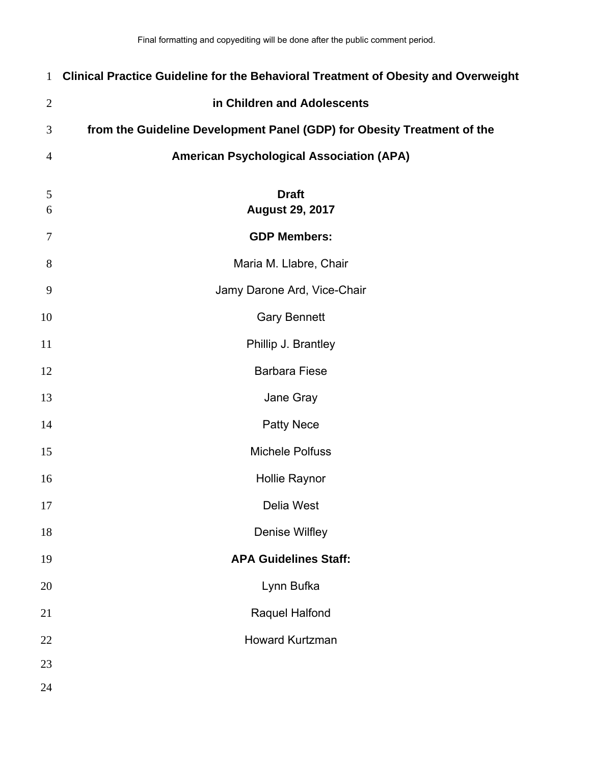| $\mathbf{1}$   | Clinical Practice Guideline for the Behavioral Treatment of Obesity and Overweight |
|----------------|------------------------------------------------------------------------------------|
| $\mathfrak{2}$ | in Children and Adolescents                                                        |
| 3              | from the Guideline Development Panel (GDP) for Obesity Treatment of the            |
| $\overline{4}$ | <b>American Psychological Association (APA)</b>                                    |
| 5              | <b>Draft</b>                                                                       |
| 6              | <b>August 29, 2017</b>                                                             |
| 7              | <b>GDP Members:</b>                                                                |
| 8              | Maria M. Llabre, Chair                                                             |
| 9              | Jamy Darone Ard, Vice-Chair                                                        |
| 10             | <b>Gary Bennett</b>                                                                |
| 11             | Phillip J. Brantley                                                                |
| 12             | <b>Barbara Fiese</b>                                                               |
| 13             | Jane Gray                                                                          |
| 14             | <b>Patty Nece</b>                                                                  |
| 15             | <b>Michele Polfuss</b>                                                             |
| 16             | <b>Hollie Raynor</b>                                                               |
| 17             | Delia West                                                                         |
| 18             | Denise Wilfley                                                                     |
| 19             | <b>APA Guidelines Staff:</b>                                                       |
| 20             | Lynn Bufka                                                                         |
| 21             | Raquel Halfond                                                                     |
| 22             | <b>Howard Kurtzman</b>                                                             |
| 23             |                                                                                    |
| 24             |                                                                                    |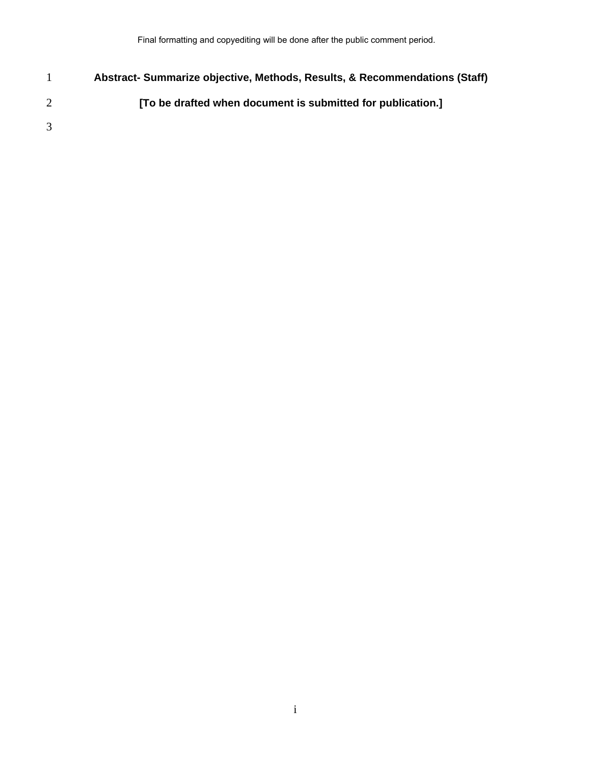1 **Abstract- Summarize objective, Methods, Results, & Recommendations (Staff)**  2 **[To be drafted when document is submitted for publication.]**  3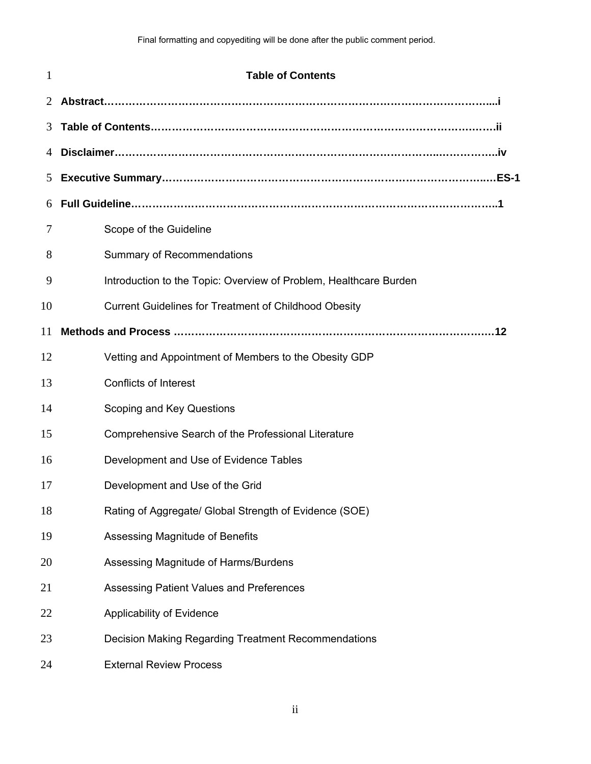| 1  | <b>Table of Contents</b>                                          |
|----|-------------------------------------------------------------------|
| 2  |                                                                   |
| 3  |                                                                   |
| 4  |                                                                   |
| 5  |                                                                   |
| 6  |                                                                   |
| 7  | Scope of the Guideline                                            |
| 8  | <b>Summary of Recommendations</b>                                 |
| 9  | Introduction to the Topic: Overview of Problem, Healthcare Burden |
| 10 | <b>Current Guidelines for Treatment of Childhood Obesity</b>      |
| 11 |                                                                   |
| 12 | Vetting and Appointment of Members to the Obesity GDP             |
| 13 | <b>Conflicts of Interest</b>                                      |
| 14 | Scoping and Key Questions                                         |
| 15 | Comprehensive Search of the Professional Literature               |
| 16 | Development and Use of Evidence Tables                            |
| 17 | Development and Use of the Grid                                   |
| 18 | Rating of Aggregate/ Global Strength of Evidence (SOE)            |
| 19 | Assessing Magnitude of Benefits                                   |
| 20 | Assessing Magnitude of Harms/Burdens                              |
| 21 | Assessing Patient Values and Preferences                          |
| 22 | Applicability of Evidence                                         |
| 23 | <b>Decision Making Regarding Treatment Recommendations</b>        |
| 24 | <b>External Review Process</b>                                    |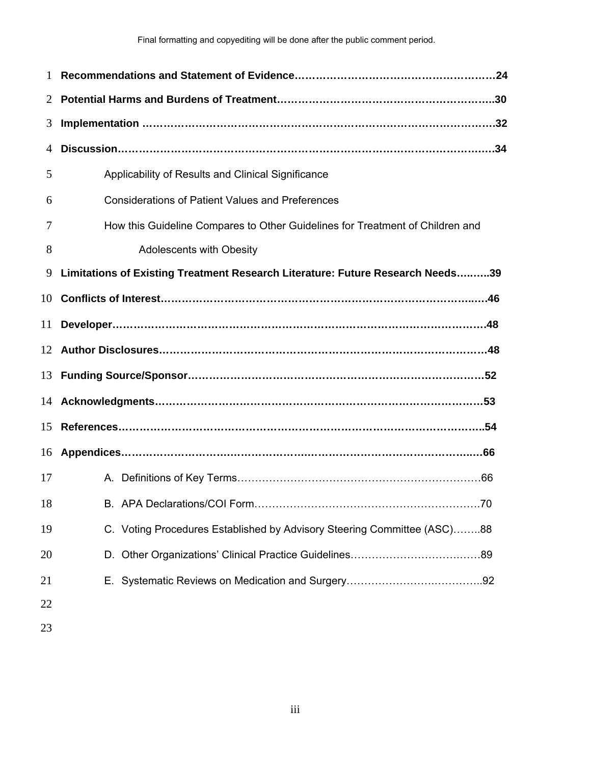| $\mathbf{1}$ |                                                                                |
|--------------|--------------------------------------------------------------------------------|
| 2            |                                                                                |
| 3            |                                                                                |
| 4            |                                                                                |
| 5            | Applicability of Results and Clinical Significance                             |
| 6            | <b>Considerations of Patient Values and Preferences</b>                        |
| 7            | How this Guideline Compares to Other Guidelines for Treatment of Children and  |
| 8            | <b>Adolescents with Obesity</b>                                                |
| 9            | Limitations of Existing Treatment Research Literature: Future Research Needs39 |
| 10           |                                                                                |
| 11           |                                                                                |
|              | 12 Author Disclosures………………………………………………………………………………48                          |
|              | 13 Funding Source/Sponsor……………………………………………………………………52                          |
|              |                                                                                |
|              | 15 References………………………………………………………………………………………54                               |
|              |                                                                                |
| 17           |                                                                                |
| 18           |                                                                                |
| 19           | C. Voting Procedures Established by Advisory Steering Committee (ASC)88        |
| 20           |                                                                                |
| 21           |                                                                                |
| 22           |                                                                                |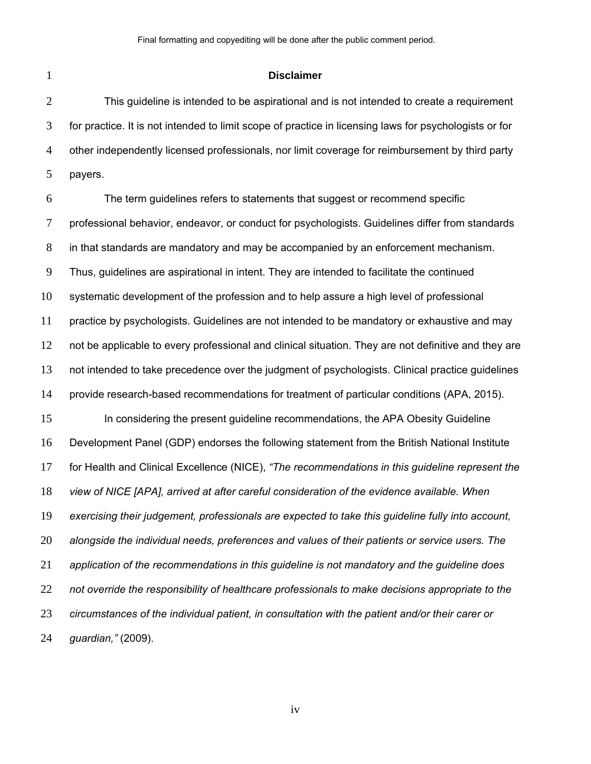#### **Disclaimer**

This guideline is intended to be aspirational and is not intended to create a requirement for practice. It is not intended to limit scope of practice in licensing laws for psychologists or for other independently licensed professionals, nor limit coverage for reimbursement by third party payers.

The term guidelines refers to statements that suggest or recommend specific professional behavior, endeavor, or conduct for psychologists. Guidelines differ from standards in that standards are mandatory and may be accompanied by an enforcement mechanism. Thus, guidelines are aspirational in intent. They are intended to facilitate the continued systematic development of the profession and to help assure a high level of professional practice by psychologists. Guidelines are not intended to be mandatory or exhaustive and may 12 not be applicable to every professional and clinical situation. They are not definitive and they are not intended to take precedence over the judgment of psychologists. Clinical practice guidelines provide research-based recommendations for treatment of particular conditions (APA, 2015). In considering the present guideline recommendations, the APA Obesity Guideline Development Panel (GDP) endorses the following statement from the British National Institute for Health and Clinical Excellence (NICE), *"The recommendations in this guideline represent the view of NICE [APA], arrived at after careful consideration of the evidence available. When exercising their judgement, professionals are expected to take this guideline fully into account, alongside the individual needs, preferences and values of their patients or service users. The application of the recommendations in this guideline is not mandatory and the guideline does not override the responsibility of healthcare professionals to make decisions appropriate to the circumstances of the individual patient, in consultation with the patient and/or their carer or guardian,"* (2009).

iv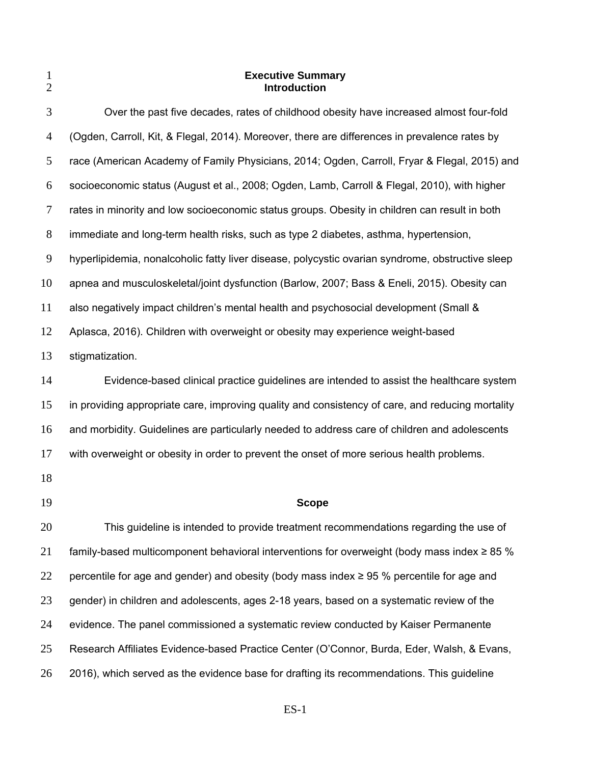| 1<br>$\overline{2}$ | <b>Executive Summary</b><br><b>Introduction</b>                                                  |
|---------------------|--------------------------------------------------------------------------------------------------|
| 3                   | Over the past five decades, rates of childhood obesity have increased almost four-fold           |
| 4                   | (Ogden, Carroll, Kit, & Flegal, 2014). Moreover, there are differences in prevalence rates by    |
| 5                   | race (American Academy of Family Physicians, 2014; Ogden, Carroll, Fryar & Flegal, 2015) and     |
| 6                   | socioeconomic status (August et al., 2008; Ogden, Lamb, Carroll & Flegal, 2010), with higher     |
| 7                   | rates in minority and low socioeconomic status groups. Obesity in children can result in both    |
| 8                   | immediate and long-term health risks, such as type 2 diabetes, asthma, hypertension,             |
| 9                   | hyperlipidemia, nonalcoholic fatty liver disease, polycystic ovarian syndrome, obstructive sleep |
| 10                  | apnea and musculoskeletal/joint dysfunction (Barlow, 2007; Bass & Eneli, 2015). Obesity can      |
| 11                  | also negatively impact children's mental health and psychosocial development (Small &            |
| 12                  | Aplasca, 2016). Children with overweight or obesity may experience weight-based                  |
| 13                  | stigmatization.                                                                                  |
| 14                  | Evidence-based clinical practice guidelines are intended to assist the healthcare system         |
| 15                  | in providing appropriate care, improving quality and consistency of care, and reducing mortality |
| 16                  | and morbidity. Guidelines are particularly needed to address care of children and adolescents    |
| 17                  | with overweight or obesity in order to prevent the onset of more serious health problems.        |
| 18                  |                                                                                                  |
| 19                  | <b>Scope</b>                                                                                     |
| 20                  | This guideline is intended to provide treatment recommendations regarding the use of             |
| 21                  | family-based multicomponent behavioral interventions for overweight (body mass index $\geq$ 85 % |
| 22                  | percentile for age and gender) and obesity (body mass index $\geq$ 95 % percentile for age and   |
| 23                  | gender) in children and adolescents, ages 2-18 years, based on a systematic review of the        |
| 24                  | evidence. The panel commissioned a systematic review conducted by Kaiser Permanente              |
| 25                  | Research Affiliates Evidence-based Practice Center (O'Connor, Burda, Eder, Walsh, & Evans,       |
| 26                  | 2016), which served as the evidence base for drafting its recommendations. This guideline        |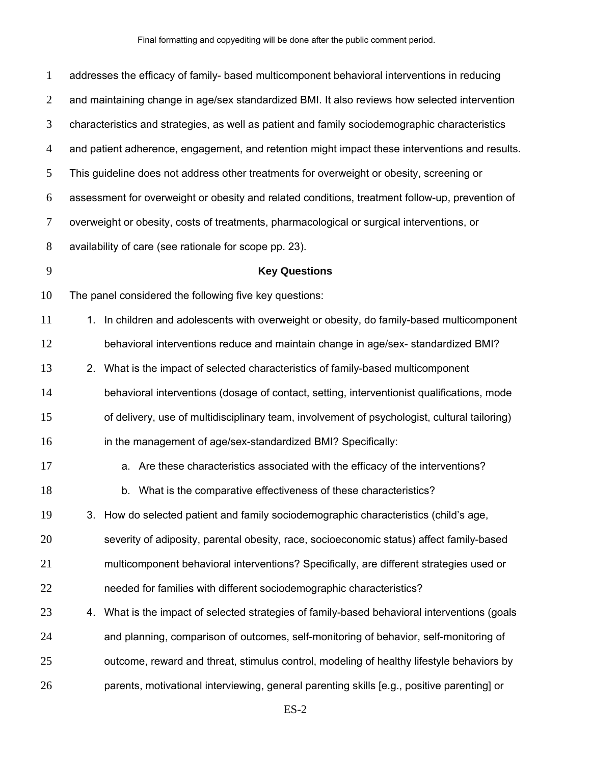| $\mathbf{1}$   | addresses the efficacy of family- based multicomponent behavioral interventions in reducing     |  |
|----------------|-------------------------------------------------------------------------------------------------|--|
| 2              | and maintaining change in age/sex standardized BMI. It also reviews how selected intervention   |  |
| 3              | characteristics and strategies, as well as patient and family sociodemographic characteristics  |  |
| $\overline{4}$ | and patient adherence, engagement, and retention might impact these interventions and results.  |  |
| 5              | This guideline does not address other treatments for overweight or obesity, screening or        |  |
| 6              | assessment for overweight or obesity and related conditions, treatment follow-up, prevention of |  |
| $\tau$         | overweight or obesity, costs of treatments, pharmacological or surgical interventions, or       |  |
| $8\phantom{1}$ | availability of care (see rationale for scope pp. 23).                                          |  |
| 9              | <b>Key Questions</b>                                                                            |  |
| 10             | The panel considered the following five key questions:                                          |  |
| 11             | 1. In children and adolescents with overweight or obesity, do family-based multicomponent       |  |
| 12             | behavioral interventions reduce and maintain change in age/sex-standardized BMI?                |  |
| 13             | 2. What is the impact of selected characteristics of family-based multicomponent                |  |
| 14             | behavioral interventions (dosage of contact, setting, interventionist qualifications, mode      |  |
| 15             | of delivery, use of multidisciplinary team, involvement of psychologist, cultural tailoring)    |  |
| 16             | in the management of age/sex-standardized BMI? Specifically:                                    |  |
| 17             | a. Are these characteristics associated with the efficacy of the interventions?                 |  |
| 18             | b. What is the comparative effectiveness of these characteristics?                              |  |
| 19             | How do selected patient and family sociodemographic characteristics (child's age,<br>3.         |  |
| 20             | severity of adiposity, parental obesity, race, socioeconomic status) affect family-based        |  |
| 21             | multicomponent behavioral interventions? Specifically, are different strategies used or         |  |
| 22             | needed for families with different sociodemographic characteristics?                            |  |
| 23             | 4. What is the impact of selected strategies of family-based behavioral interventions (goals    |  |
| 24             | and planning, comparison of outcomes, self-monitoring of behavior, self-monitoring of           |  |
| 25             | outcome, reward and threat, stimulus control, modeling of healthy lifestyle behaviors by        |  |
| 26             | parents, motivational interviewing, general parenting skills [e.g., positive parenting] or      |  |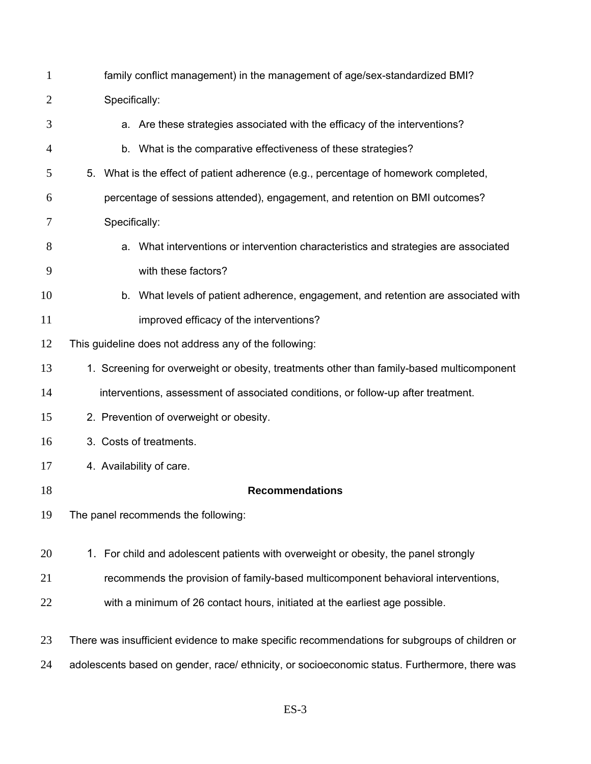| $\mathbf{1}$   | family conflict management) in the management of age/sex-standardized BMI?                    |  |
|----------------|-----------------------------------------------------------------------------------------------|--|
| $\overline{2}$ | Specifically:                                                                                 |  |
| 3              | a. Are these strategies associated with the efficacy of the interventions?                    |  |
| $\overline{4}$ | b. What is the comparative effectiveness of these strategies?                                 |  |
| 5              | 5. What is the effect of patient adherence (e.g., percentage of homework completed,           |  |
| 6              | percentage of sessions attended), engagement, and retention on BMI outcomes?                  |  |
| 7              | Specifically:                                                                                 |  |
| 8              | a. What interventions or intervention characteristics and strategies are associated           |  |
| 9              | with these factors?                                                                           |  |
| 10             | b. What levels of patient adherence, engagement, and retention are associated with            |  |
| 11             | improved efficacy of the interventions?                                                       |  |
| 12             | This guideline does not address any of the following:                                         |  |
| 13             | 1. Screening for overweight or obesity, treatments other than family-based multicomponent     |  |
| 14             | interventions, assessment of associated conditions, or follow-up after treatment.             |  |
| 15             | 2. Prevention of overweight or obesity.                                                       |  |
| 16             | 3. Costs of treatments.                                                                       |  |
| 17             | 4. Availability of care.                                                                      |  |
| 18             | <b>Recommendations</b>                                                                        |  |
| 19             | The panel recommends the following:                                                           |  |
| 20             | 1. For child and adolescent patients with overweight or obesity, the panel strongly           |  |
| 21             | recommends the provision of family-based multicomponent behavioral interventions,             |  |
| 22             | with a minimum of 26 contact hours, initiated at the earliest age possible.                   |  |
| 23             | There was insufficient evidence to make specific recommendations for subgroups of children or |  |
| 24             | adolescents based on gender, race/ethnicity, or socioeconomic status. Furthermore, there was  |  |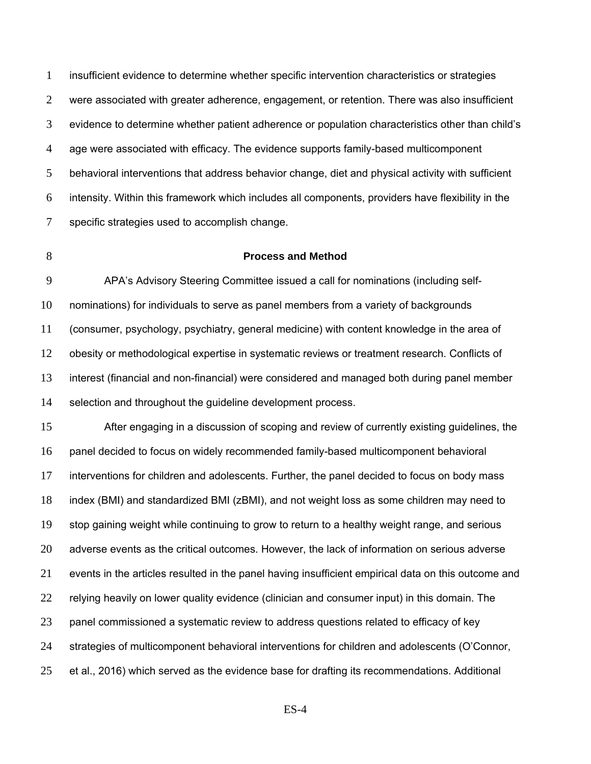insufficient evidence to determine whether specific intervention characteristics or strategies were associated with greater adherence, engagement, or retention. There was also insufficient evidence to determine whether patient adherence or population characteristics other than child's age were associated with efficacy. The evidence supports family-based multicomponent behavioral interventions that address behavior change, diet and physical activity with sufficient intensity. Within this framework which includes all components, providers have flexibility in the specific strategies used to accomplish change.

### **Process and Method**

APA's Advisory Steering Committee issued a call for nominations (including self-nominations) for individuals to serve as panel members from a variety of backgrounds (consumer, psychology, psychiatry, general medicine) with content knowledge in the area of obesity or methodological expertise in systematic reviews or treatment research. Conflicts of interest (financial and non-financial) were considered and managed both during panel member 14 selection and throughout the guideline development process.

After engaging in a discussion of scoping and review of currently existing guidelines, the panel decided to focus on widely recommended family-based multicomponent behavioral interventions for children and adolescents. Further, the panel decided to focus on body mass index (BMI) and standardized BMI (zBMI), and not weight loss as some children may need to stop gaining weight while continuing to grow to return to a healthy weight range, and serious adverse events as the critical outcomes. However, the lack of information on serious adverse events in the articles resulted in the panel having insufficient empirical data on this outcome and 22 relying heavily on lower quality evidence (clinician and consumer input) in this domain. The panel commissioned a systematic review to address questions related to efficacy of key strategies of multicomponent behavioral interventions for children and adolescents (O'Connor, et al., 2016) which served as the evidence base for drafting its recommendations. Additional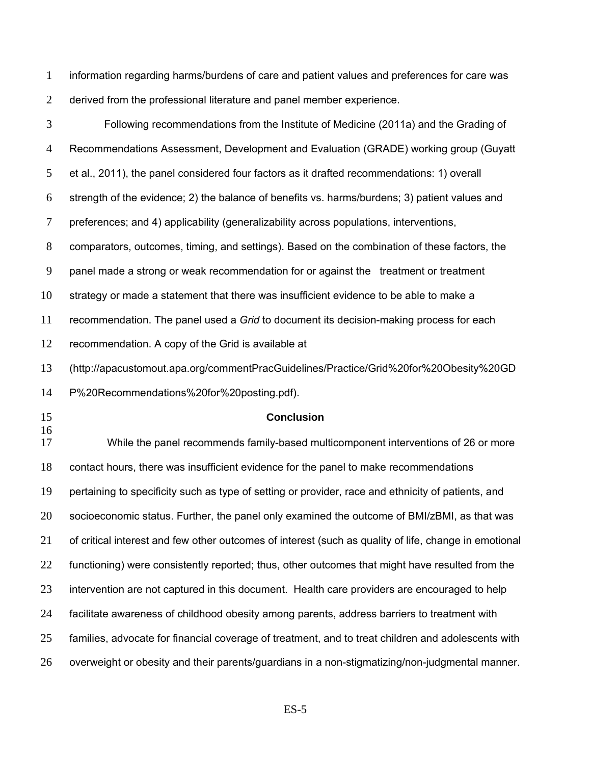information regarding harms/burdens of care and patient values and preferences for care was derived from the professional literature and panel member experience.

| 3              | Following recommendations from the Institute of Medicine (2011a) and the Grading of                   |
|----------------|-------------------------------------------------------------------------------------------------------|
| $\overline{4}$ | Recommendations Assessment, Development and Evaluation (GRADE) working group (Guyatt                  |
| 5              | et al., 2011), the panel considered four factors as it drafted recommendations: 1) overall            |
| 6              | strength of the evidence; 2) the balance of benefits vs. harms/burdens; 3) patient values and         |
| 7              | preferences; and 4) applicability (generalizability across populations, interventions,                |
| 8              | comparators, outcomes, timing, and settings). Based on the combination of these factors, the          |
| 9              | panel made a strong or weak recommendation for or against the treatment or treatment                  |
| 10             | strategy or made a statement that there was insufficient evidence to be able to make a                |
| 11             | recommendation. The panel used a Grid to document its decision-making process for each                |
| 12             | recommendation. A copy of the Grid is available at                                                    |
| 13             | (http://apacustomout.apa.org/commentPracGuidelines/Practice/Grid%20for%20Obesity%20GD                 |
| 14             | P%20Recommendations%20for%20posting.pdf).                                                             |
|                |                                                                                                       |
| 15             | <b>Conclusion</b>                                                                                     |
|                | While the panel recommends family-based multicomponent interventions of 26 or more                    |
| 16<br>17<br>18 | contact hours, there was insufficient evidence for the panel to make recommendations                  |
| 19             | pertaining to specificity such as type of setting or provider, race and ethnicity of patients, and    |
|                | socioeconomic status. Further, the panel only examined the outcome of BMI/zBMI, as that was           |
| 20<br>21       | of critical interest and few other outcomes of interest (such as quality of life, change in emotional |
| 22             | functioning) were consistently reported; thus, other outcomes that might have resulted from the       |
| 23             | intervention are not captured in this document. Health care providers are encouraged to help          |
| 24             | facilitate awareness of childhood obesity among parents, address barriers to treatment with           |
| 25             | families, advocate for financial coverage of treatment, and to treat children and adolescents with    |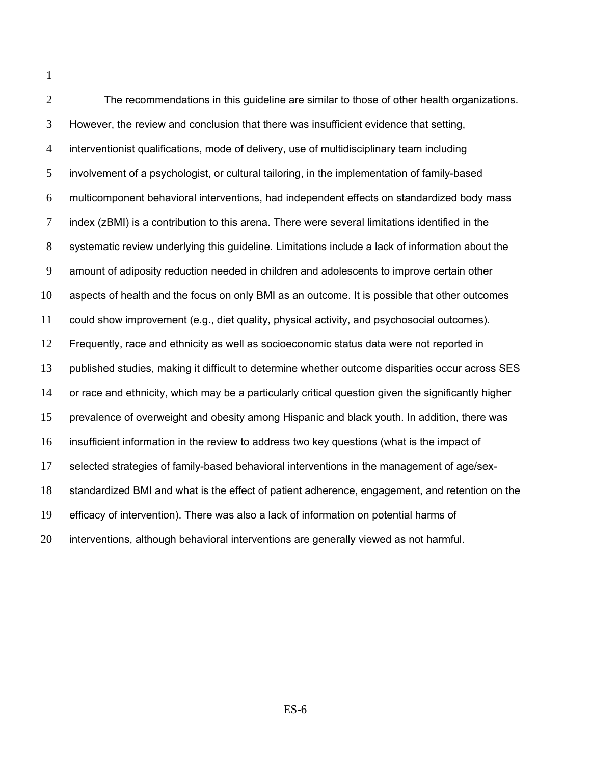| $\overline{2}$ | The recommendations in this guideline are similar to those of other health organizations.           |
|----------------|-----------------------------------------------------------------------------------------------------|
| 3              | However, the review and conclusion that there was insufficient evidence that setting,               |
| $\overline{4}$ | interventionist qualifications, mode of delivery, use of multidisciplinary team including           |
| 5              | involvement of a psychologist, or cultural tailoring, in the implementation of family-based         |
| 6              | multicomponent behavioral interventions, had independent effects on standardized body mass          |
| $\tau$         | index (zBMI) is a contribution to this arena. There were several limitations identified in the      |
| 8              | systematic review underlying this guideline. Limitations include a lack of information about the    |
| 9              | amount of adiposity reduction needed in children and adolescents to improve certain other           |
| 10             | aspects of health and the focus on only BMI as an outcome. It is possible that other outcomes       |
| 11             | could show improvement (e.g., diet quality, physical activity, and psychosocial outcomes).          |
| 12             | Frequently, race and ethnicity as well as socioeconomic status data were not reported in            |
| 13             | published studies, making it difficult to determine whether outcome disparities occur across SES    |
| 14             | or race and ethnicity, which may be a particularly critical question given the significantly higher |
| 15             | prevalence of overweight and obesity among Hispanic and black youth. In addition, there was         |
| 16             | insufficient information in the review to address two key questions (what is the impact of          |
| 17             | selected strategies of family-based behavioral interventions in the management of age/sex-          |
| 18             | standardized BMI and what is the effect of patient adherence, engagement, and retention on the      |
| 19             | efficacy of intervention). There was also a lack of information on potential harms of               |
| 20             | interventions, although behavioral interventions are generally viewed as not harmful.               |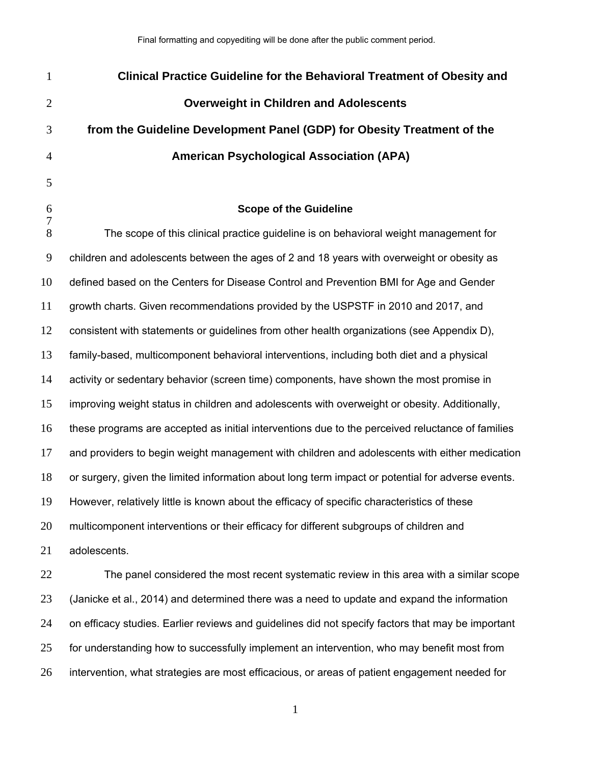| $\mathbf{1}$   | <b>Clinical Practice Guideline for the Behavioral Treatment of Obesity and</b>                    |
|----------------|---------------------------------------------------------------------------------------------------|
| $\overline{2}$ | <b>Overweight in Children and Adolescents</b>                                                     |
| 3              | from the Guideline Development Panel (GDP) for Obesity Treatment of the                           |
| $\overline{4}$ | <b>American Psychological Association (APA)</b>                                                   |
| 5              |                                                                                                   |
| 6              | <b>Scope of the Guideline</b>                                                                     |
| 7<br>8         | The scope of this clinical practice guideline is on behavioral weight management for              |
| $\overline{9}$ | children and adolescents between the ages of 2 and 18 years with overweight or obesity as         |
| 10             | defined based on the Centers for Disease Control and Prevention BMI for Age and Gender            |
| 11             | growth charts. Given recommendations provided by the USPSTF in 2010 and 2017, and                 |
| 12             | consistent with statements or guidelines from other health organizations (see Appendix D),        |
| 13             | family-based, multicomponent behavioral interventions, including both diet and a physical         |
| 14             | activity or sedentary behavior (screen time) components, have shown the most promise in           |
| 15             | improving weight status in children and adolescents with overweight or obesity. Additionally,     |
| 16             | these programs are accepted as initial interventions due to the perceived reluctance of families  |
| 17             | and providers to begin weight management with children and adolescents with either medication     |
| 18             | or surgery, given the limited information about long term impact or potential for adverse events. |
| 19             | However, relatively little is known about the efficacy of specific characteristics of these       |
| 20             | multicomponent interventions or their efficacy for different subgroups of children and            |
| 21             | adolescents.                                                                                      |
| 22             | The panel considered the most recent systematic review in this area with a similar scope          |
| 23             | (Janicke et al., 2014) and determined there was a need to update and expand the information       |
| 24             | on efficacy studies. Earlier reviews and guidelines did not specify factors that may be important |
| 25             | for understanding how to successfully implement an intervention, who may benefit most from        |
| 26             | intervention, what strategies are most efficacious, or areas of patient engagement needed for     |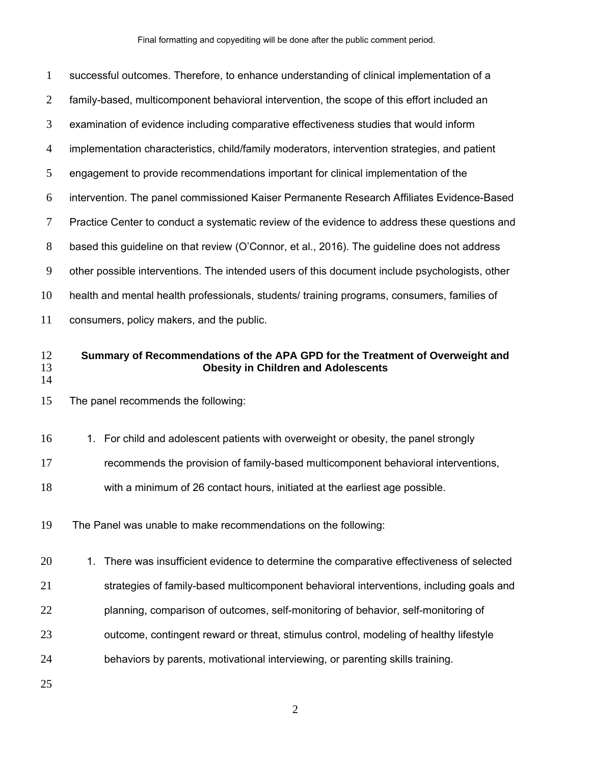| $\mathbf{1}$   | successful outcomes. Therefore, to enhance understanding of clinical implementation of a                                    |  |
|----------------|-----------------------------------------------------------------------------------------------------------------------------|--|
| $\overline{2}$ | family-based, multicomponent behavioral intervention, the scope of this effort included an                                  |  |
| 3              | examination of evidence including comparative effectiveness studies that would inform                                       |  |
| $\overline{4}$ | implementation characteristics, child/family moderators, intervention strategies, and patient                               |  |
| 5              | engagement to provide recommendations important for clinical implementation of the                                          |  |
| 6              | intervention. The panel commissioned Kaiser Permanente Research Affiliates Evidence-Based                                   |  |
| 7              | Practice Center to conduct a systematic review of the evidence to address these questions and                               |  |
| 8              | based this guideline on that review (O'Connor, et al., 2016). The guideline does not address                                |  |
| 9              | other possible interventions. The intended users of this document include psychologists, other                              |  |
| 10             | health and mental health professionals, students/ training programs, consumers, families of                                 |  |
| 11             | consumers, policy makers, and the public.                                                                                   |  |
| 12<br>13       | Summary of Recommendations of the APA GPD for the Treatment of Overweight and<br><b>Obesity in Children and Adolescents</b> |  |
| 14             |                                                                                                                             |  |
| 15             | The panel recommends the following:                                                                                         |  |
| 16             | 1. For child and adolescent patients with overweight or obesity, the panel strongly                                         |  |
| 17             | recommends the provision of family-based multicomponent behavioral interventions,                                           |  |
| 18             | with a minimum of 26 contact hours, initiated at the earliest age possible.                                                 |  |
| 19             | The Panel was unable to make recommendations on the following:                                                              |  |
| 20             | There was insufficient evidence to determine the comparative effectiveness of selected<br>1.                                |  |
| 21             | strategies of family-based multicomponent behavioral interventions, including goals and                                     |  |
| 22             | planning, comparison of outcomes, self-monitoring of behavior, self-monitoring of                                           |  |
| 23             | outcome, contingent reward or threat, stimulus control, modeling of healthy lifestyle                                       |  |
| 24             | behaviors by parents, motivational interviewing, or parenting skills training.                                              |  |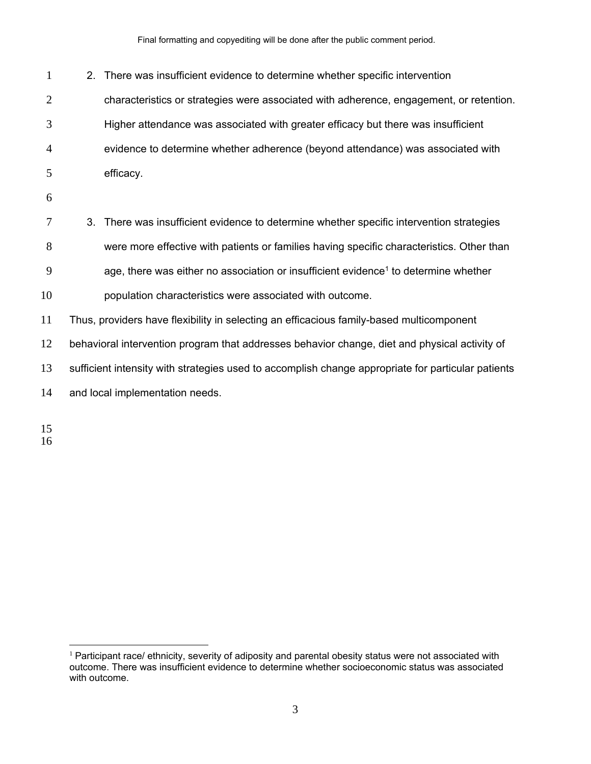Final formatting and copyediting will be done after the public comment period.

2. There was insufficient evidence to determine whether specific intervention characteristics or strategies were associated with adherence, engagement, or retention. Higher attendance was associated with greater efficacy but there was insufficient evidence to determine whether adherence (beyond attendance) was associated with efficacy. 3. There was insufficient evidence to determine whether specific intervention strategies were more effective with patients or families having specific characteristics. Other than 9 age, there was either no association or insufficient evidence<sup>1</sup> to determine whether population characteristics were associated with outcome. Thus, providers have flexibility in selecting an efficacious family-based multicomponent behavioral intervention program that addresses behavior change, diet and physical activity of sufficient intensity with strategies used to accomplish change appropriate for particular patients and local implementation needs.

 $\overline{a}$  Participant race/ ethnicity, severity of adiposity and parental obesity status were not associated with outcome. There was insufficient evidence to determine whether socioeconomic status was associated with outcome.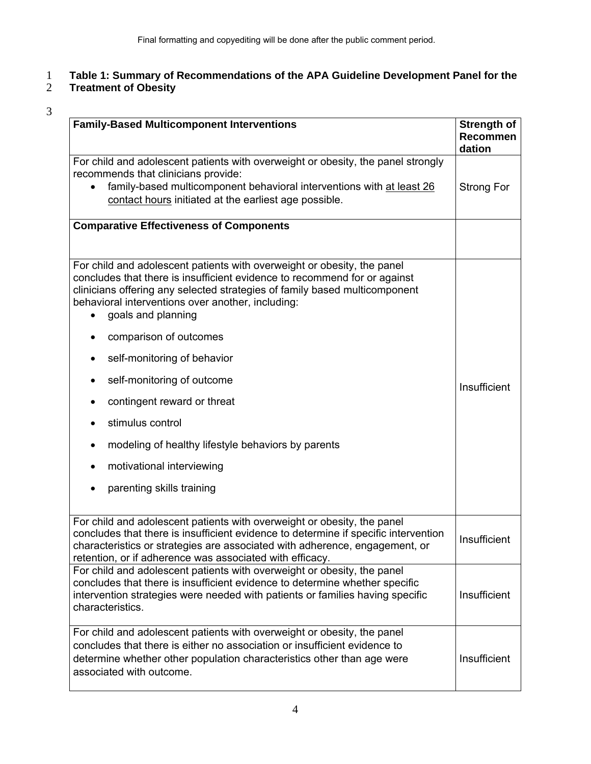# 1 **Table 1: Summary of Recommendations of the APA Guideline Development Panel for the**

## 2 **Treatment of Obesity**

| <b>Family-Based Multicomponent Interventions</b>                                                                                                                                                                                                                                                              | <b>Strength of</b><br>Recommen<br>dation |
|---------------------------------------------------------------------------------------------------------------------------------------------------------------------------------------------------------------------------------------------------------------------------------------------------------------|------------------------------------------|
| For child and adolescent patients with overweight or obesity, the panel strongly<br>recommends that clinicians provide:<br>family-based multicomponent behavioral interventions with at least 26<br>contact hours initiated at the earliest age possible.                                                     | Strong For                               |
| <b>Comparative Effectiveness of Components</b>                                                                                                                                                                                                                                                                |                                          |
| For child and adolescent patients with overweight or obesity, the panel<br>concludes that there is insufficient evidence to recommend for or against<br>clinicians offering any selected strategies of family based multicomponent<br>behavioral interventions over another, including:<br>goals and planning |                                          |
| comparison of outcomes<br>٠                                                                                                                                                                                                                                                                                   |                                          |
| self-monitoring of behavior<br>٠                                                                                                                                                                                                                                                                              |                                          |
| self-monitoring of outcome<br>٠                                                                                                                                                                                                                                                                               | Insufficient                             |
| contingent reward or threat<br>٠                                                                                                                                                                                                                                                                              |                                          |
| stimulus control                                                                                                                                                                                                                                                                                              |                                          |
| modeling of healthy lifestyle behaviors by parents                                                                                                                                                                                                                                                            |                                          |
| motivational interviewing                                                                                                                                                                                                                                                                                     |                                          |
| parenting skills training                                                                                                                                                                                                                                                                                     |                                          |
| For child and adolescent patients with overweight or obesity, the panel<br>concludes that there is insufficient evidence to determine if specific intervention<br>characteristics or strategies are associated with adherence, engagement, or<br>retention, or if adherence was associated with efficacy.     | Insufficient                             |
| For child and adolescent patients with overweight or obesity, the panel<br>concludes that there is insufficient evidence to determine whether specific<br>intervention strategies were needed with patients or families having specific<br>characteristics.                                                   | Insufficient                             |
| For child and adolescent patients with overweight or obesity, the panel<br>concludes that there is either no association or insufficient evidence to<br>determine whether other population characteristics other than age were<br>associated with outcome.                                                    | Insufficient                             |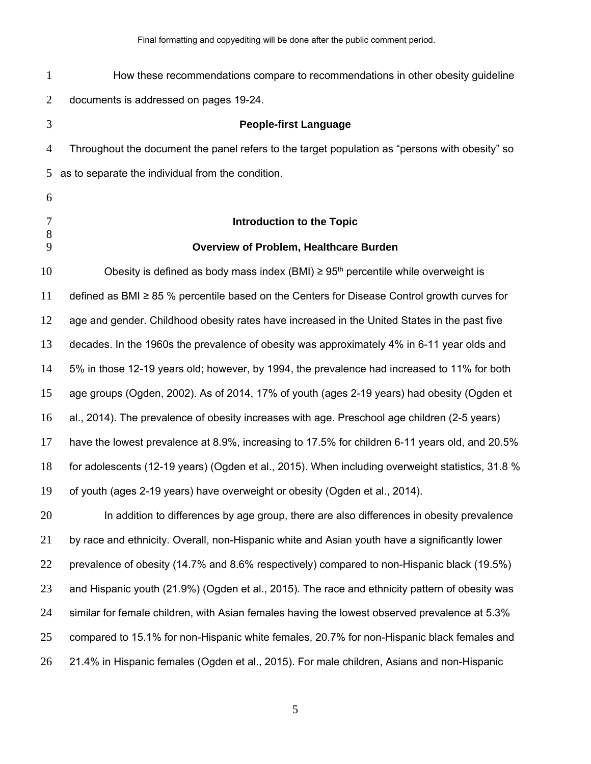| $\mathbf{1}$   | How these recommendations compare to recommendations in other obesity guideline                    |
|----------------|----------------------------------------------------------------------------------------------------|
| 2              | documents is addressed on pages 19-24.                                                             |
| 3              | <b>People-first Language</b>                                                                       |
| $\overline{4}$ | Throughout the document the panel refers to the target population as "persons with obesity" so     |
| 5              | as to separate the individual from the condition.                                                  |
| 6              |                                                                                                    |
| 7<br>8         | <b>Introduction to the Topic</b>                                                                   |
| 9              | <b>Overview of Problem, Healthcare Burden</b>                                                      |
| 10             | Obesity is defined as body mass index (BMI) $\geq$ 95 <sup>th</sup> percentile while overweight is |
| 11             | defined as BMI $\geq$ 85 % percentile based on the Centers for Disease Control growth curves for   |
| 12             | age and gender. Childhood obesity rates have increased in the United States in the past five       |
| 13             | decades. In the 1960s the prevalence of obesity was approximately 4% in 6-11 year olds and         |
| 14             | 5% in those 12-19 years old; however, by 1994, the prevalence had increased to 11% for both        |
| 15             | age groups (Ogden, 2002). As of 2014, 17% of youth (ages 2-19 years) had obesity (Ogden et         |
| 16             | al., 2014). The prevalence of obesity increases with age. Preschool age children (2-5 years)       |
| 17             | have the lowest prevalence at 8.9%, increasing to 17.5% for children 6-11 years old, and 20.5%     |
| 18             | for adolescents (12-19 years) (Ogden et al., 2015). When including overweight statistics, 31.8 %   |
| 19             | of youth (ages 2-19 years) have overweight or obesity (Ogden et al., 2014).                        |
| 20             | In addition to differences by age group, there are also differences in obesity prevalence          |
| 21             | by race and ethnicity. Overall, non-Hispanic white and Asian youth have a significantly lower      |
| 22             | prevalence of obesity (14.7% and 8.6% respectively) compared to non-Hispanic black (19.5%)         |
| 23             | and Hispanic youth (21.9%) (Ogden et al., 2015). The race and ethnicity pattern of obesity was     |
| 24             | similar for female children, with Asian females having the lowest observed prevalence at 5.3%      |
| 25             | compared to 15.1% for non-Hispanic white females, 20.7% for non-Hispanic black females and         |
| 26             | 21.4% in Hispanic females (Ogden et al., 2015). For male children, Asians and non-Hispanic         |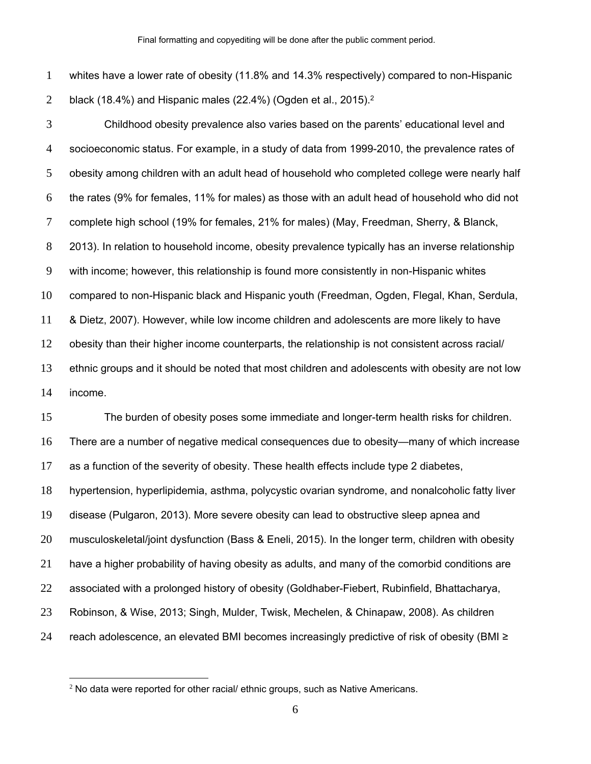whites have a lower rate of obesity (11.8% and 14.3% respectively) compared to non-Hispanic 2 black (18.4%) and Hispanic males (22.4%) (Ogden et al., 2015).<sup>2</sup>

Childhood obesity prevalence also varies based on the parents' educational level and socioeconomic status. For example, in a study of data from 1999-2010, the prevalence rates of obesity among children with an adult head of household who completed college were nearly half the rates (9% for females, 11% for males) as those with an adult head of household who did not complete high school (19% for females, 21% for males) (May, Freedman, Sherry, & Blanck, 2013). In relation to household income, obesity prevalence typically has an inverse relationship with income; however, this relationship is found more consistently in non-Hispanic whites compared to non-Hispanic black and Hispanic youth (Freedman, Ogden, Flegal, Khan, Serdula, & Dietz, 2007). However, while low income children and adolescents are more likely to have obesity than their higher income counterparts, the relationship is not consistent across racial/ ethnic groups and it should be noted that most children and adolescents with obesity are not low income.

The burden of obesity poses some immediate and longer-term health risks for children. There are a number of negative medical consequences due to obesity—many of which increase as a function of the severity of obesity. These health effects include type 2 diabetes, hypertension, hyperlipidemia, asthma, polycystic ovarian syndrome, and nonalcoholic fatty liver disease (Pulgaron, 2013). More severe obesity can lead to obstructive sleep apnea and musculoskeletal/joint dysfunction (Bass & Eneli, 2015). In the longer term, children with obesity have a higher probability of having obesity as adults, and many of the comorbid conditions are associated with a prolonged history of obesity (Goldhaber-Fiebert, Rubinfield, Bhattacharya, Robinson, & Wise, 2013; Singh, Mulder, Twisk, Mechelen, & Chinapaw, 2008). As children 24 reach adolescence, an elevated BMI becomes increasingly predictive of risk of obesity (BMI  $\ge$ 

 $\overline{a}$ 

No data were reported for other racial/ ethnic groups, such as Native Americans.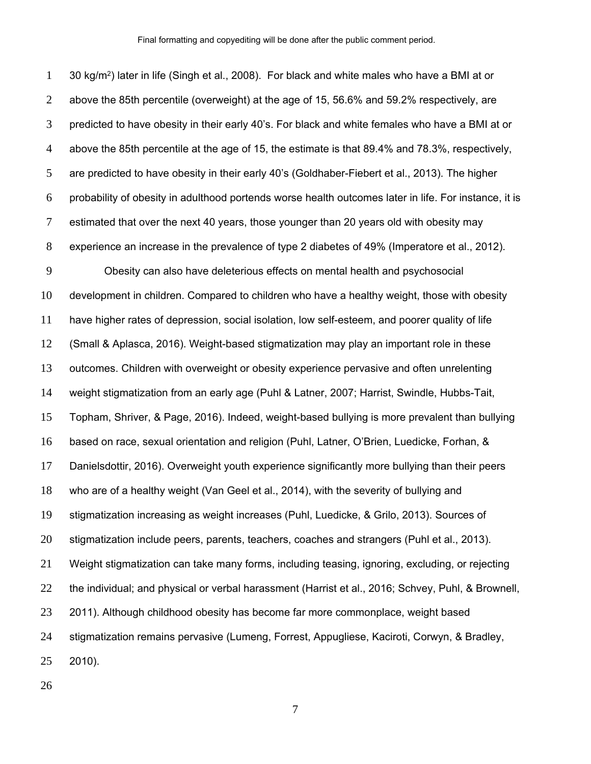30 kg/m<sup>2</sup>) later in life (Singh et al., 2008). For black and white males who have a BMI at or above the 85th percentile (overweight) at the age of 15, 56.6% and 59.2% respectively, are predicted to have obesity in their early 40's. For black and white females who have a BMI at or above the 85th percentile at the age of 15, the estimate is that 89.4% and 78.3%, respectively, are predicted to have obesity in their early 40's (Goldhaber-Fiebert et al., 2013). The higher probability of obesity in adulthood portends worse health outcomes later in life. For instance, it is estimated that over the next 40 years, those younger than 20 years old with obesity may experience an increase in the prevalence of type 2 diabetes of 49% (Imperatore et al., 2012). Obesity can also have deleterious effects on mental health and psychosocial development in children. Compared to children who have a healthy weight, those with obesity have higher rates of depression, social isolation, low self-esteem, and poorer quality of life (Small & Aplasca, 2016). Weight-based stigmatization may play an important role in these outcomes. Children with overweight or obesity experience pervasive and often unrelenting weight stigmatization from an early age (Puhl & Latner, 2007; Harrist, Swindle, Hubbs-Tait, Topham, Shriver, & Page, 2016). Indeed, weight-based bullying is more prevalent than bullying based on race, sexual orientation and religion (Puhl, Latner, O'Brien, Luedicke, Forhan, & Danielsdottir, 2016). Overweight youth experience significantly more bullying than their peers who are of a healthy weight (Van Geel et al., 2014), with the severity of bullying and stigmatization increasing as weight increases (Puhl, Luedicke, & Grilo, 2013). Sources of stigmatization include peers, parents, teachers, coaches and strangers (Puhl et al., 2013). Weight stigmatization can take many forms, including teasing, ignoring, excluding, or rejecting the individual; and physical or verbal harassment (Harrist et al., 2016; Schvey, Puhl, & Brownell, 2011). Although childhood obesity has become far more commonplace, weight based stigmatization remains pervasive (Lumeng, Forrest, Appugliese, Kaciroti, Corwyn, & Bradley, 2010).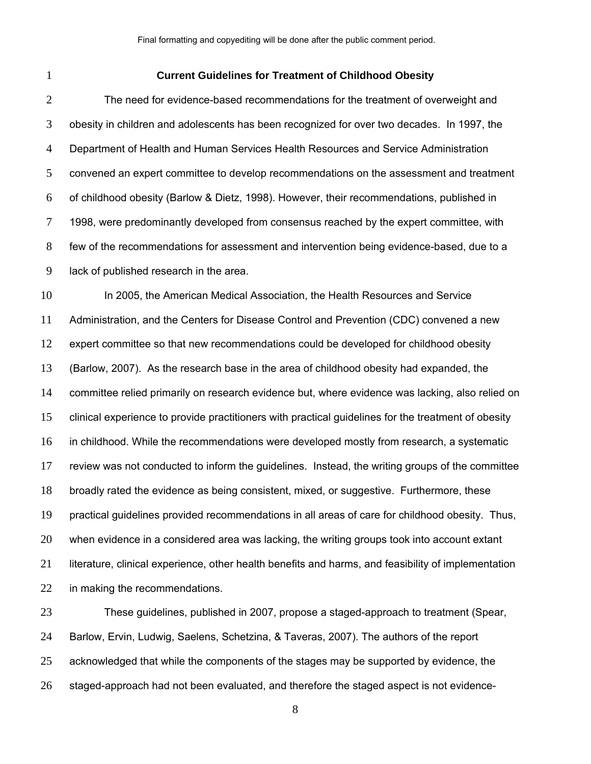### **Current Guidelines for Treatment of Childhood Obesity**

The need for evidence-based recommendations for the treatment of overweight and obesity in children and adolescents has been recognized for over two decades. In 1997, the Department of Health and Human Services Health Resources and Service Administration convened an expert committee to develop recommendations on the assessment and treatment of childhood obesity (Barlow & Dietz, 1998). However, their recommendations, published in 1998, were predominantly developed from consensus reached by the expert committee, with few of the recommendations for assessment and intervention being evidence-based, due to a lack of published research in the area.

In 2005, the American Medical Association, the Health Resources and Service Administration, and the Centers for Disease Control and Prevention (CDC) convened a new expert committee so that new recommendations could be developed for childhood obesity (Barlow, 2007). As the research base in the area of childhood obesity had expanded, the 14 committee relied primarily on research evidence but, where evidence was lacking, also relied on clinical experience to provide practitioners with practical guidelines for the treatment of obesity in childhood. While the recommendations were developed mostly from research, a systematic review was not conducted to inform the guidelines. Instead, the writing groups of the committee broadly rated the evidence as being consistent, mixed, or suggestive. Furthermore, these practical guidelines provided recommendations in all areas of care for childhood obesity. Thus, when evidence in a considered area was lacking, the writing groups took into account extant literature, clinical experience, other health benefits and harms, and feasibility of implementation in making the recommendations.

These guidelines, published in 2007, propose a staged-approach to treatment (Spear, Barlow, Ervin, Ludwig, Saelens, Schetzina, & Taveras, 2007). The authors of the report 25 acknowledged that while the components of the stages may be supported by evidence, the staged-approach had not been evaluated, and therefore the staged aspect is not evidence-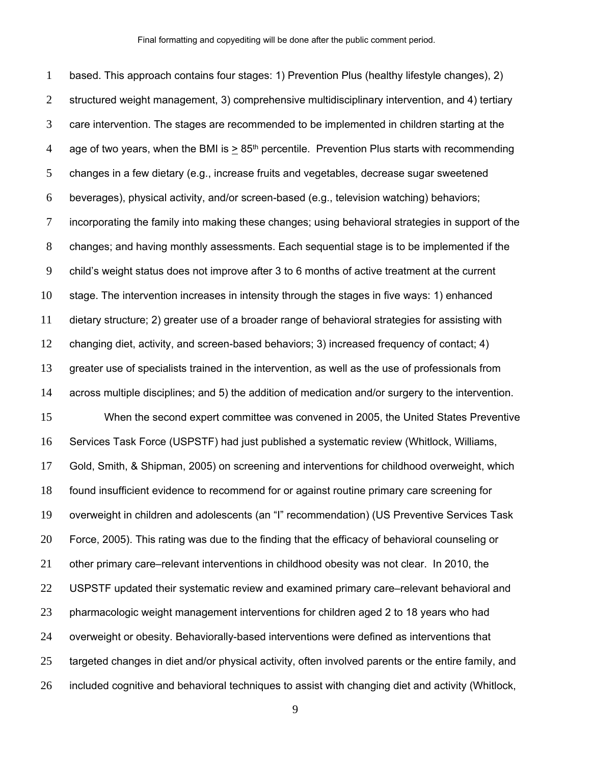based. This approach contains four stages: 1) Prevention Plus (healthy lifestyle changes), 2) structured weight management, 3) comprehensive multidisciplinary intervention, and 4) tertiary care intervention. The stages are recommended to be implemented in children starting at the 4 age of two years, when the BMI is  $> 85<sup>th</sup>$  percentile. Prevention Plus starts with recommending changes in a few dietary (e.g., increase fruits and vegetables, decrease sugar sweetened beverages), physical activity, and/or screen-based (e.g., television watching) behaviors; incorporating the family into making these changes; using behavioral strategies in support of the changes; and having monthly assessments. Each sequential stage is to be implemented if the child's weight status does not improve after 3 to 6 months of active treatment at the current stage. The intervention increases in intensity through the stages in five ways: 1) enhanced dietary structure; 2) greater use of a broader range of behavioral strategies for assisting with changing diet, activity, and screen-based behaviors; 3) increased frequency of contact; 4) greater use of specialists trained in the intervention, as well as the use of professionals from across multiple disciplines; and 5) the addition of medication and/or surgery to the intervention. When the second expert committee was convened in 2005, the United States Preventive Services Task Force (USPSTF) had just published a systematic review (Whitlock, Williams, Gold, Smith, & Shipman, 2005) on screening and interventions for childhood overweight, which found insufficient evidence to recommend for or against routine primary care screening for overweight in children and adolescents (an "I" recommendation) (US Preventive Services Task Force, 2005). This rating was due to the finding that the efficacy of behavioral counseling or other primary care–relevant interventions in childhood obesity was not clear. In 2010, the USPSTF updated their systematic review and examined primary care–relevant behavioral and pharmacologic weight management interventions for children aged 2 to 18 years who had overweight or obesity. Behaviorally-based interventions were defined as interventions that targeted changes in diet and/or physical activity, often involved parents or the entire family, and included cognitive and behavioral techniques to assist with changing diet and activity (Whitlock,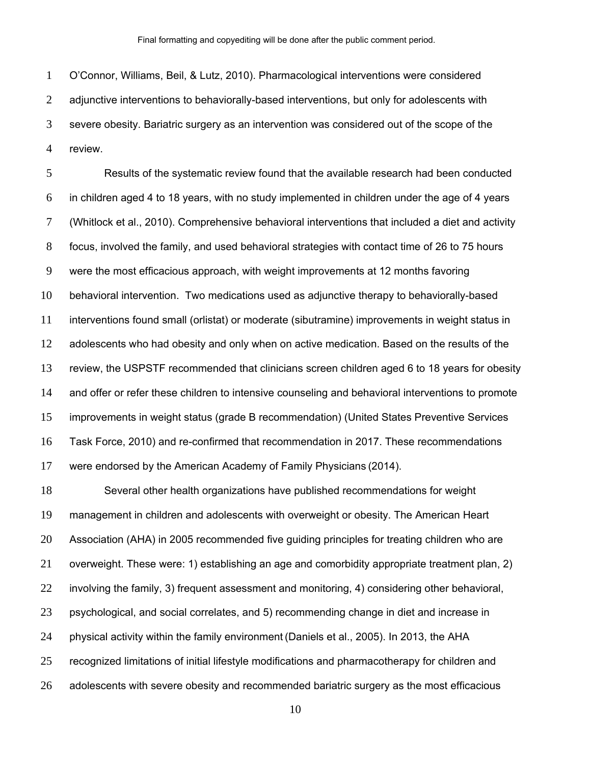O'Connor, Williams, Beil, & Lutz, 2010). Pharmacological interventions were considered 2 adjunctive interventions to behaviorally-based interventions, but only for adolescents with severe obesity. Bariatric surgery as an intervention was considered out of the scope of the review.

Results of the systematic review found that the available research had been conducted in children aged 4 to 18 years, with no study implemented in children under the age of 4 years (Whitlock et al., 2010). Comprehensive behavioral interventions that included a diet and activity focus, involved the family, and used behavioral strategies with contact time of 26 to 75 hours were the most efficacious approach, with weight improvements at 12 months favoring behavioral intervention. Two medications used as adjunctive therapy to behaviorally-based interventions found small (orlistat) or moderate (sibutramine) improvements in weight status in adolescents who had obesity and only when on active medication. Based on the results of the review, the USPSTF recommended that clinicians screen children aged 6 to 18 years for obesity 14 and offer or refer these children to intensive counseling and behavioral interventions to promote improvements in weight status (grade B recommendation) (United States Preventive Services Task Force, 2010) and re-confirmed that recommendation in 2017. These recommendations were endorsed by the American Academy of Family Physicians (2014).

Several other health organizations have published recommendations for weight management in children and adolescents with overweight or obesity. The American Heart Association (AHA) in 2005 recommended five guiding principles for treating children who are overweight. These were: 1) establishing an age and comorbidity appropriate treatment plan, 2) involving the family, 3) frequent assessment and monitoring, 4) considering other behavioral, psychological, and social correlates, and 5) recommending change in diet and increase in physical activity within the family environment (Daniels et al., 2005). In 2013, the AHA recognized limitations of initial lifestyle modifications and pharmacotherapy for children and adolescents with severe obesity and recommended bariatric surgery as the most efficacious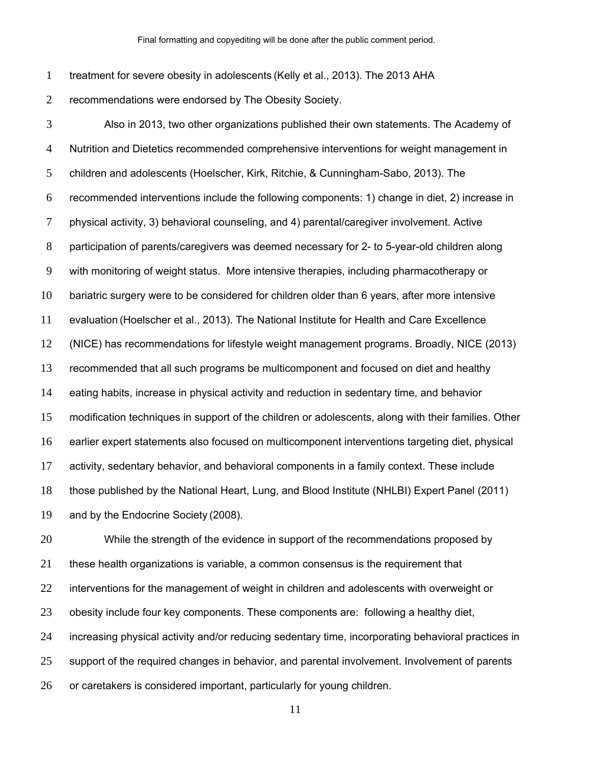treatment for severe obesity in adolescents (Kelly et al., 2013). The 2013 AHA

recommendations were endorsed by The Obesity Society.

Also in 2013, two other organizations published their own statements. The Academy of Nutrition and Dietetics recommended comprehensive interventions for weight management in children and adolescents (Hoelscher, Kirk, Ritchie, & Cunningham-Sabo, 2013). The recommended interventions include the following components: 1) change in diet, 2) increase in physical activity, 3) behavioral counseling, and 4) parental/caregiver involvement. Active participation of parents/caregivers was deemed necessary for 2- to 5-year-old children along with monitoring of weight status. More intensive therapies, including pharmacotherapy or bariatric surgery were to be considered for children older than 6 years, after more intensive evaluation (Hoelscher et al., 2013). The National Institute for Health and Care Excellence (NICE) has recommendations for lifestyle weight management programs. Broadly, NICE (2013) recommended that all such programs be multicomponent and focused on diet and healthy eating habits, increase in physical activity and reduction in sedentary time, and behavior modification techniques in support of the children or adolescents, along with their families. Other earlier expert statements also focused on multicomponent interventions targeting diet, physical 17 activity, sedentary behavior, and behavioral components in a family context. These include those published by the National Heart, Lung, and Blood Institute (NHLBI) Expert Panel (2011) and by the Endocrine Society (2008).

While the strength of the evidence in support of the recommendations proposed by these health organizations is variable, a common consensus is the requirement that interventions for the management of weight in children and adolescents with overweight or obesity include four key components. These components are: following a healthy diet, increasing physical activity and/or reducing sedentary time, incorporating behavioral practices in support of the required changes in behavior, and parental involvement. Involvement of parents or caretakers is considered important, particularly for young children.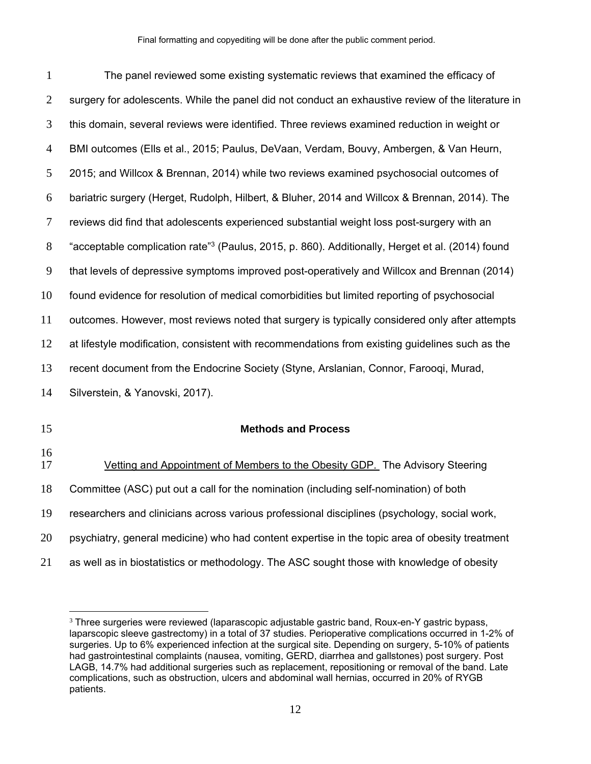| $\mathbf{1}$   | The panel reviewed some existing systematic reviews that examined the efficacy of                           |
|----------------|-------------------------------------------------------------------------------------------------------------|
| $\overline{2}$ | surgery for adolescents. While the panel did not conduct an exhaustive review of the literature in          |
| 3              | this domain, several reviews were identified. Three reviews examined reduction in weight or                 |
| $\overline{4}$ | BMI outcomes (Ells et al., 2015; Paulus, DeVaan, Verdam, Bouvy, Ambergen, & Van Heurn,                      |
| 5              | 2015; and Willcox & Brennan, 2014) while two reviews examined psychosocial outcomes of                      |
| 6              | bariatric surgery (Herget, Rudolph, Hilbert, & Bluher, 2014 and Willcox & Brennan, 2014). The               |
| 7              | reviews did find that adolescents experienced substantial weight loss post-surgery with an                  |
| 8              | acceptable complication rate" <sup>3</sup> (Paulus, 2015, p. 860). Additionally, Herget et al. (2014) found |
| 9              | that levels of depressive symptoms improved post-operatively and Willcox and Brennan (2014)                 |
| 10             | found evidence for resolution of medical comorbidities but limited reporting of psychosocial                |
| 11             | outcomes. However, most reviews noted that surgery is typically considered only after attempts              |
| 12             | at lifestyle modification, consistent with recommendations from existing guidelines such as the             |
| 13             | recent document from the Endocrine Society (Styne, Arslanian, Connor, Faroogi, Murad,                       |
| 14             | Silverstein, & Yanovski, 2017).                                                                             |
| 15             | <b>Methods and Process</b>                                                                                  |
| 16             |                                                                                                             |
| 17             | Vetting and Appointment of Members to the Obesity GDP. The Advisory Steering                                |
| 18             | Committee (ASC) put out a call for the nomination (including self-nomination) of both                       |
| 19             | researchers and clinicians across various professional disciplines (psychology, social work,                |
| 20             | psychiatry, general medicine) who had content expertise in the topic area of obesity treatment              |
| 21             | as well as in biostatistics or methodology. The ASC sought those with knowledge of obesity                  |

 $\overline{a}$ 

<sup>&</sup>lt;sup>3</sup> Three surgeries were reviewed (laparascopic adjustable gastric band, Roux-en-Y gastric bypass, laparscopic sleeve gastrectomy) in a total of 37 studies. Perioperative complications occurred in 1-2% of surgeries. Up to 6% experienced infection at the surgical site. Depending on surgery, 5-10% of patients had gastrointestinal complaints (nausea, vomiting, GERD, diarrhea and gallstones) post surgery. Post LAGB, 14.7% had additional surgeries such as replacement, repositioning or removal of the band. Late complications, such as obstruction, ulcers and abdominal wall hernias, occurred in 20% of RYGB patients.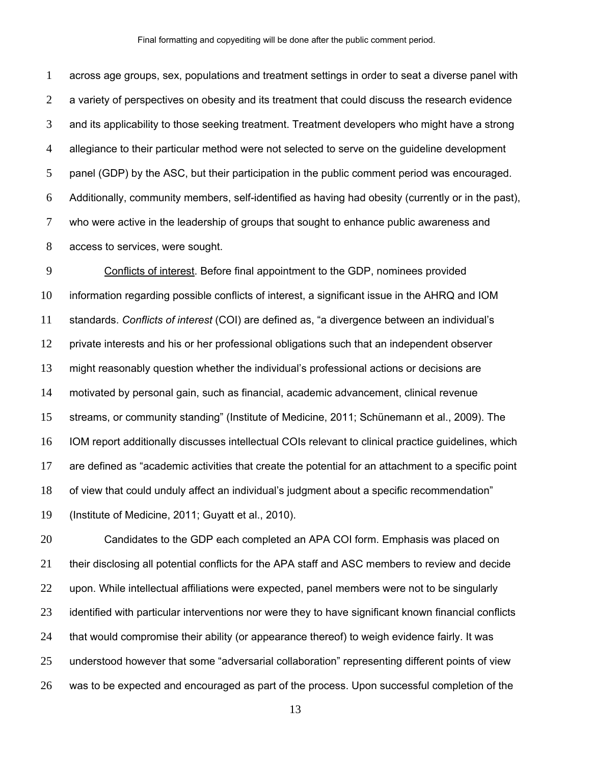across age groups, sex, populations and treatment settings in order to seat a diverse panel with a variety of perspectives on obesity and its treatment that could discuss the research evidence and its applicability to those seeking treatment. Treatment developers who might have a strong allegiance to their particular method were not selected to serve on the guideline development panel (GDP) by the ASC, but their participation in the public comment period was encouraged. Additionally, community members, self-identified as having had obesity (currently or in the past), who were active in the leadership of groups that sought to enhance public awareness and access to services, were sought.

Conflicts of interest. Before final appointment to the GDP, nominees provided information regarding possible conflicts of interest, a significant issue in the AHRQ and IOM standards. *Conflicts of interest* (COI) are defined as, "a divergence between an individual's private interests and his or her professional obligations such that an independent observer might reasonably question whether the individual's professional actions or decisions are motivated by personal gain, such as financial, academic advancement, clinical revenue streams, or community standing" (Institute of Medicine, 2011; Schünemann et al., 2009). The IOM report additionally discusses intellectual COIs relevant to clinical practice guidelines, which are defined as "academic activities that create the potential for an attachment to a specific point of view that could unduly affect an individual's judgment about a specific recommendation" (Institute of Medicine, 2011; Guyatt et al., 2010).

Candidates to the GDP each completed an APA COI form. Emphasis was placed on their disclosing all potential conflicts for the APA staff and ASC members to review and decide 22 upon. While intellectual affiliations were expected, panel members were not to be singularly identified with particular interventions nor were they to have significant known financial conflicts that would compromise their ability (or appearance thereof) to weigh evidence fairly. It was understood however that some "adversarial collaboration" representing different points of view was to be expected and encouraged as part of the process. Upon successful completion of the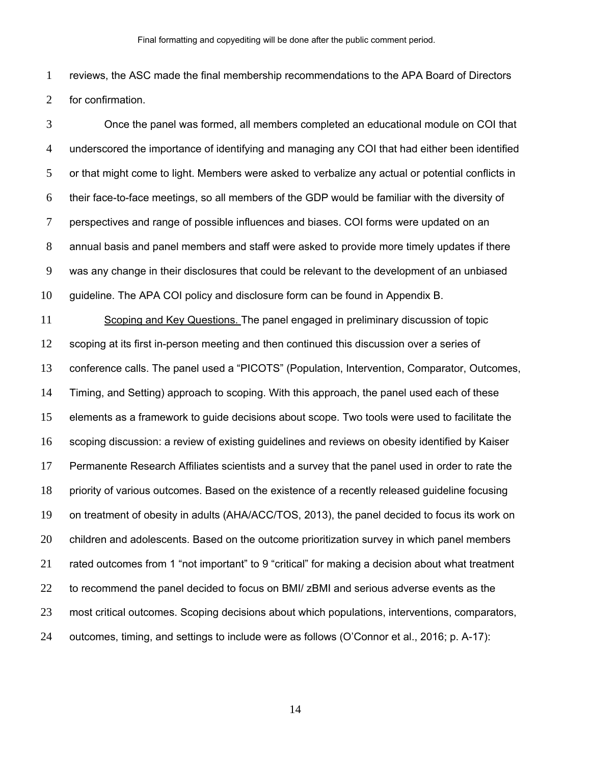reviews, the ASC made the final membership recommendations to the APA Board of Directors for confirmation.

Once the panel was formed, all members completed an educational module on COI that underscored the importance of identifying and managing any COI that had either been identified 5 or that might come to light. Members were asked to verbalize any actual or potential conflicts in their face-to-face meetings, so all members of the GDP would be familiar with the diversity of perspectives and range of possible influences and biases. COI forms were updated on an annual basis and panel members and staff were asked to provide more timely updates if there was any change in their disclosures that could be relevant to the development of an unbiased guideline. The APA COI policy and disclosure form can be found in Appendix B.

Scoping and Key Questions. The panel engaged in preliminary discussion of topic scoping at its first in-person meeting and then continued this discussion over a series of conference calls. The panel used a "PICOTS" (Population, Intervention, Comparator, Outcomes, Timing, and Setting) approach to scoping. With this approach, the panel used each of these elements as a framework to guide decisions about scope. Two tools were used to facilitate the scoping discussion: a review of existing guidelines and reviews on obesity identified by Kaiser Permanente Research Affiliates scientists and a survey that the panel used in order to rate the priority of various outcomes. Based on the existence of a recently released guideline focusing on treatment of obesity in adults (AHA/ACC/TOS, 2013), the panel decided to focus its work on children and adolescents. Based on the outcome prioritization survey in which panel members rated outcomes from 1 "not important" to 9 "critical" for making a decision about what treatment to recommend the panel decided to focus on BMI/ zBMI and serious adverse events as the most critical outcomes. Scoping decisions about which populations, interventions, comparators, outcomes, timing, and settings to include were as follows (O'Connor et al., 2016; p. A-17):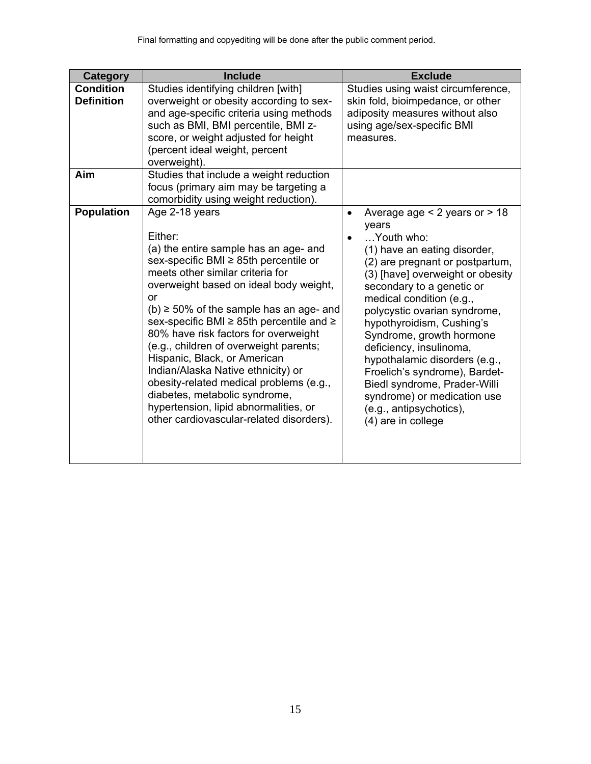| <b>Category</b>                       | <b>Include</b>                                                                                                                                                                                                                                                                                                                                                                                                                                                                                                                                                                                                       | <b>Exclude</b>                                                                                                                                                                                                                                                                                                                                                                                                                                                                                                                              |
|---------------------------------------|----------------------------------------------------------------------------------------------------------------------------------------------------------------------------------------------------------------------------------------------------------------------------------------------------------------------------------------------------------------------------------------------------------------------------------------------------------------------------------------------------------------------------------------------------------------------------------------------------------------------|---------------------------------------------------------------------------------------------------------------------------------------------------------------------------------------------------------------------------------------------------------------------------------------------------------------------------------------------------------------------------------------------------------------------------------------------------------------------------------------------------------------------------------------------|
| <b>Condition</b><br><b>Definition</b> | Studies identifying children [with]<br>overweight or obesity according to sex-<br>and age-specific criteria using methods<br>such as BMI, BMI percentile, BMI z-<br>score, or weight adjusted for height<br>(percent ideal weight, percent<br>overweight).                                                                                                                                                                                                                                                                                                                                                           | Studies using waist circumference,<br>skin fold, bioimpedance, or other<br>adiposity measures without also<br>using age/sex-specific BMI<br>measures.                                                                                                                                                                                                                                                                                                                                                                                       |
| Aim                                   | Studies that include a weight reduction<br>focus (primary aim may be targeting a<br>comorbidity using weight reduction).                                                                                                                                                                                                                                                                                                                                                                                                                                                                                             |                                                                                                                                                                                                                                                                                                                                                                                                                                                                                                                                             |
| <b>Population</b>                     | Age 2-18 years<br>Either:<br>(a) the entire sample has an age- and<br>sex-specific BMI ≥ 85th percentile or<br>meets other similar criteria for<br>overweight based on ideal body weight,<br>or<br>$(b) \ge 50\%$ of the sample has an age- and<br>sex-specific BMI ≥ 85th percentile and ≥<br>80% have risk factors for overweight<br>(e.g., children of overweight parents;<br>Hispanic, Black, or American<br>Indian/Alaska Native ethnicity) or<br>obesity-related medical problems (e.g.,<br>diabetes, metabolic syndrome,<br>hypertension, lipid abnormalities, or<br>other cardiovascular-related disorders). | Average age $<$ 2 years or $>$ 18<br>$\bullet$<br>years<br>Youth who:<br>(1) have an eating disorder,<br>(2) are pregnant or postpartum,<br>(3) [have] overweight or obesity<br>secondary to a genetic or<br>medical condition (e.g.,<br>polycystic ovarian syndrome,<br>hypothyroidism, Cushing's<br>Syndrome, growth hormone<br>deficiency, insulinoma,<br>hypothalamic disorders (e.g.,<br>Froelich's syndrome), Bardet-<br>Biedl syndrome, Prader-Willi<br>syndrome) or medication use<br>(e.g., antipsychotics),<br>(4) are in college |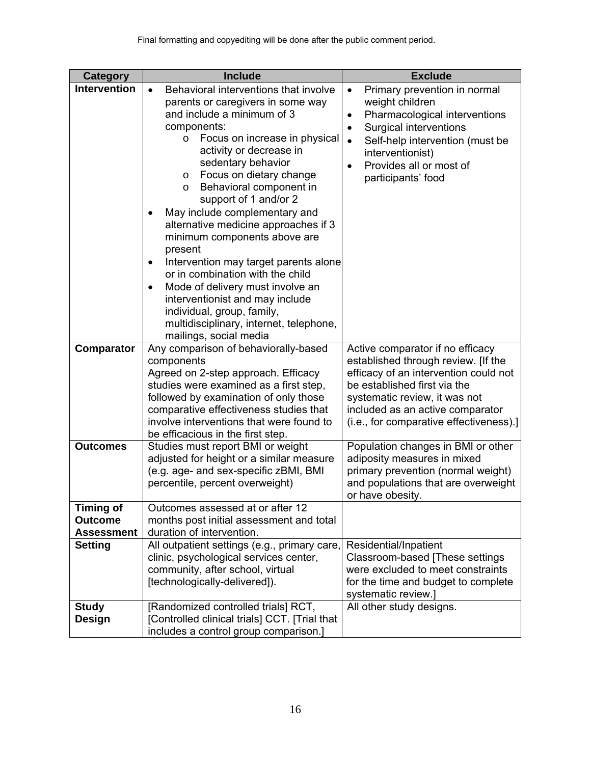| <b>Category</b>                                         | <b>Include</b>                                                                                                                                                                                                                                                                                                                                                                                                                                                                                                                                                                                                                                                                                                 | <b>Exclude</b>                                                                                                                                                                                                                                                                      |
|---------------------------------------------------------|----------------------------------------------------------------------------------------------------------------------------------------------------------------------------------------------------------------------------------------------------------------------------------------------------------------------------------------------------------------------------------------------------------------------------------------------------------------------------------------------------------------------------------------------------------------------------------------------------------------------------------------------------------------------------------------------------------------|-------------------------------------------------------------------------------------------------------------------------------------------------------------------------------------------------------------------------------------------------------------------------------------|
| <b>Intervention</b>                                     | Behavioral interventions that involve<br>parents or caregivers in some way<br>and include a minimum of 3<br>components:<br>Focus on increase in physical<br>$\circ$<br>activity or decrease in<br>sedentary behavior<br>Focus on dietary change<br>$\circ$<br>Behavioral component in<br>$\circ$<br>support of 1 and/or 2<br>May include complementary and<br>alternative medicine approaches if 3<br>minimum components above are<br>present<br>Intervention may target parents alone<br>٠<br>or in combination with the child<br>Mode of delivery must involve an<br>٠<br>interventionist and may include<br>individual, group, family,<br>multidisciplinary, internet, telephone,<br>mailings, social media | Primary prevention in normal<br>$\bullet$<br>weight children<br>Pharmacological interventions<br>$\bullet$<br>Surgical interventions<br>$\bullet$<br>Self-help intervention (must be<br>$\bullet$<br>interventionist)<br>Provides all or most of<br>$\bullet$<br>participants' food |
| Comparator                                              | Any comparison of behaviorally-based<br>components<br>Agreed on 2-step approach. Efficacy<br>studies were examined as a first step,<br>followed by examination of only those<br>comparative effectiveness studies that<br>involve interventions that were found to<br>be efficacious in the first step.                                                                                                                                                                                                                                                                                                                                                                                                        | Active comparator if no efficacy<br>established through review. [If the<br>efficacy of an intervention could not<br>be established first via the<br>systematic review, it was not<br>included as an active comparator<br>(i.e., for comparative effectiveness).]                    |
| <b>Outcomes</b>                                         | Studies must report BMI or weight<br>adjusted for height or a similar measure<br>(e.g. age- and sex-specific zBMI, BMI<br>percentile, percent overweight)                                                                                                                                                                                                                                                                                                                                                                                                                                                                                                                                                      | Population changes in BMI or other<br>adiposity measures in mixed<br>primary prevention (normal weight)<br>and populations that are overweight<br>or have obesity.                                                                                                                  |
| <b>Timing of</b><br><b>Outcome</b><br><b>Assessment</b> | Outcomes assessed at or after 12<br>months post initial assessment and total<br>duration of intervention.                                                                                                                                                                                                                                                                                                                                                                                                                                                                                                                                                                                                      |                                                                                                                                                                                                                                                                                     |
| <b>Setting</b>                                          | All outpatient settings (e.g., primary care,<br>clinic, psychological services center,<br>community, after school, virtual<br>[technologically-delivered]).                                                                                                                                                                                                                                                                                                                                                                                                                                                                                                                                                    | Residential/Inpatient<br>Classroom-based [These settings<br>were excluded to meet constraints<br>for the time and budget to complete<br>systematic review.]                                                                                                                         |
| <b>Study</b><br>Design                                  | [Randomized controlled trials] RCT,<br>[Controlled clinical trials] CCT. [Trial that<br>includes a control group comparison.]                                                                                                                                                                                                                                                                                                                                                                                                                                                                                                                                                                                  | All other study designs.                                                                                                                                                                                                                                                            |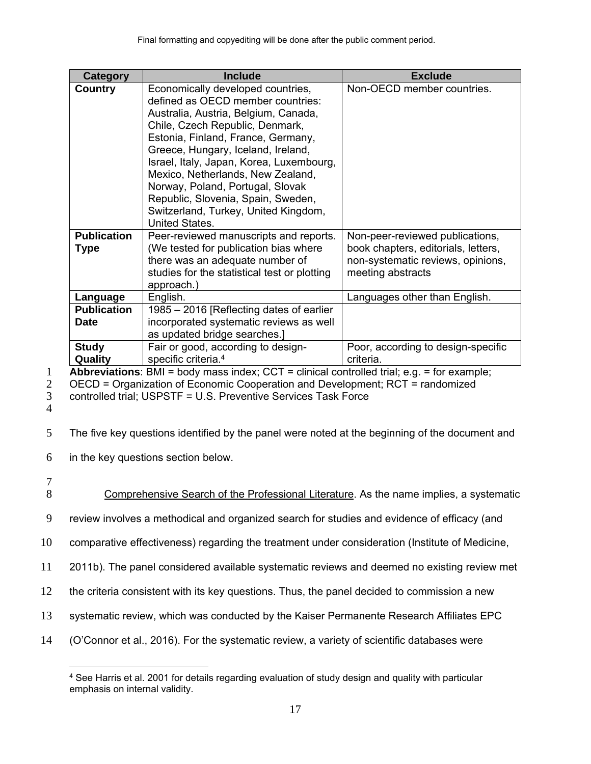| <b>Category</b>                   | <b>Include</b>                                                                                                                                                                                                                                                                                                                                                                                                                                            | <b>Exclude</b>                                                                                                                   |
|-----------------------------------|-----------------------------------------------------------------------------------------------------------------------------------------------------------------------------------------------------------------------------------------------------------------------------------------------------------------------------------------------------------------------------------------------------------------------------------------------------------|----------------------------------------------------------------------------------------------------------------------------------|
| Country                           | Economically developed countries,<br>defined as OECD member countries:<br>Australia, Austria, Belgium, Canada,<br>Chile, Czech Republic, Denmark,<br>Estonia, Finland, France, Germany,<br>Greece, Hungary, Iceland, Ireland,<br>Israel, Italy, Japan, Korea, Luxembourg,<br>Mexico, Netherlands, New Zealand,<br>Norway, Poland, Portugal, Slovak<br>Republic, Slovenia, Spain, Sweden,<br>Switzerland, Turkey, United Kingdom,<br><b>United States.</b> | Non-OECD member countries.                                                                                                       |
| <b>Publication</b><br><b>Type</b> | Peer-reviewed manuscripts and reports.<br>(We tested for publication bias where<br>there was an adequate number of<br>studies for the statistical test or plotting<br>approach.)                                                                                                                                                                                                                                                                          | Non-peer-reviewed publications,<br>book chapters, editorials, letters,<br>non-systematic reviews, opinions,<br>meeting abstracts |
| Language                          | English.                                                                                                                                                                                                                                                                                                                                                                                                                                                  | Languages other than English.                                                                                                    |
| <b>Publication</b>                | 1985 – 2016 [Reflecting dates of earlier                                                                                                                                                                                                                                                                                                                                                                                                                  |                                                                                                                                  |
| <b>Date</b>                       | incorporated systematic reviews as well<br>as updated bridge searches.]                                                                                                                                                                                                                                                                                                                                                                                   |                                                                                                                                  |
| <b>Study</b><br>Quality           | Fair or good, according to design-<br>specific criteria. <sup>4</sup><br>---                                                                                                                                                                                                                                                                                                                                                                              | Poor, according to design-specific<br>criteria.                                                                                  |

1 **Abbreviations**: BMI = body mass index; CCT = clinical controlled trial; e.g. = for example;<br>2 **OECD = Organization of Economic Cooperation and Development: RCT = randomized** 

2 OECD = Organization of Economic Cooperation and Development; RCT = randomized

3 controlled trial; USPSTF = U.S. Preventive Services Task Force

- 4
- 5 The five key questions identified by the panel were noted at the beginning of the document and

6 in the key questions section below.

 $\frac{7}{8}$ 

 $\overline{a}$ 

- Comprehensive Search of the Professional Literature. As the name implies, a systematic
- 9 review involves a methodical and organized search for studies and evidence of efficacy (and

10 comparative effectiveness) regarding the treatment under consideration (Institute of Medicine,

- 11 2011b). The panel considered available systematic reviews and deemed no existing review met
- 12 the criteria consistent with its key questions. Thus, the panel decided to commission a new
- 13 systematic review, which was conducted by the Kaiser Permanente Research Affiliates EPC
- 14 (O'Connor et al., 2016). For the systematic review, a variety of scientific databases were

<sup>4</sup> See Harris et al. 2001 for details regarding evaluation of study design and quality with particular emphasis on internal validity.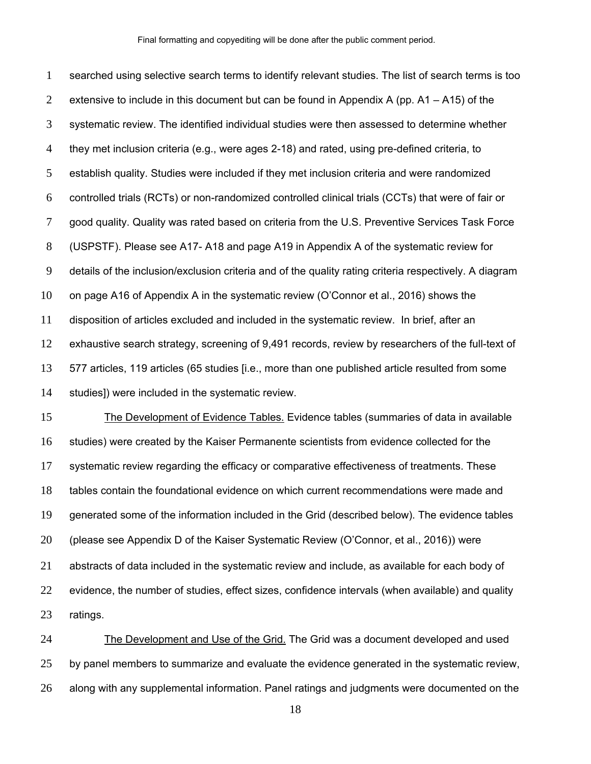searched using selective search terms to identify relevant studies. The list of search terms is too 2 extensive to include in this document but can be found in Appendix A (pp.  $A1 - A15$ ) of the systematic review. The identified individual studies were then assessed to determine whether they met inclusion criteria (e.g., were ages 2-18) and rated, using pre-defined criteria, to establish quality. Studies were included if they met inclusion criteria and were randomized controlled trials (RCTs) or non-randomized controlled clinical trials (CCTs) that were of fair or good quality. Quality was rated based on criteria from the U.S. Preventive Services Task Force (USPSTF). Please see A17- A18 and page A19 in Appendix A of the systematic review for details of the inclusion/exclusion criteria and of the quality rating criteria respectively. A diagram on page A16 of Appendix A in the systematic review (O'Connor et al., 2016) shows the disposition of articles excluded and included in the systematic review. In brief, after an exhaustive search strategy, screening of 9,491 records, review by researchers of the full-text of 577 articles, 119 articles (65 studies [i.e., more than one published article resulted from some studies]) were included in the systematic review.

The Development of Evidence Tables. Evidence tables (summaries of data in available studies) were created by the Kaiser Permanente scientists from evidence collected for the systematic review regarding the efficacy or comparative effectiveness of treatments. These tables contain the foundational evidence on which current recommendations were made and generated some of the information included in the Grid (described below). The evidence tables (please see Appendix D of the Kaiser Systematic Review (O'Connor, et al., 2016)) were abstracts of data included in the systematic review and include, as available for each body of evidence, the number of studies, effect sizes, confidence intervals (when available) and quality ratings.

The Development and Use of the Grid. The Grid was a document developed and used 25 by panel members to summarize and evaluate the evidence generated in the systematic review, along with any supplemental information. Panel ratings and judgments were documented on the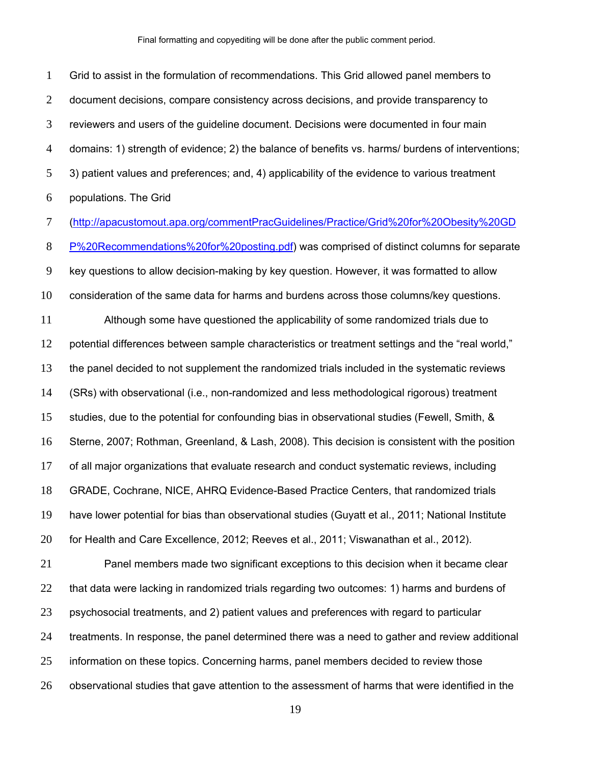Grid to assist in the formulation of recommendations. This Grid allowed panel members to 2 document decisions, compare consistency across decisions, and provide transparency to reviewers and users of the guideline document. Decisions were documented in four main domains: 1) strength of evidence; 2) the balance of benefits vs. harms/ burdens of interventions; 3) patient values and preferences; and, 4) applicability of the evidence to various treatment populations. The Grid

(http://apacustomout.apa.org/commentPracGuidelines/Practice/Grid%20for%20Obesity%20GD

P%20Recommendations%20for%20posting.pdf) was comprised of distinct columns for separate key questions to allow decision-making by key question. However, it was formatted to allow

consideration of the same data for harms and burdens across those columns/key questions.

Although some have questioned the applicability of some randomized trials due to potential differences between sample characteristics or treatment settings and the "real world," the panel decided to not supplement the randomized trials included in the systematic reviews (SRs) with observational (i.e., non-randomized and less methodological rigorous) treatment studies, due to the potential for confounding bias in observational studies (Fewell, Smith, & Sterne, 2007; Rothman, Greenland, & Lash, 2008). This decision is consistent with the position of all major organizations that evaluate research and conduct systematic reviews, including GRADE, Cochrane, NICE, AHRQ Evidence-Based Practice Centers, that randomized trials have lower potential for bias than observational studies (Guyatt et al., 2011; National Institute for Health and Care Excellence, 2012; Reeves et al., 2011; Viswanathan et al., 2012). Panel members made two significant exceptions to this decision when it became clear

22 that data were lacking in randomized trials regarding two outcomes: 1) harms and burdens of psychosocial treatments, and 2) patient values and preferences with regard to particular treatments. In response, the panel determined there was a need to gather and review additional information on these topics. Concerning harms, panel members decided to review those observational studies that gave attention to the assessment of harms that were identified in the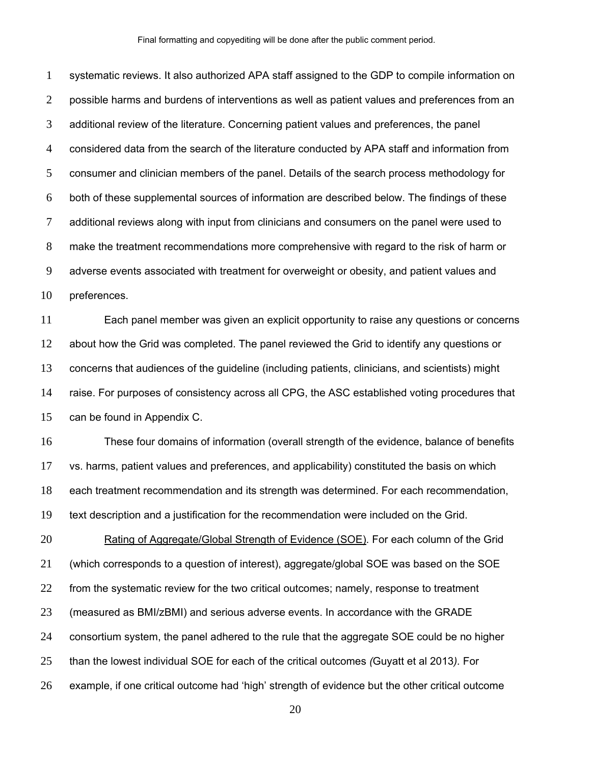systematic reviews. It also authorized APA staff assigned to the GDP to compile information on 2 possible harms and burdens of interventions as well as patient values and preferences from an additional review of the literature. Concerning patient values and preferences, the panel considered data from the search of the literature conducted by APA staff and information from consumer and clinician members of the panel. Details of the search process methodology for both of these supplemental sources of information are described below. The findings of these 7 additional reviews along with input from clinicians and consumers on the panel were used to make the treatment recommendations more comprehensive with regard to the risk of harm or adverse events associated with treatment for overweight or obesity, and patient values and preferences.

Each panel member was given an explicit opportunity to raise any questions or concerns about how the Grid was completed. The panel reviewed the Grid to identify any questions or concerns that audiences of the guideline (including patients, clinicians, and scientists) might raise. For purposes of consistency across all CPG, the ASC established voting procedures that can be found in Appendix C.

These four domains of information (overall strength of the evidence, balance of benefits vs. harms, patient values and preferences, and applicability) constituted the basis on which each treatment recommendation and its strength was determined. For each recommendation, text description and a justification for the recommendation were included on the Grid.

Rating of Aggregate/Global Strength of Evidence (SOE). For each column of the Grid (which corresponds to a question of interest), aggregate/global SOE was based on the SOE from the systematic review for the two critical outcomes; namely, response to treatment (measured as BMI/zBMI) and serious adverse events. In accordance with the GRADE consortium system, the panel adhered to the rule that the aggregate SOE could be no higher than the lowest individual SOE for each of the critical outcomes *(*Guyatt et al 2013*).* For example, if one critical outcome had 'high' strength of evidence but the other critical outcome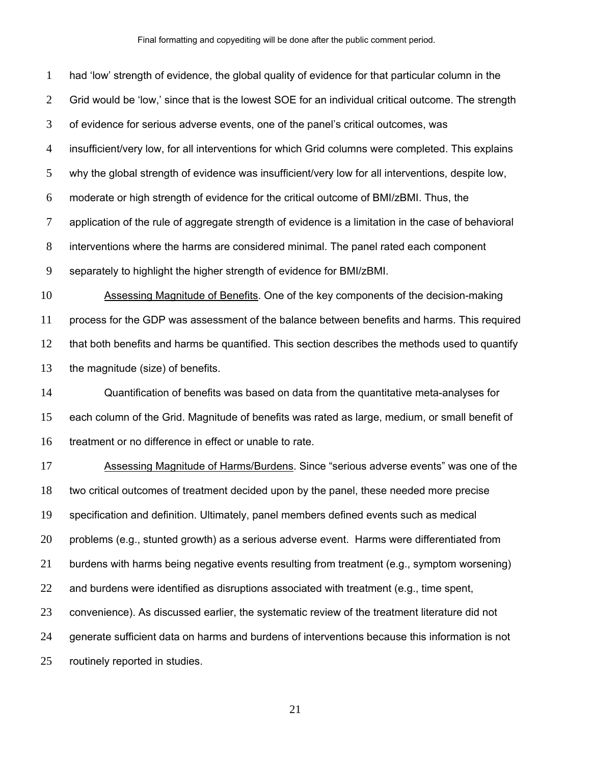had 'low' strength of evidence, the global quality of evidence for that particular column in the Grid would be 'low,' since that is the lowest SOE for an individual critical outcome. The strength of evidence for serious adverse events, one of the panel's critical outcomes, was insufficient/very low, for all interventions for which Grid columns were completed. This explains why the global strength of evidence was insufficient/very low for all interventions, despite low, moderate or high strength of evidence for the critical outcome of BMI/zBMI. Thus, the application of the rule of aggregate strength of evidence is a limitation in the case of behavioral interventions where the harms are considered minimal. The panel rated each component separately to highlight the higher strength of evidence for BMI/zBMI. Assessing Magnitude of Benefits. One of the key components of the decision-making process for the GDP was assessment of the balance between benefits and harms. This required that both benefits and harms be quantified. This section describes the methods used to quantify the magnitude (size) of benefits. Quantification of benefits was based on data from the quantitative meta-analyses for each column of the Grid. Magnitude of benefits was rated as large, medium, or small benefit of treatment or no difference in effect or unable to rate. Assessing Magnitude of Harms/Burdens. Since "serious adverse events" was one of the two critical outcomes of treatment decided upon by the panel, these needed more precise specification and definition. Ultimately, panel members defined events such as medical problems (e.g., stunted growth) as a serious adverse event. Harms were differentiated from burdens with harms being negative events resulting from treatment (e.g., symptom worsening) and burdens were identified as disruptions associated with treatment (e.g., time spent, convenience). As discussed earlier, the systematic review of the treatment literature did not generate sufficient data on harms and burdens of interventions because this information is not routinely reported in studies.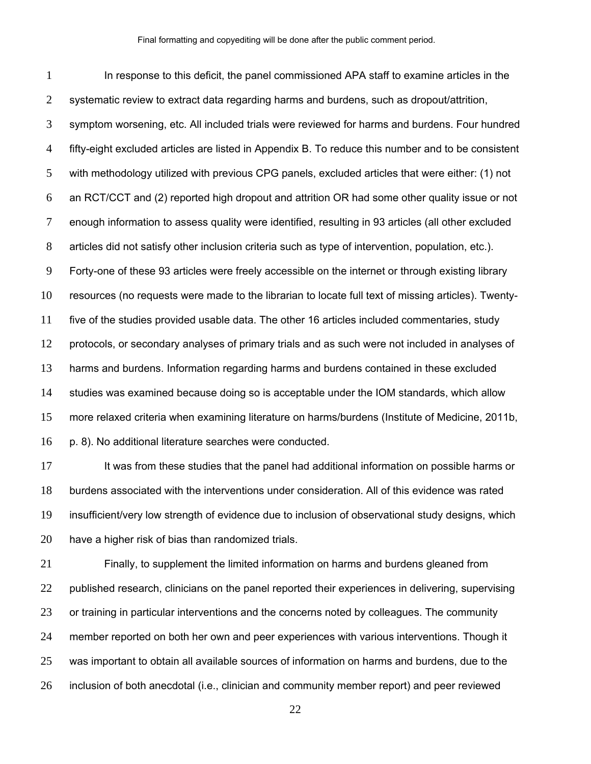In response to this deficit, the panel commissioned APA staff to examine articles in the systematic review to extract data regarding harms and burdens, such as dropout/attrition, symptom worsening, etc. All included trials were reviewed for harms and burdens. Four hundred fifty-eight excluded articles are listed in Appendix B. To reduce this number and to be consistent with methodology utilized with previous CPG panels, excluded articles that were either: (1) not an RCT/CCT and (2) reported high dropout and attrition OR had some other quality issue or not enough information to assess quality were identified, resulting in 93 articles (all other excluded articles did not satisfy other inclusion criteria such as type of intervention, population, etc.). Forty-one of these 93 articles were freely accessible on the internet or through existing library resources (no requests were made to the librarian to locate full text of missing articles). Twenty-five of the studies provided usable data. The other 16 articles included commentaries, study protocols, or secondary analyses of primary trials and as such were not included in analyses of harms and burdens. Information regarding harms and burdens contained in these excluded studies was examined because doing so is acceptable under the IOM standards, which allow more relaxed criteria when examining literature on harms/burdens (Institute of Medicine, 2011b, p. 8). No additional literature searches were conducted.

17 It was from these studies that the panel had additional information on possible harms or burdens associated with the interventions under consideration. All of this evidence was rated insufficient/very low strength of evidence due to inclusion of observational study designs, which have a higher risk of bias than randomized trials.

Finally, to supplement the limited information on harms and burdens gleaned from published research, clinicians on the panel reported their experiences in delivering, supervising or training in particular interventions and the concerns noted by colleagues. The community member reported on both her own and peer experiences with various interventions. Though it was important to obtain all available sources of information on harms and burdens, due to the inclusion of both anecdotal (i.e., clinician and community member report) and peer reviewed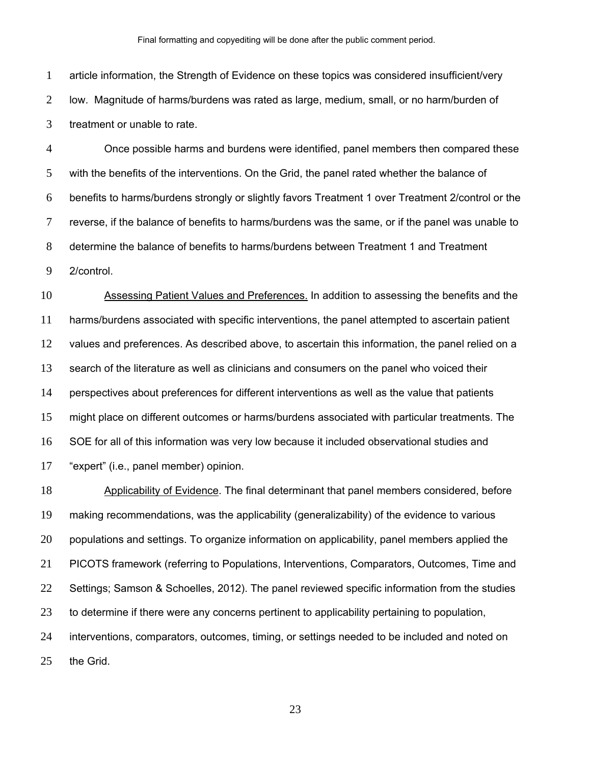article information, the Strength of Evidence on these topics was considered insufficient/very low. Magnitude of harms/burdens was rated as large, medium, small, or no harm/burden of treatment or unable to rate.

Once possible harms and burdens were identified, panel members then compared these with the benefits of the interventions. On the Grid, the panel rated whether the balance of benefits to harms/burdens strongly or slightly favors Treatment 1 over Treatment 2/control or the reverse, if the balance of benefits to harms/burdens was the same, or if the panel was unable to determine the balance of benefits to harms/burdens between Treatment 1 and Treatment 2/control.

Assessing Patient Values and Preferences. In addition to assessing the benefits and the harms/burdens associated with specific interventions, the panel attempted to ascertain patient values and preferences. As described above, to ascertain this information, the panel relied on a search of the literature as well as clinicians and consumers on the panel who voiced their perspectives about preferences for different interventions as well as the value that patients might place on different outcomes or harms/burdens associated with particular treatments. The SOE for all of this information was very low because it included observational studies and "expert" (i.e., panel member) opinion.

Applicability of Evidence. The final determinant that panel members considered, before making recommendations, was the applicability (generalizability) of the evidence to various populations and settings. To organize information on applicability, panel members applied the PICOTS framework (referring to Populations, Interventions, Comparators, Outcomes, Time and Settings; Samson & Schoelles, 2012). The panel reviewed specific information from the studies to determine if there were any concerns pertinent to applicability pertaining to population, interventions, comparators, outcomes, timing, or settings needed to be included and noted on the Grid.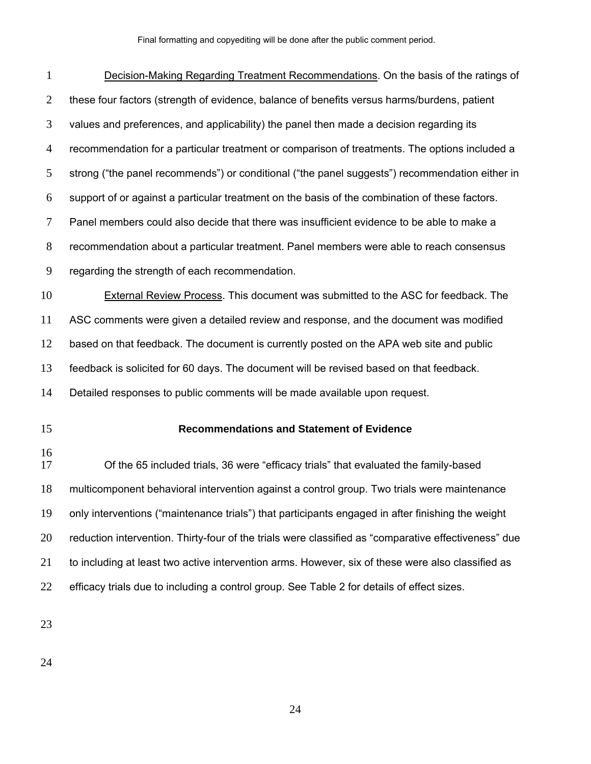| $\mathbf{1}$   | Decision-Making Regarding Treatment Recommendations. On the basis of the ratings of                  |
|----------------|------------------------------------------------------------------------------------------------------|
| $\overline{2}$ | these four factors (strength of evidence, balance of benefits versus harms/burdens, patient          |
| 3              | values and preferences, and applicability) the panel then made a decision regarding its              |
| $\overline{4}$ | recommendation for a particular treatment or comparison of treatments. The options included a        |
| 5              | strong ("the panel recommends") or conditional ("the panel suggests") recommendation either in       |
| 6              | support of or against a particular treatment on the basis of the combination of these factors.       |
| 7              | Panel members could also decide that there was insufficient evidence to be able to make a            |
| $8\,$          | recommendation about a particular treatment. Panel members were able to reach consensus              |
| 9              | regarding the strength of each recommendation.                                                       |
| 10             | <b>External Review Process. This document was submitted to the ASC for feedback. The</b>             |
| 11             | ASC comments were given a detailed review and response, and the document was modified                |
| 12             | based on that feedback. The document is currently posted on the APA web site and public              |
| 13             | feedback is solicited for 60 days. The document will be revised based on that feedback.              |
| 14             | Detailed responses to public comments will be made available upon request.                           |
| 15             | <b>Recommendations and Statement of Evidence</b>                                                     |
|                |                                                                                                      |
| 16<br>17       | Of the 65 included trials, 36 were "efficacy trials" that evaluated the family-based                 |
| 18             | multicomponent behavioral intervention against a control group. Two trials were maintenance          |
| 19             | only interventions ("maintenance trials") that participants engaged in after finishing the weight    |
| 20             | reduction intervention. Thirty-four of the trials were classified as "comparative effectiveness" due |
| 21             | to including at least two active intervention arms. However, six of these were also classified as    |
| 22             | efficacy trials due to including a control group. See Table 2 for details of effect sizes.           |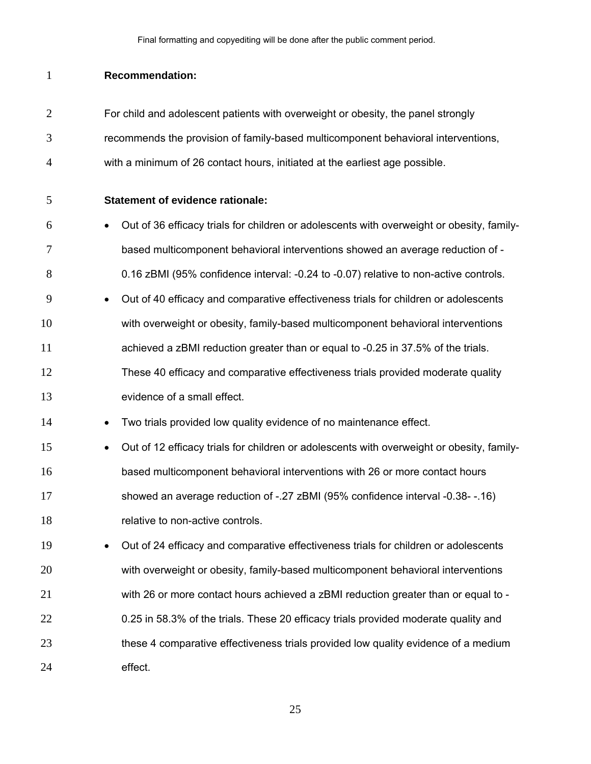### **Recommendation:**

- For child and adolescent patients with overweight or obesity, the panel strongly recommends the provision of family-based multicomponent behavioral interventions,
- with a minimum of 26 contact hours, initiated at the earliest age possible.
- **Statement of evidence rationale:**
- Out of 36 efficacy trials for children or adolescents with overweight or obesity, family-based multicomponent behavioral interventions showed an average reduction of - 0.16 zBMI (95% confidence interval: -0.24 to -0.07) relative to non-active controls.
- **Out of 40 efficacy and comparative effectiveness trials for children or adolescents** with overweight or obesity, family-based multicomponent behavioral interventions achieved a zBMI reduction greater than or equal to -0.25 in 37.5% of the trials. These 40 efficacy and comparative effectiveness trials provided moderate quality
- 13 evidence of a small effect.
- 14 Two trials provided low quality evidence of no maintenance effect.
- **•** Out of 12 efficacy trials for children or adolescents with overweight or obesity, family-based multicomponent behavioral interventions with 26 or more contact hours showed an average reduction of -.27 zBMI (95% confidence interval -0.38- -.16) 18 relative to non-active controls.
- Out of 24 efficacy and comparative effectiveness trials for children or adolescents with overweight or obesity, family-based multicomponent behavioral interventions with 26 or more contact hours achieved a zBMI reduction greater than or equal to - 0.25 in 58.3% of the trials. These 20 efficacy trials provided moderate quality and these 4 comparative effectiveness trials provided low quality evidence of a medium effect.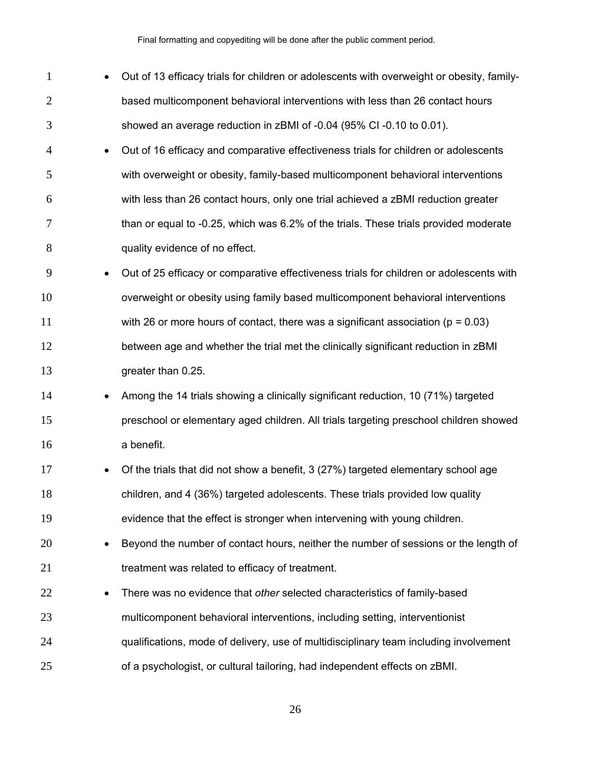| $\mathbf{1}$   | $\bullet$ | Out of 13 efficacy trials for children or adolescents with overweight or obesity, family- |
|----------------|-----------|-------------------------------------------------------------------------------------------|
| $\overline{2}$ |           | based multicomponent behavioral interventions with less than 26 contact hours             |
| 3              |           | showed an average reduction in zBMI of -0.04 (95% CI -0.10 to 0.01).                      |
| 4              | $\bullet$ | Out of 16 efficacy and comparative effectiveness trials for children or adolescents       |
| 5              |           | with overweight or obesity, family-based multicomponent behavioral interventions          |
| 6              |           | with less than 26 contact hours, only one trial achieved a zBMI reduction greater         |
| 7              |           | than or equal to -0.25, which was 6.2% of the trials. These trials provided moderate      |
| 8              |           | quality evidence of no effect.                                                            |
| 9              | $\bullet$ | Out of 25 efficacy or comparative effectiveness trials for children or adolescents with   |
| 10             |           | overweight or obesity using family based multicomponent behavioral interventions          |
| 11             |           | with 26 or more hours of contact, there was a significant association ( $p = 0.03$ )      |
| 12             |           | between age and whether the trial met the clinically significant reduction in zBMI        |
| 13             |           | greater than 0.25.                                                                        |
| 14             | ٠         | Among the 14 trials showing a clinically significant reduction, 10 (71%) targeted         |
| 15             |           | preschool or elementary aged children. All trials targeting preschool children showed     |
| 16             |           | a benefit.                                                                                |
| 17             | $\bullet$ | Of the trials that did not show a benefit, 3 (27%) targeted elementary school age         |
| 18             |           | children, and 4 (36%) targeted adolescents. These trials provided low quality             |
| 19             |           | evidence that the effect is stronger when intervening with young children.                |
| 20             | $\bullet$ | Beyond the number of contact hours, neither the number of sessions or the length of       |
| 21             |           | treatment was related to efficacy of treatment.                                           |
| 22             |           | There was no evidence that other selected characteristics of family-based                 |
| 23             |           | multicomponent behavioral interventions, including setting, interventionist               |
| 24             |           | qualifications, mode of delivery, use of multidisciplinary team including involvement     |
| 25             |           | of a psychologist, or cultural tailoring, had independent effects on zBMI.                |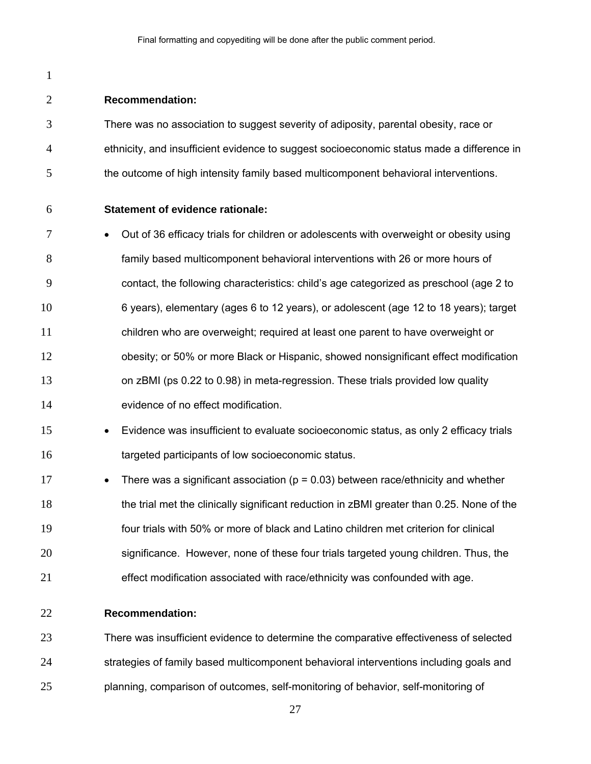**Recommendation:** There was no association to suggest severity of adiposity, parental obesity, race or ethnicity, and insufficient evidence to suggest socioeconomic status made a difference in 5 the outcome of high intensity family based multicomponent behavioral interventions. **Statement of evidence rationale: Duara Federal Contents of 36 efficacy trials for children or adolescents with overweight or obesity using** family based multicomponent behavioral interventions with 26 or more hours of contact, the following characteristics: child's age categorized as preschool (age 2 to 6 years), elementary (ages 6 to 12 years), or adolescent (age 12 to 18 years); target children who are overweight; required at least one parent to have overweight or obesity; or 50% or more Black or Hispanic, showed nonsignificant effect modification on zBMI (ps 0.22 to 0.98) in meta-regression. These trials provided low quality evidence of no effect modification. Evidence was insufficient to evaluate socioeconomic status, as only 2 efficacy trials targeted participants of low socioeconomic status. **•** There was a significant association ( $p = 0.03$ ) between race/ethnicity and whether the trial met the clinically significant reduction in zBMI greater than 0.25. None of the four trials with 50% or more of black and Latino children met criterion for clinical significance. However, none of these four trials targeted young children. Thus, the effect modification associated with race/ethnicity was confounded with age. **Recommendation:** 

There was insufficient evidence to determine the comparative effectiveness of selected strategies of family based multicomponent behavioral interventions including goals and planning, comparison of outcomes, self-monitoring of behavior, self-monitoring of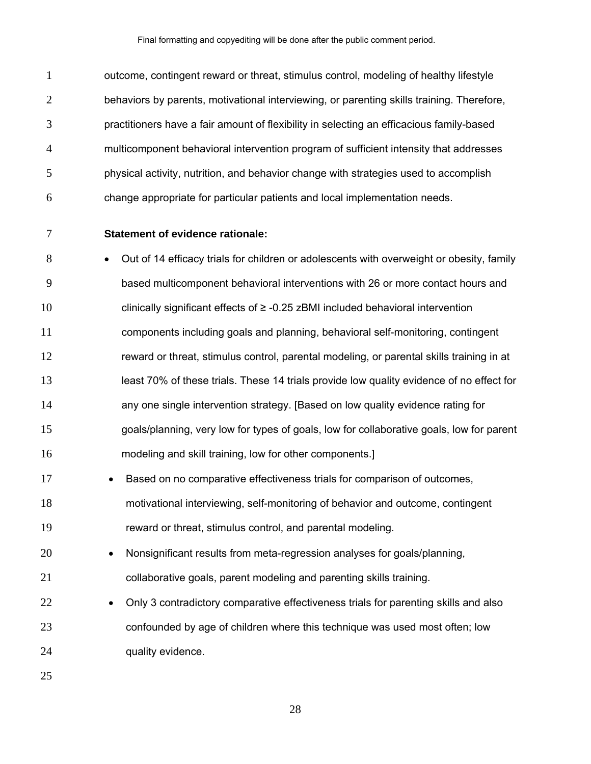1 outcome, contingent reward or threat, stimulus control, modeling of healthy lifestyle behaviors by parents, motivational interviewing, or parenting skills training. Therefore, practitioners have a fair amount of flexibility in selecting an efficacious family-based multicomponent behavioral intervention program of sufficient intensity that addresses physical activity, nutrition, and behavior change with strategies used to accomplish change appropriate for particular patients and local implementation needs.

## **Statement of evidence rationale:**

**Out of 14 efficacy trials for children or adolescents with overweight or obesity, family** based multicomponent behavioral interventions with 26 or more contact hours and clinically significant effects of ≥ -0.25 zBMI included behavioral intervention components including goals and planning, behavioral self-monitoring, contingent reward or threat, stimulus control, parental modeling, or parental skills training in at least 70% of these trials. These 14 trials provide low quality evidence of no effect for any one single intervention strategy. [Based on low quality evidence rating for goals/planning, very low for types of goals, low for collaborative goals, low for parent modeling and skill training, low for other components.]

- **Based on no comparative effectiveness trials for comparison of outcomes.** motivational interviewing, self-monitoring of behavior and outcome, contingent reward or threat, stimulus control, and parental modeling.
- Nonsignificant results from meta-regression analyses for goals/planning, collaborative goals, parent modeling and parenting skills training.
- **•** Only 3 contradictory comparative effectiveness trials for parenting skills and also confounded by age of children where this technique was used most often; low 24 quality evidence.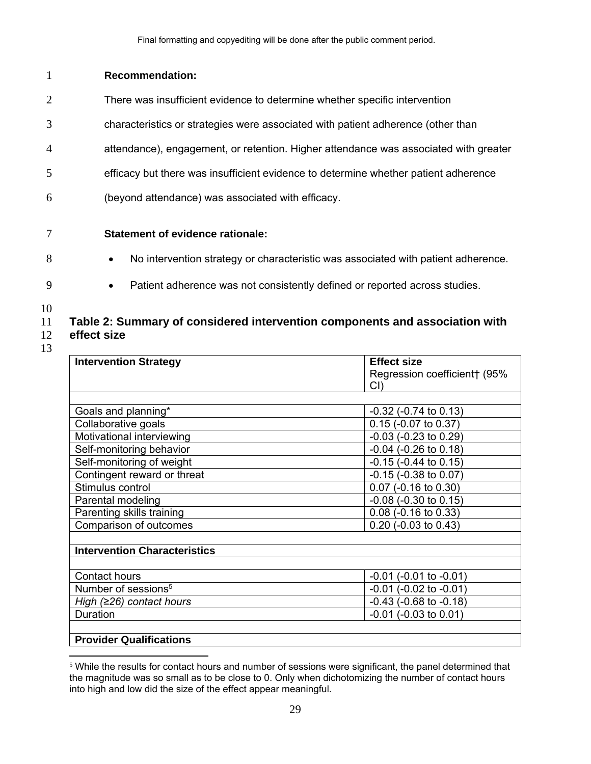## 1 **Recommendation:**

- 2 There was insufficient evidence to determine whether specific intervention
- 3 characteristics or strategies were associated with patient adherence (other than
- 4 attendance), engagement, or retention. Higher attendance was associated with greater
- 5 efficacy but there was insufficient evidence to determine whether patient adherence
- 6 (beyond attendance) was associated with efficacy.

# 7 **Statement of evidence rationale:**

- - 8 No intervention strategy or characteristic was associated with patient adherence.
- 
- 
- 9 **Patient adherence was not consistently defined or reported across studies.**
- 10

## 11 **Table 2: Summary of considered intervention components and association with**  12 **effect size**

| <b>Intervention Strategy</b>        | <b>Effect size</b>             |
|-------------------------------------|--------------------------------|
|                                     | Regression coefficient† (95%   |
|                                     | $Cl$ )                         |
|                                     |                                |
| Goals and planning*                 | $-0.32$ ( $-0.74$ to 0.13)     |
| Collaborative goals                 | 0.15 (-0.07 to 0.37)           |
| Motivational interviewing           | $-0.03$ ( $-0.23$ to $0.29$ )  |
| Self-monitoring behavior            | $-0.04$ ( $-0.26$ to 0.18)     |
| Self-monitoring of weight           | $-0.15$ ( $-0.44$ to 0.15)     |
| Contingent reward or threat         | $-0.15$ ( $-0.38$ to $0.07$ )  |
| Stimulus control                    | 0.07 (-0.16 to 0.30)           |
| Parental modeling                   | $-0.08$ ( $-0.30$ to 0.15)     |
| Parenting skills training           | $0.08$ (-0.16 to 0.33)         |
| Comparison of outcomes              | $0.20$ (-0.03 to 0.43)         |
|                                     |                                |
| <b>Intervention Characteristics</b> |                                |
|                                     |                                |
| Contact hours                       | $-0.01$ ( $-0.01$ to $-0.01$ ) |
| Number of sessions <sup>5</sup>     | $-0.01$ ( $-0.02$ to $-0.01$ ) |
| High $(≥26)$ contact hours          | $-0.43$ ( $-0.68$ to $-0.18$ ) |
| Duration                            | $-0.01$ ( $-0.03$ to $0.01$ )  |
|                                     |                                |
| <b>Provider Qualifications</b>      |                                |

 $\overline{a}$  $5$  While the results for contact hours and number of sessions were significant, the panel determined that the magnitude was so small as to be close to 0. Only when dichotomizing the number of contact hours into high and low did the size of the effect appear meaningful.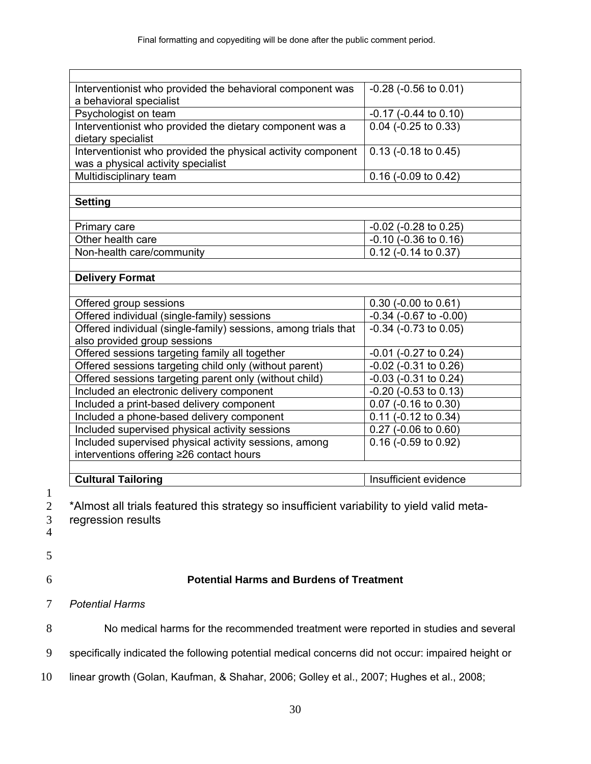| Interventionist who provided the behavioral component was<br>a behavioral specialist               | $-0.28$ ( $-0.56$ to $0.01$ )     |
|----------------------------------------------------------------------------------------------------|-----------------------------------|
| Psychologist on team                                                                               | -0.17 (-0.44 to 0.10)             |
| Interventionist who provided the dietary component was a<br>dietary specialist                     | $0.04$ (-0.25 to 0.33)            |
| Interventionist who provided the physical activity component<br>was a physical activity specialist | $\overline{0.13}$ (-0.18 to 0.45) |
| Multidisciplinary team                                                                             | $0.16$ (-0.09 to 0.42)            |
|                                                                                                    |                                   |
| <b>Setting</b>                                                                                     |                                   |
|                                                                                                    |                                   |
| Primary care                                                                                       | $-0.02$ ( $-0.28$ to 0.25)        |
| Other health care                                                                                  | $-0.10$ ( $-0.36$ to $0.16$ )     |
| Non-health care/community                                                                          | $0.12$ (-0.14 to 0.37)            |
|                                                                                                    |                                   |
| <b>Delivery Format</b>                                                                             |                                   |
|                                                                                                    |                                   |
| Offered group sessions                                                                             | 0.30 (-0.00 to 0.61)              |
| Offered individual (single-family) sessions                                                        | $-0.34$ ( $-0.67$ to $-0.00$ )    |
| Offered individual (single-family) sessions, among trials that<br>also provided group sessions     | $-0.34$ ( $-0.73$ to $0.05$ )     |
| Offered sessions targeting family all together                                                     | $-0.01$ ( $-0.27$ to 0.24)        |
| Offered sessions targeting child only (without parent)                                             | $-0.02$ ( $-0.31$ to $0.26$ )     |
| Offered sessions targeting parent only (without child)                                             | -0.03 (-0.31 to 0.24)             |
| Included an electronic delivery component                                                          | $-0.20$ ( $-0.53$ to $0.13$ )     |
| Included a print-based delivery component                                                          | $0.07$ (-0.16 to 0.30)            |
| Included a phone-based delivery component                                                          | $0.11$ (-0.12 to 0.34)            |
| Included supervised physical activity sessions                                                     | 0.27 (-0.06 to 0.60)              |
| Included supervised physical activity sessions, among                                              | $0.16$ (-0.59 to 0.92)            |
| interventions offering ≥26 contact hours                                                           |                                   |
|                                                                                                    |                                   |
| <b>Cultural Tailoring</b>                                                                          | Insufficient evidence             |

 $\frac{1}{2}$ 

\*Almost all trials featured this strategy so insufficient variability to yield valid meta-

- 3 regression results
- 4
- 5
- 

## 6 **Potential Harms and Burdens of Treatment**

- 7 *Potential Harms*
- 8 No medical harms for the recommended treatment were reported in studies and several
- 9 specifically indicated the following potential medical concerns did not occur: impaired height or
- 10 linear growth (Golan, Kaufman, & Shahar, 2006; Golley et al., 2007; Hughes et al., 2008;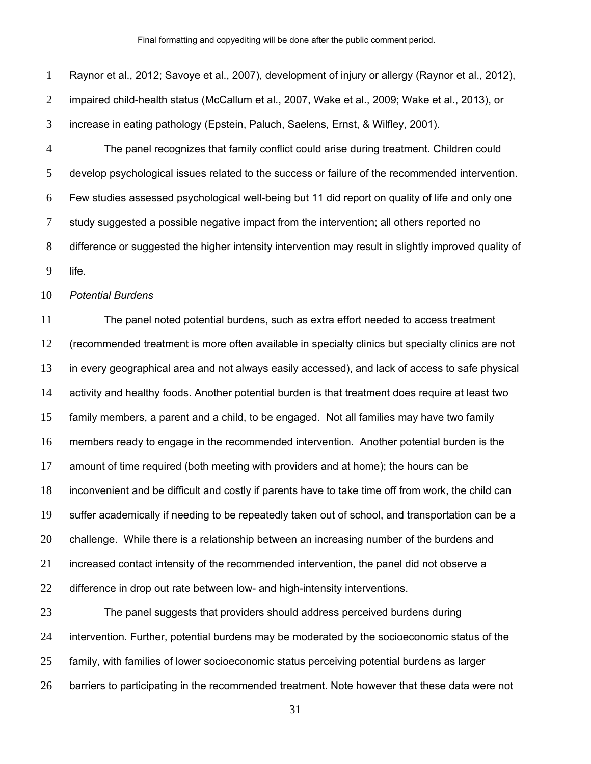Raynor et al., 2012; Savoye et al., 2007), development of injury or allergy (Raynor et al., 2012), impaired child-health status (McCallum et al., 2007, Wake et al., 2009; Wake et al., 2013), or increase in eating pathology (Epstein, Paluch, Saelens, Ernst, & Wilfley, 2001). The panel recognizes that family conflict could arise during treatment. Children could develop psychological issues related to the success or failure of the recommended intervention. Few studies assessed psychological well-being but 11 did report on quality of life and only one study suggested a possible negative impact from the intervention; all others reported no difference or suggested the higher intensity intervention may result in slightly improved quality of life.

*Potential Burdens* 

The panel noted potential burdens, such as extra effort needed to access treatment (recommended treatment is more often available in specialty clinics but specialty clinics are not in every geographical area and not always easily accessed), and lack of access to safe physical 14 activity and healthy foods. Another potential burden is that treatment does require at least two family members, a parent and a child, to be engaged. Not all families may have two family members ready to engage in the recommended intervention. Another potential burden is the amount of time required (both meeting with providers and at home); the hours can be inconvenient and be difficult and costly if parents have to take time off from work, the child can suffer academically if needing to be repeatedly taken out of school, and transportation can be a challenge. While there is a relationship between an increasing number of the burdens and increased contact intensity of the recommended intervention, the panel did not observe a 22 difference in drop out rate between low- and high-intensity interventions.

The panel suggests that providers should address perceived burdens during intervention. Further, potential burdens may be moderated by the socioeconomic status of the family, with families of lower socioeconomic status perceiving potential burdens as larger barriers to participating in the recommended treatment. Note however that these data were not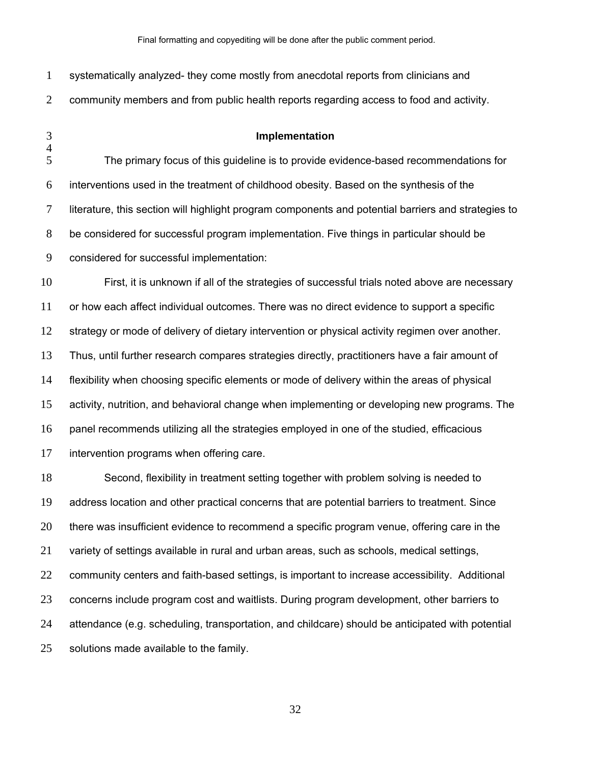| $\mathbf{1}$        | systematically analyzed- they come mostly from anecdotal reports from clinicians and                |
|---------------------|-----------------------------------------------------------------------------------------------------|
| $\overline{2}$      | community members and from public health reports regarding access to food and activity.             |
| 3<br>$\overline{4}$ | Implementation                                                                                      |
| 5                   | The primary focus of this guideline is to provide evidence-based recommendations for                |
| 6                   | interventions used in the treatment of childhood obesity. Based on the synthesis of the             |
| $\tau$              | literature, this section will highlight program components and potential barriers and strategies to |
| 8                   | be considered for successful program implementation. Five things in particular should be            |
| 9                   | considered for successful implementation:                                                           |
| 10                  | First, it is unknown if all of the strategies of successful trials noted above are necessary        |
| 11                  | or how each affect individual outcomes. There was no direct evidence to support a specific          |
| 12                  | strategy or mode of delivery of dietary intervention or physical activity regimen over another.     |
| 13                  | Thus, until further research compares strategies directly, practitioners have a fair amount of      |
| 14                  | flexibility when choosing specific elements or mode of delivery within the areas of physical        |
| 15                  | activity, nutrition, and behavioral change when implementing or developing new programs. The        |
| 16                  | panel recommends utilizing all the strategies employed in one of the studied, efficacious           |
| 17                  | intervention programs when offering care.                                                           |
| 18                  | Second, flexibility in treatment setting together with problem solving is needed to                 |
| 19                  | address location and other practical concerns that are potential barriers to treatment. Since       |
| 20                  | there was insufficient evidence to recommend a specific program venue, offering care in the         |
| 21                  | variety of settings available in rural and urban areas, such as schools, medical settings,          |
| 22                  | community centers and faith-based settings, is important to increase accessibility. Additional      |
| 23                  | concerns include program cost and waitlists. During program development, other barriers to          |
| 24                  | attendance (e.g. scheduling, transportation, and childcare) should be anticipated with potential    |
|                     |                                                                                                     |

solutions made available to the family.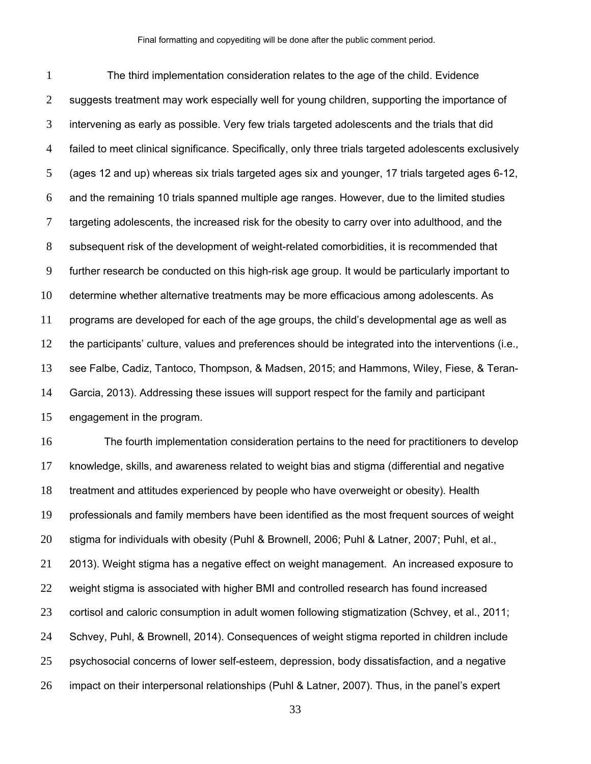The third implementation consideration relates to the age of the child. Evidence 2 suggests treatment may work especially well for young children, supporting the importance of intervening as early as possible. Very few trials targeted adolescents and the trials that did failed to meet clinical significance. Specifically, only three trials targeted adolescents exclusively (ages 12 and up) whereas six trials targeted ages six and younger, 17 trials targeted ages 6-12, and the remaining 10 trials spanned multiple age ranges. However, due to the limited studies 7 targeting adolescents, the increased risk for the obesity to carry over into adulthood, and the subsequent risk of the development of weight-related comorbidities, it is recommended that further research be conducted on this high-risk age group. It would be particularly important to determine whether alternative treatments may be more efficacious among adolescents. As programs are developed for each of the age groups, the child's developmental age as well as the participants' culture, values and preferences should be integrated into the interventions (i.e., see Falbe, Cadiz, Tantoco, Thompson, & Madsen, 2015; and Hammons, Wiley, Fiese, & Teran-Garcia, 2013). Addressing these issues will support respect for the family and participant engagement in the program.

The fourth implementation consideration pertains to the need for practitioners to develop knowledge, skills, and awareness related to weight bias and stigma (differential and negative treatment and attitudes experienced by people who have overweight or obesity). Health professionals and family members have been identified as the most frequent sources of weight stigma for individuals with obesity (Puhl & Brownell, 2006; Puhl & Latner, 2007; Puhl, et al., 2013). Weight stigma has a negative effect on weight management. An increased exposure to weight stigma is associated with higher BMI and controlled research has found increased cortisol and caloric consumption in adult women following stigmatization (Schvey, et al., 2011; Schvey, Puhl, & Brownell, 2014). Consequences of weight stigma reported in children include psychosocial concerns of lower self-esteem, depression, body dissatisfaction, and a negative impact on their interpersonal relationships (Puhl & Latner, 2007). Thus, in the panel's expert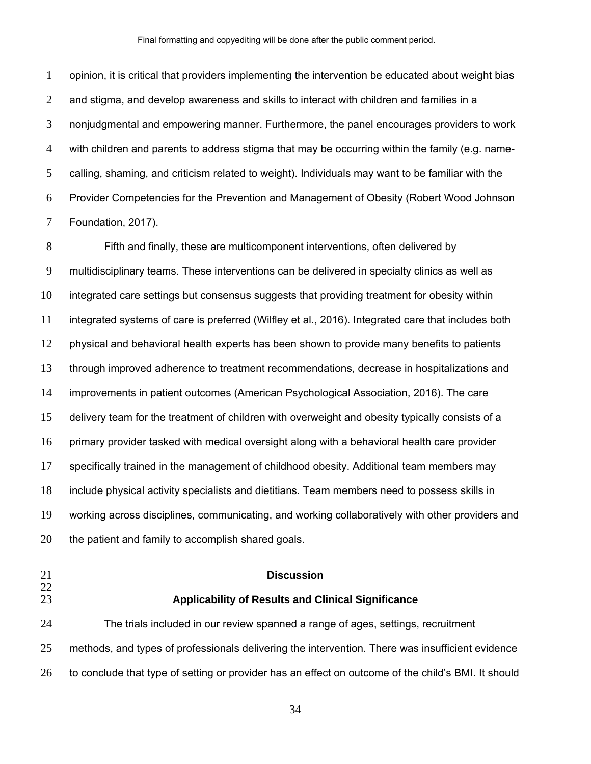opinion, it is critical that providers implementing the intervention be educated about weight bias and stigma, and develop awareness and skills to interact with children and families in a nonjudgmental and empowering manner. Furthermore, the panel encourages providers to work with children and parents to address stigma that may be occurring within the family (e.g. name-calling, shaming, and criticism related to weight). Individuals may want to be familiar with the Provider Competencies for the Prevention and Management of Obesity (Robert Wood Johnson Foundation, 2017).

Fifth and finally, these are multicomponent interventions, often delivered by multidisciplinary teams. These interventions can be delivered in specialty clinics as well as integrated care settings but consensus suggests that providing treatment for obesity within integrated systems of care is preferred (Wilfley et al., 2016). Integrated care that includes both physical and behavioral health experts has been shown to provide many benefits to patients through improved adherence to treatment recommendations, decrease in hospitalizations and improvements in patient outcomes (American Psychological Association, 2016). The care delivery team for the treatment of children with overweight and obesity typically consists of a primary provider tasked with medical oversight along with a behavioral health care provider specifically trained in the management of childhood obesity. Additional team members may include physical activity specialists and dietitians. Team members need to possess skills in working across disciplines, communicating, and working collaboratively with other providers and the patient and family to accomplish shared goals.

## 

#### **Discussion**

#### **Applicability of Results and Clinical Significance**

The trials included in our review spanned a range of ages, settings, recruitment methods, and types of professionals delivering the intervention. There was insufficient evidence to conclude that type of setting or provider has an effect on outcome of the child's BMI. It should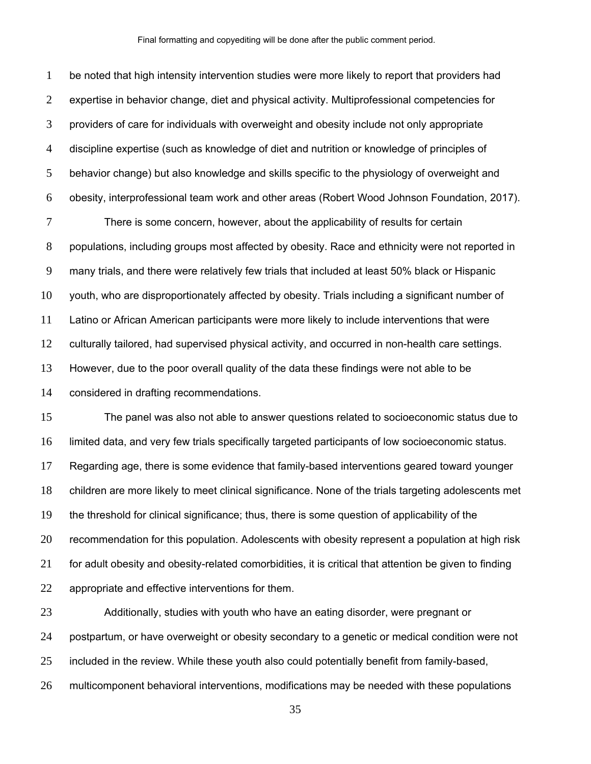be noted that high intensity intervention studies were more likely to report that providers had expertise in behavior change, diet and physical activity. Multiprofessional competencies for providers of care for individuals with overweight and obesity include not only appropriate discipline expertise (such as knowledge of diet and nutrition or knowledge of principles of behavior change) but also knowledge and skills specific to the physiology of overweight and obesity, interprofessional team work and other areas (Robert Wood Johnson Foundation, 2017).

There is some concern, however, about the applicability of results for certain populations, including groups most affected by obesity. Race and ethnicity were not reported in many trials, and there were relatively few trials that included at least 50% black or Hispanic youth, who are disproportionately affected by obesity. Trials including a significant number of Latino or African American participants were more likely to include interventions that were culturally tailored, had supervised physical activity, and occurred in non-health care settings. However, due to the poor overall quality of the data these findings were not able to be considered in drafting recommendations.

The panel was also not able to answer questions related to socioeconomic status due to limited data, and very few trials specifically targeted participants of low socioeconomic status. Regarding age, there is some evidence that family-based interventions geared toward younger children are more likely to meet clinical significance. None of the trials targeting adolescents met the threshold for clinical significance; thus, there is some question of applicability of the recommendation for this population. Adolescents with obesity represent a population at high risk 21 for adult obesity and obesity-related comorbidities, it is critical that attention be given to finding appropriate and effective interventions for them.

Additionally, studies with youth who have an eating disorder, were pregnant or postpartum, or have overweight or obesity secondary to a genetic or medical condition were not 25 included in the review. While these youth also could potentially benefit from family-based, multicomponent behavioral interventions, modifications may be needed with these populations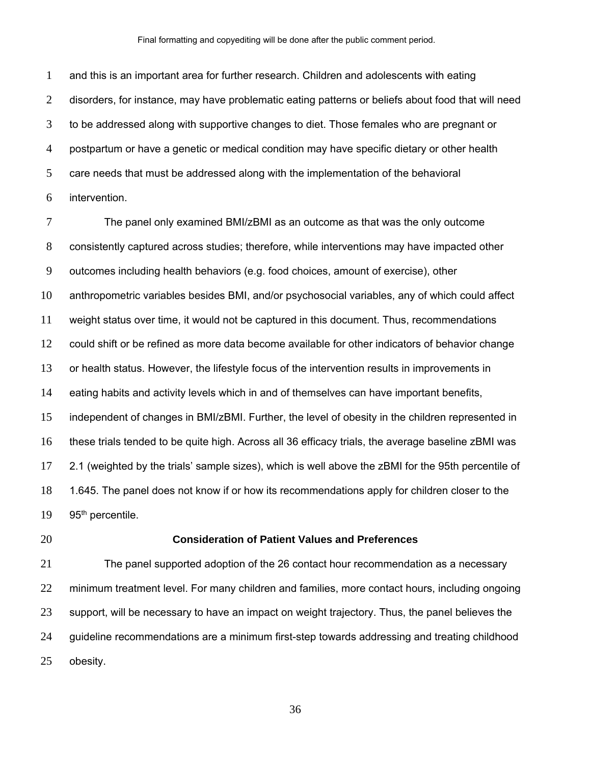and this is an important area for further research. Children and adolescents with eating disorders, for instance, may have problematic eating patterns or beliefs about food that will need to be addressed along with supportive changes to diet. Those females who are pregnant or postpartum or have a genetic or medical condition may have specific dietary or other health care needs that must be addressed along with the implementation of the behavioral intervention.

The panel only examined BMI/zBMI as an outcome as that was the only outcome consistently captured across studies; therefore, while interventions may have impacted other outcomes including health behaviors (e.g. food choices, amount of exercise), other anthropometric variables besides BMI, and/or psychosocial variables, any of which could affect weight status over time, it would not be captured in this document. Thus, recommendations could shift or be refined as more data become available for other indicators of behavior change or health status. However, the lifestyle focus of the intervention results in improvements in eating habits and activity levels which in and of themselves can have important benefits, independent of changes in BMI/zBMI. Further, the level of obesity in the children represented in these trials tended to be quite high. Across all 36 efficacy trials, the average baseline zBMI was 2.1 (weighted by the trials' sample sizes), which is well above the zBMI for the 95th percentile of 1.645. The panel does not know if or how its recommendations apply for children closer to the 95<sup>th</sup> percentile.

#### **Consideration of Patient Values and Preferences**

The panel supported adoption of the 26 contact hour recommendation as a necessary minimum treatment level. For many children and families, more contact hours, including ongoing 23 support, will be necessary to have an impact on weight trajectory. Thus, the panel believes the guideline recommendations are a minimum first-step towards addressing and treating childhood obesity.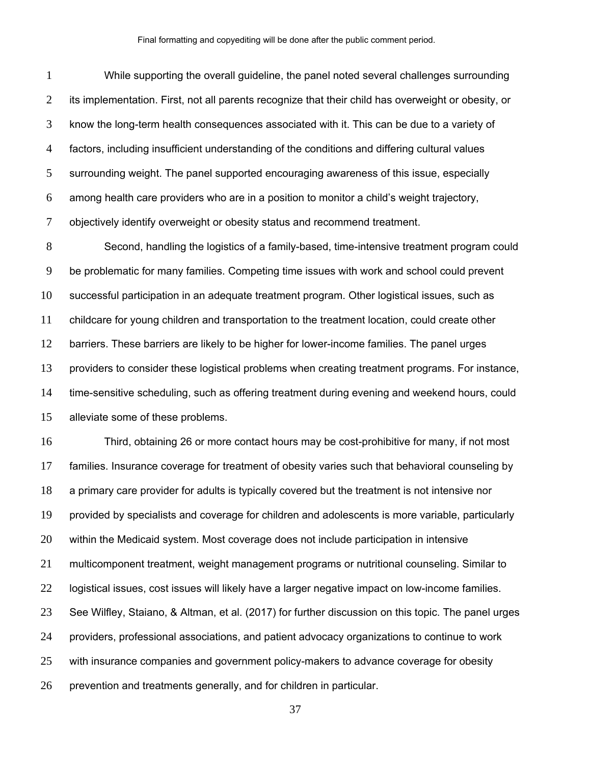While supporting the overall guideline, the panel noted several challenges surrounding its implementation. First, not all parents recognize that their child has overweight or obesity, or know the long-term health consequences associated with it. This can be due to a variety of factors, including insufficient understanding of the conditions and differing cultural values surrounding weight. The panel supported encouraging awareness of this issue, especially among health care providers who are in a position to monitor a child's weight trajectory, objectively identify overweight or obesity status and recommend treatment.

Second, handling the logistics of a family-based, time-intensive treatment program could be problematic for many families. Competing time issues with work and school could prevent successful participation in an adequate treatment program. Other logistical issues, such as childcare for young children and transportation to the treatment location, could create other barriers. These barriers are likely to be higher for lower-income families. The panel urges providers to consider these logistical problems when creating treatment programs. For instance, time-sensitive scheduling, such as offering treatment during evening and weekend hours, could alleviate some of these problems.

Third, obtaining 26 or more contact hours may be cost-prohibitive for many, if not most families. Insurance coverage for treatment of obesity varies such that behavioral counseling by a primary care provider for adults is typically covered but the treatment is not intensive nor provided by specialists and coverage for children and adolescents is more variable, particularly within the Medicaid system. Most coverage does not include participation in intensive multicomponent treatment, weight management programs or nutritional counseling. Similar to logistical issues, cost issues will likely have a larger negative impact on low-income families. See Wilfley, Staiano, & Altman, et al. (2017) for further discussion on this topic. The panel urges providers, professional associations, and patient advocacy organizations to continue to work with insurance companies and government policy-makers to advance coverage for obesity prevention and treatments generally, and for children in particular.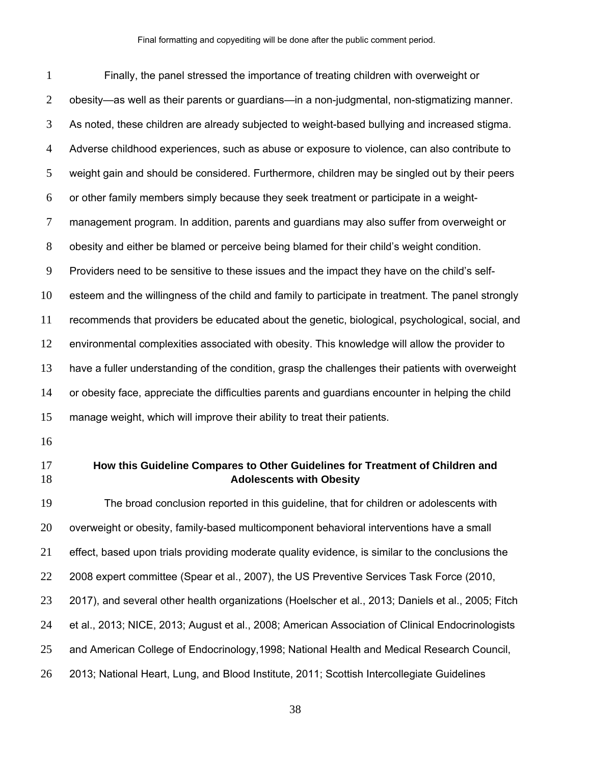| $\mathbf{1}$   | Finally, the panel stressed the importance of treating children with overweight or                               |
|----------------|------------------------------------------------------------------------------------------------------------------|
| $\overline{2}$ | obesity—as well as their parents or guardians—in a non-judgmental, non-stigmatizing manner.                      |
| 3              | As noted, these children are already subjected to weight-based bullying and increased stigma.                    |
| 4              | Adverse childhood experiences, such as abuse or exposure to violence, can also contribute to                     |
| 5              | weight gain and should be considered. Furthermore, children may be singled out by their peers                    |
| 6              | or other family members simply because they seek treatment or participate in a weight-                           |
| 7              | management program. In addition, parents and guardians may also suffer from overweight or                        |
| 8              | obesity and either be blamed or perceive being blamed for their child's weight condition.                        |
| 9              | Providers need to be sensitive to these issues and the impact they have on the child's self-                     |
| 10             | esteem and the willingness of the child and family to participate in treatment. The panel strongly               |
| 11             | recommends that providers be educated about the genetic, biological, psychological, social, and                  |
| 12             | environmental complexities associated with obesity. This knowledge will allow the provider to                    |
| 13             | have a fuller understanding of the condition, grasp the challenges their patients with overweight                |
| 14             | or obesity face, appreciate the difficulties parents and guardians encounter in helping the child                |
| 15             | manage weight, which will improve their ability to treat their patients.                                         |
| 16             |                                                                                                                  |
| 17<br>18       | How this Guideline Compares to Other Guidelines for Treatment of Children and<br><b>Adolescents with Obesity</b> |
| 19             | The broad conclusion reported in this guideline, that for children or adolescents with                           |
| 20             | overweight or obesity, family-based multicomponent behavioral interventions have a small                         |
| 21             | effect, based upon trials providing moderate quality evidence, is similar to the conclusions the                 |
| 22             | 2008 expert committee (Spear et al., 2007), the US Preventive Services Task Force (2010,                         |
| 23             | 2017), and several other health organizations (Hoelscher et al., 2013; Daniels et al., 2005; Fitch               |
| 24             | et al., 2013; NICE, 2013; August et al., 2008; American Association of Clinical Endocrinologists                 |
|                |                                                                                                                  |

- and American College of Endocrinology,1998; National Health and Medical Research Council,
- 2013; National Heart, Lung, and Blood Institute, 2011; Scottish Intercollegiate Guidelines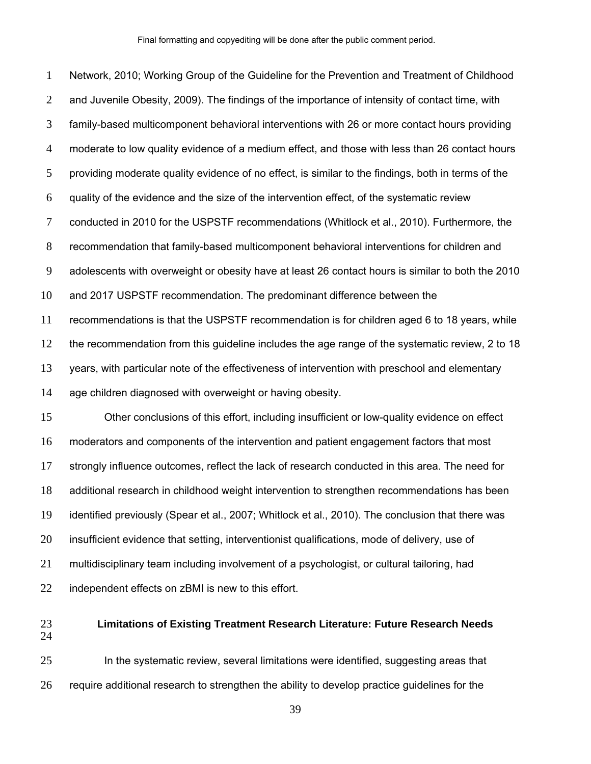Network, 2010; Working Group of the Guideline for the Prevention and Treatment of Childhood and Juvenile Obesity, 2009). The findings of the importance of intensity of contact time, with family-based multicomponent behavioral interventions with 26 or more contact hours providing moderate to low quality evidence of a medium effect, and those with less than 26 contact hours providing moderate quality evidence of no effect, is similar to the findings, both in terms of the quality of the evidence and the size of the intervention effect, of the systematic review conducted in 2010 for the USPSTF recommendations (Whitlock et al., 2010). Furthermore, the recommendation that family-based multicomponent behavioral interventions for children and adolescents with overweight or obesity have at least 26 contact hours is similar to both the 2010 and 2017 USPSTF recommendation. The predominant difference between the recommendations is that the USPSTF recommendation is for children aged 6 to 18 years, while the recommendation from this guideline includes the age range of the systematic review, 2 to 18 years, with particular note of the effectiveness of intervention with preschool and elementary age children diagnosed with overweight or having obesity. Other conclusions of this effort, including insufficient or low-quality evidence on effect moderators and components of the intervention and patient engagement factors that most strongly influence outcomes, reflect the lack of research conducted in this area. The need for

identified previously (Spear et al., 2007; Whitlock et al., 2010). The conclusion that there was

additional research in childhood weight intervention to strengthen recommendations has been

insufficient evidence that setting, interventionist qualifications, mode of delivery, use of

multidisciplinary team including involvement of a psychologist, or cultural tailoring, had

independent effects on zBMI is new to this effort.

## **Limitations of Existing Treatment Research Literature: Future Research Needs**

In the systematic review, several limitations were identified, suggesting areas that require additional research to strengthen the ability to develop practice guidelines for the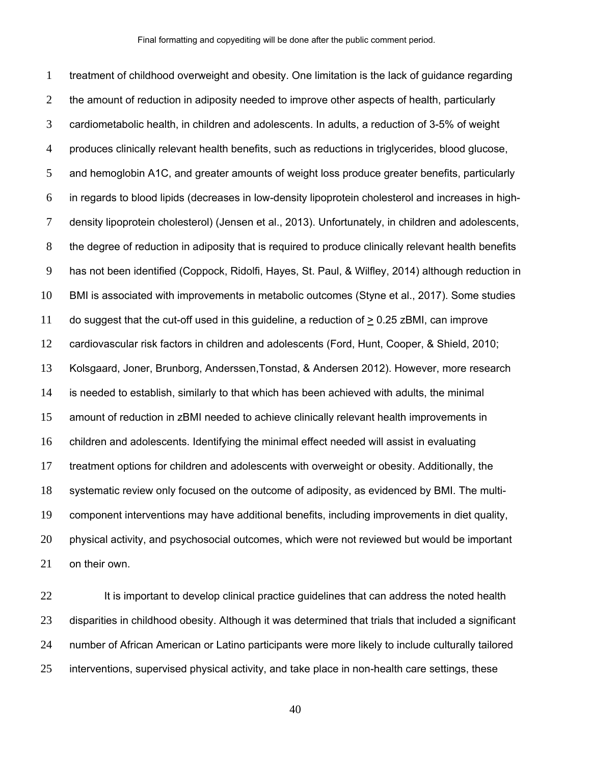treatment of childhood overweight and obesity. One limitation is the lack of guidance regarding 2 the amount of reduction in adiposity needed to improve other aspects of health, particularly cardiometabolic health, in children and adolescents. In adults, a reduction of 3-5% of weight produces clinically relevant health benefits, such as reductions in triglycerides, blood glucose, and hemoglobin A1C, and greater amounts of weight loss produce greater benefits, particularly in regards to blood lipids (decreases in low-density lipoprotein cholesterol and increases in high-density lipoprotein cholesterol) (Jensen et al., 2013). Unfortunately, in children and adolescents, the degree of reduction in adiposity that is required to produce clinically relevant health benefits has not been identified (Coppock, Ridolfi, Hayes, St. Paul, & Wilfley, 2014) although reduction in BMI is associated with improvements in metabolic outcomes (Styne et al., 2017). Some studies do suggest that the cut-off used in this guideline, a reduction of > 0.25 zBMI, can improve cardiovascular risk factors in children and adolescents (Ford, Hunt, Cooper, & Shield, 2010; Kolsgaard, Joner, Brunborg, Anderssen,Tonstad, & Andersen 2012). However, more research is needed to establish, similarly to that which has been achieved with adults, the minimal amount of reduction in zBMI needed to achieve clinically relevant health improvements in children and adolescents. Identifying the minimal effect needed will assist in evaluating treatment options for children and adolescents with overweight or obesity. Additionally, the systematic review only focused on the outcome of adiposity, as evidenced by BMI. The multi-component interventions may have additional benefits, including improvements in diet quality, physical activity, and psychosocial outcomes, which were not reviewed but would be important on their own.

22 It is important to develop clinical practice guidelines that can address the noted health 23 disparities in childhood obesity. Although it was determined that trials that included a significant number of African American or Latino participants were more likely to include culturally tailored interventions, supervised physical activity, and take place in non-health care settings, these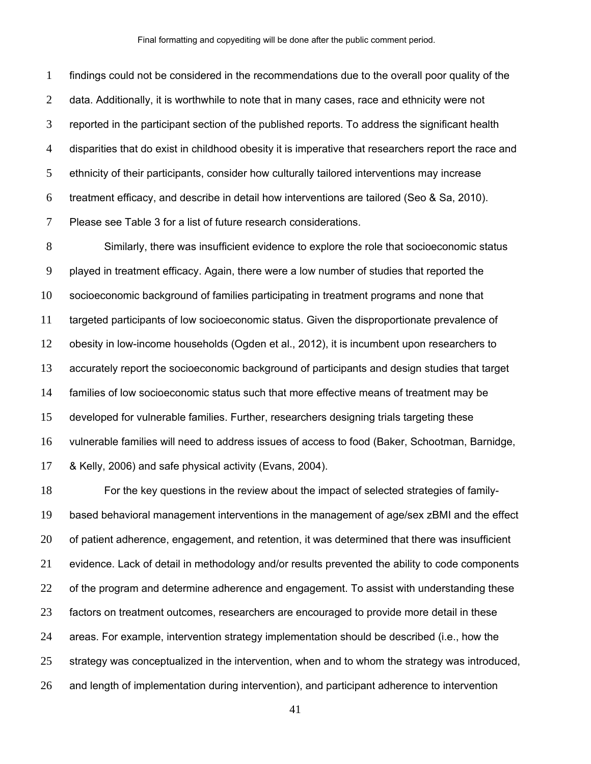findings could not be considered in the recommendations due to the overall poor quality of the 2 data. Additionally, it is worthwhile to note that in many cases, race and ethnicity were not reported in the participant section of the published reports. To address the significant health disparities that do exist in childhood obesity it is imperative that researchers report the race and ethnicity of their participants, consider how culturally tailored interventions may increase treatment efficacy, and describe in detail how interventions are tailored (Seo & Sa, 2010). Please see Table 3 for a list of future research considerations.

Similarly, there was insufficient evidence to explore the role that socioeconomic status played in treatment efficacy. Again, there were a low number of studies that reported the socioeconomic background of families participating in treatment programs and none that targeted participants of low socioeconomic status. Given the disproportionate prevalence of obesity in low-income households (Ogden et al., 2012), it is incumbent upon researchers to accurately report the socioeconomic background of participants and design studies that target families of low socioeconomic status such that more effective means of treatment may be developed for vulnerable families. Further, researchers designing trials targeting these vulnerable families will need to address issues of access to food (Baker, Schootman, Barnidge, & Kelly, 2006) and safe physical activity (Evans, 2004).

For the key questions in the review about the impact of selected strategies of family-based behavioral management interventions in the management of age/sex zBMI and the effect of patient adherence, engagement, and retention, it was determined that there was insufficient evidence. Lack of detail in methodology and/or results prevented the ability to code components 22 of the program and determine adherence and engagement. To assist with understanding these factors on treatment outcomes, researchers are encouraged to provide more detail in these areas. For example, intervention strategy implementation should be described (i.e., how the strategy was conceptualized in the intervention, when and to whom the strategy was introduced, and length of implementation during intervention), and participant adherence to intervention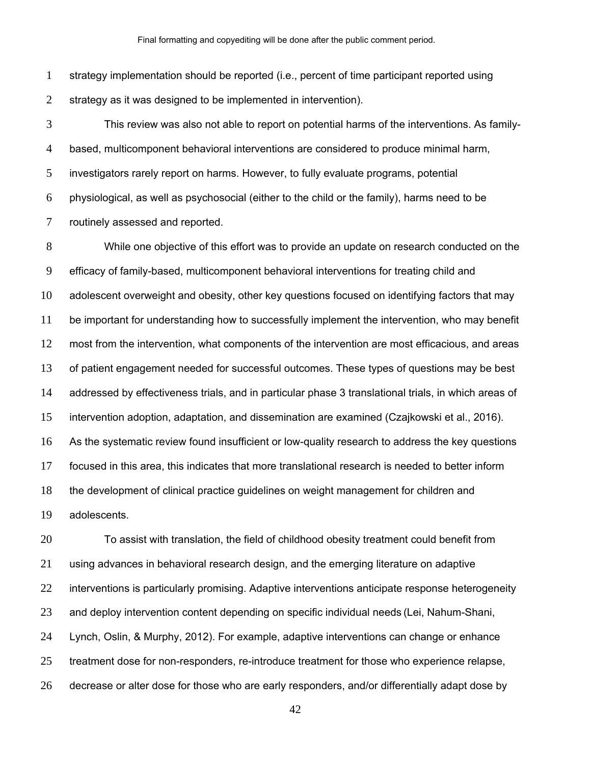strategy implementation should be reported (i.e., percent of time participant reported using strategy as it was designed to be implemented in intervention).

This review was also not able to report on potential harms of the interventions. As family-based, multicomponent behavioral interventions are considered to produce minimal harm, investigators rarely report on harms. However, to fully evaluate programs, potential physiological, as well as psychosocial (either to the child or the family), harms need to be routinely assessed and reported.

While one objective of this effort was to provide an update on research conducted on the efficacy of family-based, multicomponent behavioral interventions for treating child and adolescent overweight and obesity, other key questions focused on identifying factors that may be important for understanding how to successfully implement the intervention, who may benefit most from the intervention, what components of the intervention are most efficacious, and areas of patient engagement needed for successful outcomes. These types of questions may be best addressed by effectiveness trials, and in particular phase 3 translational trials, in which areas of intervention adoption, adaptation, and dissemination are examined (Czajkowski et al., 2016). As the systematic review found insufficient or low-quality research to address the key questions focused in this area, this indicates that more translational research is needed to better inform the development of clinical practice guidelines on weight management for children and adolescents.

To assist with translation, the field of childhood obesity treatment could benefit from using advances in behavioral research design, and the emerging literature on adaptive interventions is particularly promising. Adaptive interventions anticipate response heterogeneity and deploy intervention content depending on specific individual needs (Lei, Nahum-Shani, Lynch, Oslin, & Murphy, 2012). For example, adaptive interventions can change or enhance treatment dose for non-responders, re-introduce treatment for those who experience relapse, decrease or alter dose for those who are early responders, and/or differentially adapt dose by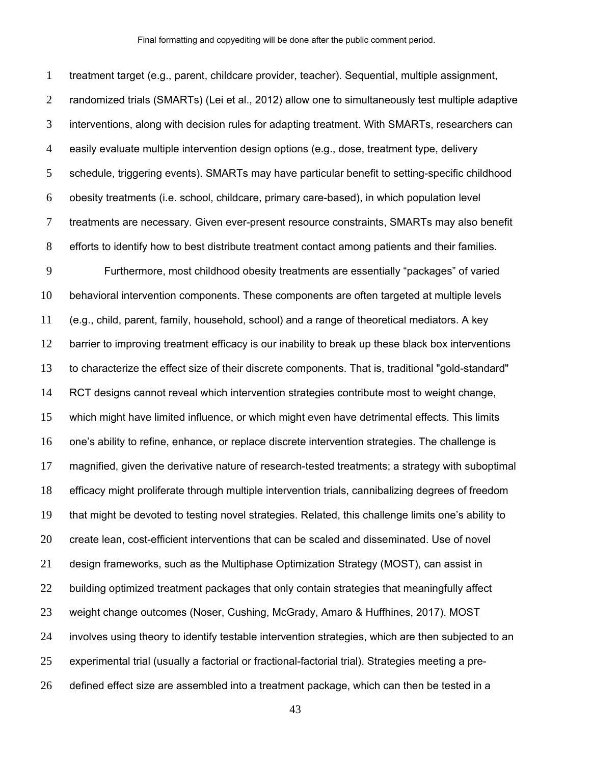treatment target (e.g., parent, childcare provider, teacher). Sequential, multiple assignment, randomized trials (SMARTs) (Lei et al., 2012) allow one to simultaneously test multiple adaptive interventions, along with decision rules for adapting treatment. With SMARTs, researchers can easily evaluate multiple intervention design options (e.g., dose, treatment type, delivery schedule, triggering events). SMARTs may have particular benefit to setting-specific childhood obesity treatments (i.e. school, childcare, primary care-based), in which population level treatments are necessary. Given ever-present resource constraints, SMARTs may also benefit efforts to identify how to best distribute treatment contact among patients and their families. Furthermore, most childhood obesity treatments are essentially "packages" of varied behavioral intervention components. These components are often targeted at multiple levels (e.g., child, parent, family, household, school) and a range of theoretical mediators. A key barrier to improving treatment efficacy is our inability to break up these black box interventions to characterize the effect size of their discrete components. That is, traditional "gold-standard" RCT designs cannot reveal which intervention strategies contribute most to weight change, which might have limited influence, or which might even have detrimental effects. This limits one's ability to refine, enhance, or replace discrete intervention strategies. The challenge is magnified, given the derivative nature of research-tested treatments; a strategy with suboptimal efficacy might proliferate through multiple intervention trials, cannibalizing degrees of freedom that might be devoted to testing novel strategies. Related, this challenge limits one's ability to create lean, cost-efficient interventions that can be scaled and disseminated. Use of novel design frameworks, such as the Multiphase Optimization Strategy (MOST), can assist in 22 building optimized treatment packages that only contain strategies that meaningfully affect weight change outcomes (Noser, Cushing, McGrady, Amaro & Huffhines, 2017). MOST involves using theory to identify testable intervention strategies, which are then subjected to an experimental trial (usually a factorial or fractional-factorial trial). Strategies meeting a pre-defined effect size are assembled into a treatment package, which can then be tested in a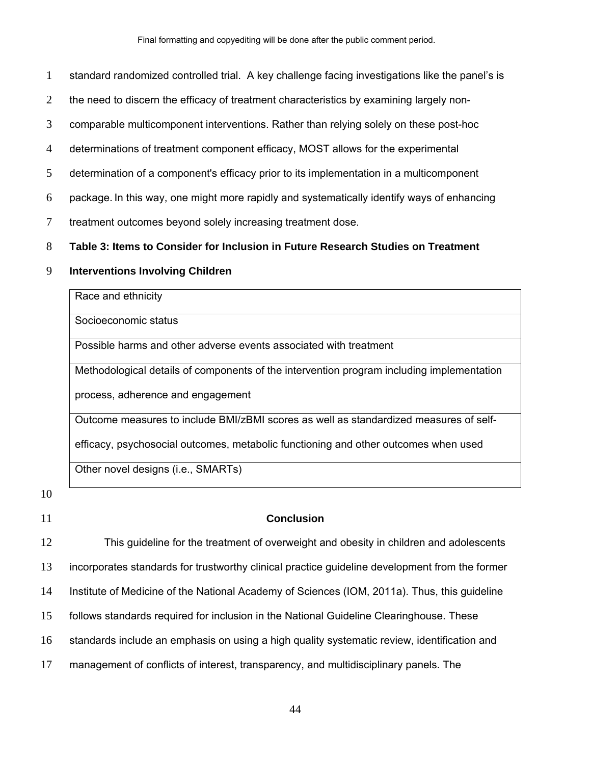Final formatting and copyediting will be done after the public comment period.

- 1 standard randomized controlled trial. A key challenge facing investigations like the panel's is
- 2 the need to discern the efficacy of treatment characteristics by examining largely non-

3 comparable multicomponent interventions. Rather than relying solely on these post-hoc

- 4 determinations of treatment component efficacy, MOST allows for the experimental
- 5 determination of a component's efficacy prior to its implementation in a multicomponent
- 6 package. In this way, one might more rapidly and systematically identify ways of enhancing
- 7 treatment outcomes beyond solely increasing treatment dose.

#### 8 **Table 3: Items to Consider for Inclusion in Future Research Studies on Treatment**

## 9 **Interventions Involving Children**

| Race and ethnicity                                                                        |
|-------------------------------------------------------------------------------------------|
| Socioeconomic status                                                                      |
| Possible harms and other adverse events associated with treatment                         |
| Methodological details of components of the intervention program including implementation |
| process, adherence and engagement                                                         |
| Outcome measures to include BMI/zBMI scores as well as standardized measures of self-     |
| efficacy, psychosocial outcomes, metabolic functioning and other outcomes when used       |
| Other novel designs (i.e., SMARTs)                                                        |

10

#### 11 **Conclusion**

This guideline for the treatment of overweight and obesity in children and adolescents incorporates standards for trustworthy clinical practice guideline development from the former Institute of Medicine of the National Academy of Sciences (IOM, 2011a). Thus, this guideline follows standards required for inclusion in the National Guideline Clearinghouse. These 16 standards include an emphasis on using a high quality systematic review, identification and management of conflicts of interest, transparency, and multidisciplinary panels. The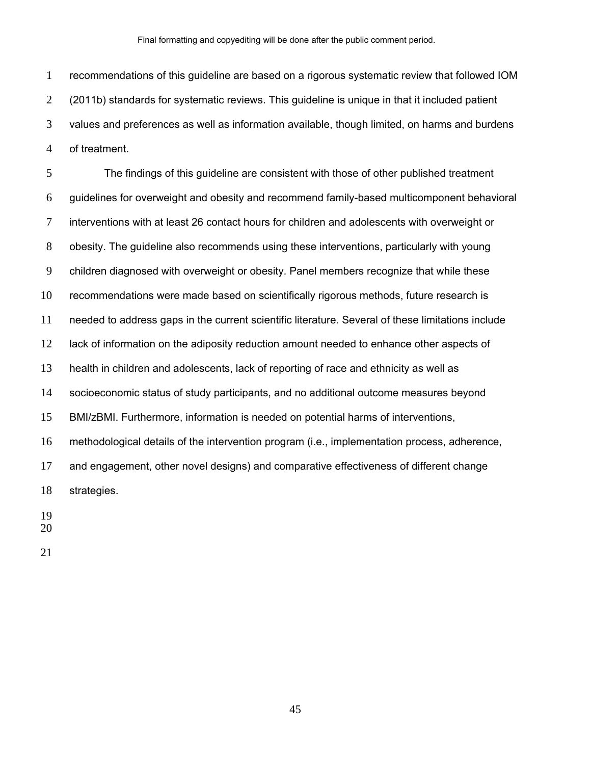recommendations of this guideline are based on a rigorous systematic review that followed IOM (2011b) standards for systematic reviews. This guideline is unique in that it included patient values and preferences as well as information available, though limited, on harms and burdens of treatment.

The findings of this guideline are consistent with those of other published treatment guidelines for overweight and obesity and recommend family-based multicomponent behavioral interventions with at least 26 contact hours for children and adolescents with overweight or obesity. The guideline also recommends using these interventions, particularly with young children diagnosed with overweight or obesity. Panel members recognize that while these recommendations were made based on scientifically rigorous methods, future research is needed to address gaps in the current scientific literature. Several of these limitations include 12 lack of information on the adiposity reduction amount needed to enhance other aspects of health in children and adolescents, lack of reporting of race and ethnicity as well as socioeconomic status of study participants, and no additional outcome measures beyond BMI/zBMI. Furthermore, information is needed on potential harms of interventions, methodological details of the intervention program (i.e., implementation process, adherence, and engagement, other novel designs) and comparative effectiveness of different change strategies.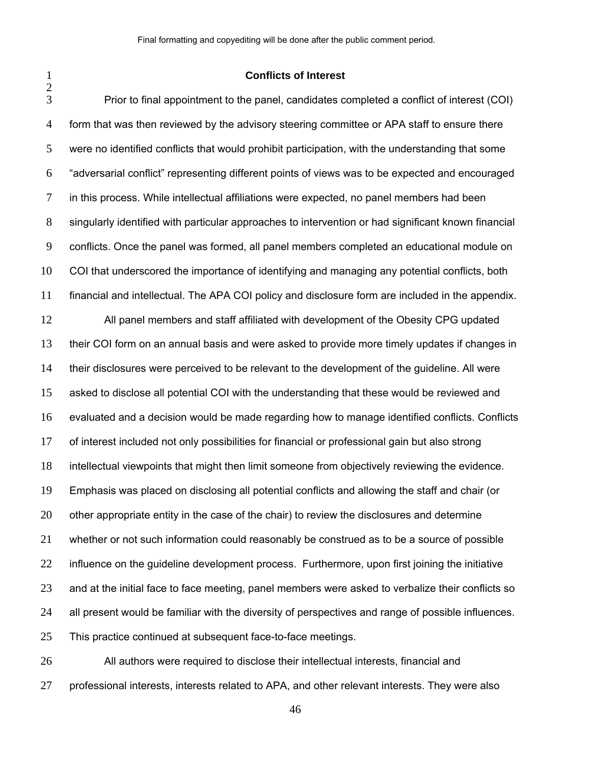#### **Conflicts of Interest**

Prior to final appointment to the panel, candidates completed a conflict of interest (COI) form that was then reviewed by the advisory steering committee or APA staff to ensure there were no identified conflicts that would prohibit participation, with the understanding that some "adversarial conflict" representing different points of views was to be expected and encouraged in this process. While intellectual affiliations were expected, no panel members had been singularly identified with particular approaches to intervention or had significant known financial conflicts. Once the panel was formed, all panel members completed an educational module on COI that underscored the importance of identifying and managing any potential conflicts, both financial and intellectual. The APA COI policy and disclosure form are included in the appendix. All panel members and staff affiliated with development of the Obesity CPG updated their COI form on an annual basis and were asked to provide more timely updates if changes in their disclosures were perceived to be relevant to the development of the guideline. All were asked to disclose all potential COI with the understanding that these would be reviewed and evaluated and a decision would be made regarding how to manage identified conflicts. Conflicts of interest included not only possibilities for financial or professional gain but also strong intellectual viewpoints that might then limit someone from objectively reviewing the evidence. Emphasis was placed on disclosing all potential conflicts and allowing the staff and chair (or other appropriate entity in the case of the chair) to review the disclosures and determine whether or not such information could reasonably be construed as to be a source of possible 22 influence on the guideline development process. Furthermore, upon first joining the initiative and at the initial face to face meeting, panel members were asked to verbalize their conflicts so all present would be familiar with the diversity of perspectives and range of possible influences. This practice continued at subsequent face-to-face meetings.

All authors were required to disclose their intellectual interests, financial and professional interests, interests related to APA, and other relevant interests. They were also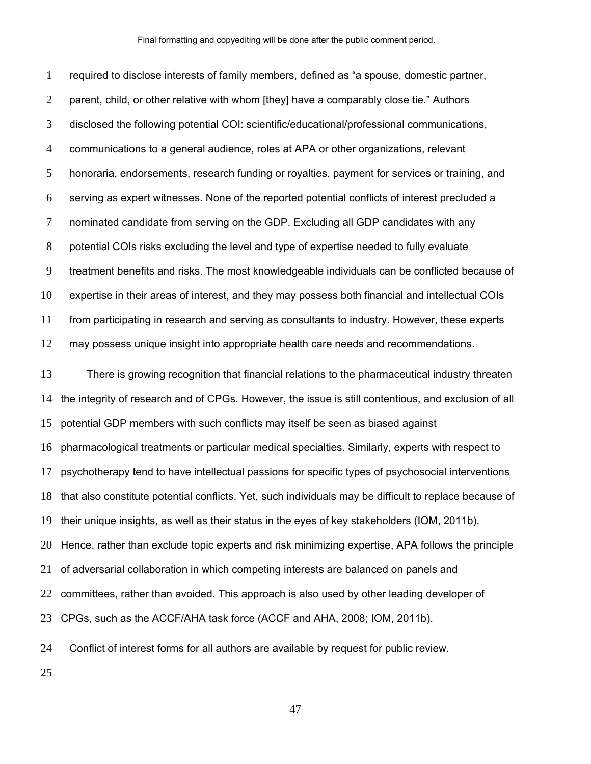required to disclose interests of family members, defined as "a spouse, domestic partner, 2 parent, child, or other relative with whom [they] have a comparably close tie." Authors disclosed the following potential COI: scientific/educational/professional communications, communications to a general audience, roles at APA or other organizations, relevant honoraria, endorsements, research funding or royalties, payment for services or training, and serving as expert witnesses. None of the reported potential conflicts of interest precluded a nominated candidate from serving on the GDP. Excluding all GDP candidates with any potential COIs risks excluding the level and type of expertise needed to fully evaluate treatment benefits and risks. The most knowledgeable individuals can be conflicted because of expertise in their areas of interest, and they may possess both financial and intellectual COIs from participating in research and serving as consultants to industry. However, these experts may possess unique insight into appropriate health care needs and recommendations. There is growing recognition that financial relations to the pharmaceutical industry threaten the integrity of research and of CPGs. However, the issue is still contentious, and exclusion of all potential GDP members with such conflicts may itself be seen as biased against pharmacological treatments or particular medical specialties. Similarly, experts with respect to psychotherapy tend to have intellectual passions for specific types of psychosocial interventions that also constitute potential conflicts. Yet, such individuals may be difficult to replace because of their unique insights, as well as their status in the eyes of key stakeholders (IOM, 2011b). Hence, rather than exclude topic experts and risk minimizing expertise, APA follows the principle of adversarial collaboration in which competing interests are balanced on panels and 22 committees, rather than avoided. This approach is also used by other leading developer of CPGs, such as the ACCF/AHA task force (ACCF and AHA, 2008; IOM, 2011b). Conflict of interest forms for all authors are available by request for public review.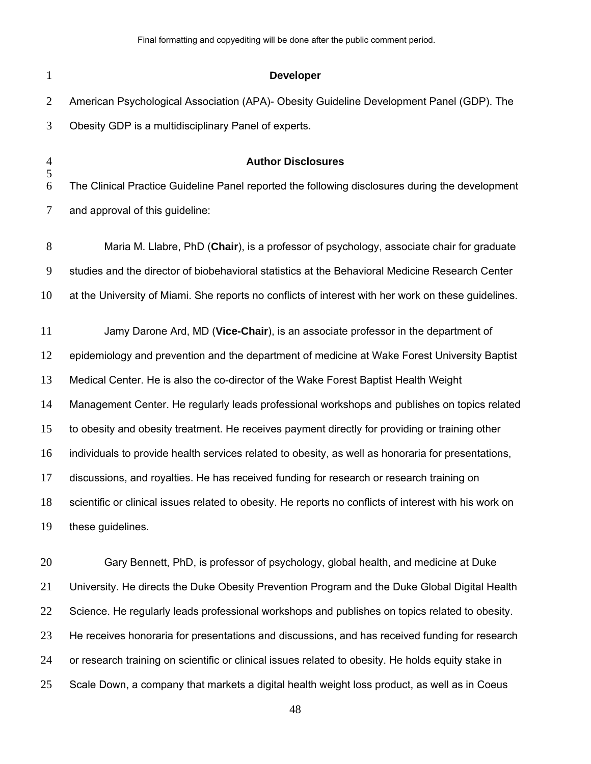| $\mathbf{1}$   | <b>Developer</b>                                                                                       |
|----------------|--------------------------------------------------------------------------------------------------------|
| $\overline{2}$ | American Psychological Association (APA)- Obesity Guideline Development Panel (GDP). The               |
| 3              | Obesity GDP is a multidisciplinary Panel of experts.                                                   |
| $\frac{4}{5}$  | <b>Author Disclosures</b>                                                                              |
| 6              | The Clinical Practice Guideline Panel reported the following disclosures during the development        |
| $\tau$         | and approval of this guideline:                                                                        |
| $8\,$          | Maria M. Llabre, PhD (Chair), is a professor of psychology, associate chair for graduate               |
| 9              | studies and the director of biobehavioral statistics at the Behavioral Medicine Research Center        |
| 10             | at the University of Miami. She reports no conflicts of interest with her work on these guidelines.    |
| 11             | Jamy Darone Ard, MD (Vice-Chair), is an associate professor in the department of                       |
| 12             | epidemiology and prevention and the department of medicine at Wake Forest University Baptist           |
| 13             | Medical Center. He is also the co-director of the Wake Forest Baptist Health Weight                    |
| 14             | Management Center. He regularly leads professional workshops and publishes on topics related           |
| 15             | to obesity and obesity treatment. He receives payment directly for providing or training other         |
| 16             | individuals to provide health services related to obesity, as well as honoraria for presentations,     |
| 17             | discussions, and royalties. He has received funding for research or research training on               |
| 18             | scientific or clinical issues related to obesity. He reports no conflicts of interest with his work on |
| 19             | these guidelines.                                                                                      |
| 20             | Gary Bennett, PhD, is professor of psychology, global health, and medicine at Duke                     |
| 21             | University. He directs the Duke Obesity Prevention Program and the Duke Global Digital Health          |
| 22             | Science. He regularly leads professional workshops and publishes on topics related to obesity.         |
|                |                                                                                                        |

or research training on scientific or clinical issues related to obesity. He holds equity stake in

23 He receives honoraria for presentations and discussions, and has received funding for research

25 Scale Down, a company that markets a digital health weight loss product, as well as in Coeus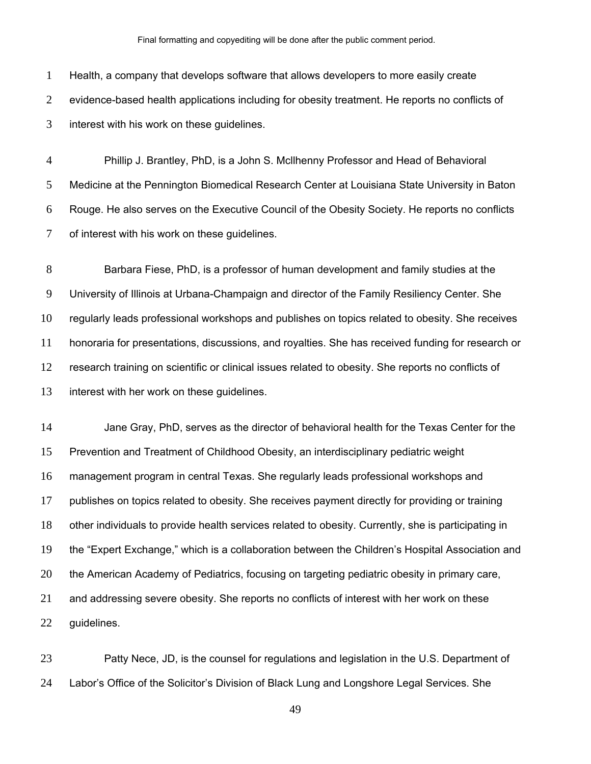Final formatting and copyediting will be done after the public comment period.

Health, a company that develops software that allows developers to more easily create evidence-based health applications including for obesity treatment. He reports no conflicts of interest with his work on these guidelines.

Phillip J. Brantley, PhD, is a John S. Mcllhenny Professor and Head of Behavioral Medicine at the Pennington Biomedical Research Center at Louisiana State University in Baton Rouge. He also serves on the Executive Council of the Obesity Society. He reports no conflicts of interest with his work on these guidelines.

Barbara Fiese, PhD, is a professor of human development and family studies at the University of Illinois at Urbana-Champaign and director of the Family Resiliency Center. She regularly leads professional workshops and publishes on topics related to obesity. She receives honoraria for presentations, discussions, and royalties. She has received funding for research or research training on scientific or clinical issues related to obesity. She reports no conflicts of interest with her work on these guidelines.

Jane Gray, PhD, serves as the director of behavioral health for the Texas Center for the Prevention and Treatment of Childhood Obesity, an interdisciplinary pediatric weight management program in central Texas. She regularly leads professional workshops and publishes on topics related to obesity. She receives payment directly for providing or training other individuals to provide health services related to obesity. Currently, she is participating in the "Expert Exchange," which is a collaboration between the Children's Hospital Association and the American Academy of Pediatrics, focusing on targeting pediatric obesity in primary care, and addressing severe obesity. She reports no conflicts of interest with her work on these guidelines.

Patty Nece, JD, is the counsel for regulations and legislation in the U.S. Department of Labor's Office of the Solicitor's Division of Black Lung and Longshore Legal Services. She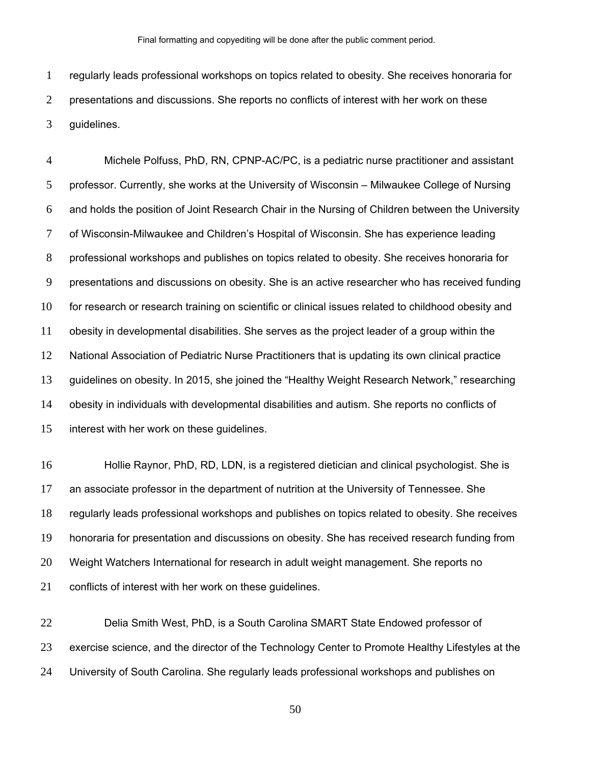regularly leads professional workshops on topics related to obesity. She receives honoraria for presentations and discussions. She reports no conflicts of interest with her work on these guidelines.

Michele Polfuss, PhD, RN, CPNP-AC/PC, is a pediatric nurse practitioner and assistant professor. Currently, she works at the University of Wisconsin – Milwaukee College of Nursing and holds the position of Joint Research Chair in the Nursing of Children between the University of Wisconsin-Milwaukee and Children's Hospital of Wisconsin. She has experience leading professional workshops and publishes on topics related to obesity. She receives honoraria for presentations and discussions on obesity. She is an active researcher who has received funding for research or research training on scientific or clinical issues related to childhood obesity and obesity in developmental disabilities. She serves as the project leader of a group within the National Association of Pediatric Nurse Practitioners that is updating its own clinical practice guidelines on obesity. In 2015, she joined the "Healthy Weight Research Network," researching obesity in individuals with developmental disabilities and autism. She reports no conflicts of interest with her work on these guidelines.

Hollie Raynor, PhD, RD, LDN, is a registered dietician and clinical psychologist. She is an associate professor in the department of nutrition at the University of Tennessee. She regularly leads professional workshops and publishes on topics related to obesity. She receives honoraria for presentation and discussions on obesity. She has received research funding from Weight Watchers International for research in adult weight management. She reports no conflicts of interest with her work on these guidelines.

Delia Smith West, PhD, is a South Carolina SMART State Endowed professor of 23 exercise science, and the director of the Technology Center to Promote Healthy Lifestyles at the University of South Carolina. She regularly leads professional workshops and publishes on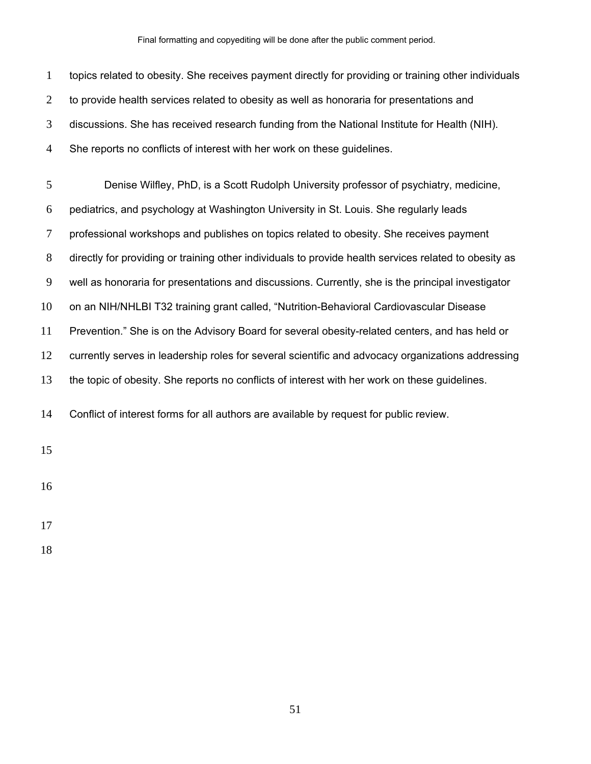Final formatting and copyediting will be done after the public comment period.

| $\mathbf{1}$   | topics related to obesity. She receives payment directly for providing or training other individuals  |
|----------------|-------------------------------------------------------------------------------------------------------|
| $\overline{2}$ | to provide health services related to obesity as well as honoraria for presentations and              |
| 3              | discussions. She has received research funding from the National Institute for Health (NIH).          |
| 4              | She reports no conflicts of interest with her work on these guidelines.                               |
| 5              | Denise Wilfley, PhD, is a Scott Rudolph University professor of psychiatry, medicine,                 |
| 6              | pediatrics, and psychology at Washington University in St. Louis. She regularly leads                 |
| 7              | professional workshops and publishes on topics related to obesity. She receives payment               |
| 8              | directly for providing or training other individuals to provide health services related to obesity as |
| 9              | well as honoraria for presentations and discussions. Currently, she is the principal investigator     |
| 10             | on an NIH/NHLBI T32 training grant called, "Nutrition-Behavioral Cardiovascular Disease               |
| 11             | Prevention." She is on the Advisory Board for several obesity-related centers, and has held or        |
| 12             | currently serves in leadership roles for several scientific and advocacy organizations addressing     |
| 13             | the topic of obesity. She reports no conflicts of interest with her work on these guidelines.         |
| 14             | Conflict of interest forms for all authors are available by request for public review.                |
| 15             |                                                                                                       |
| 16             |                                                                                                       |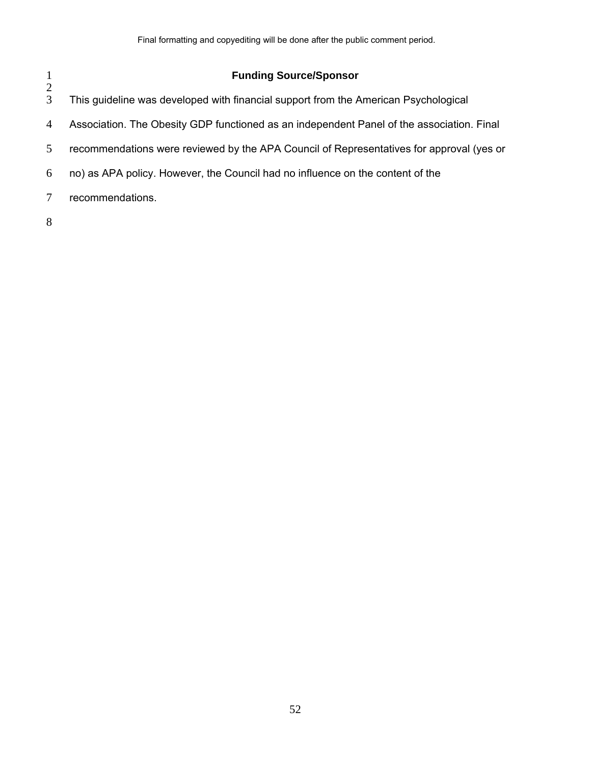| $\mathbf{1}$   | <b>Funding Source/Sponsor</b>                                                             |
|----------------|-------------------------------------------------------------------------------------------|
| 2<br>3         | This guideline was developed with financial support from the American Psychological       |
| $\overline{4}$ | Association. The Obesity GDP functioned as an independent Panel of the association. Final |
| 5              | recommendations were reviewed by the APA Council of Representatives for approval (yes or  |
| 6              | no) as APA policy. However, the Council had no influence on the content of the            |
| 7              | recommendations.                                                                          |
| 8              |                                                                                           |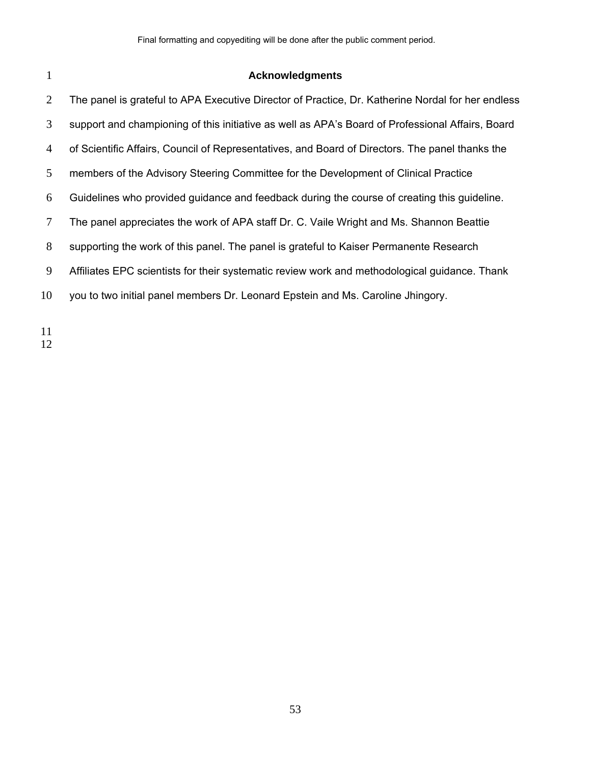# **Acknowledgments**

| 2              | The panel is grateful to APA Executive Director of Practice, Dr. Katherine Nordal for her endless |
|----------------|---------------------------------------------------------------------------------------------------|
| 3              | support and championing of this initiative as well as APA's Board of Professional Affairs, Board  |
| $\overline{4}$ | of Scientific Affairs, Council of Representatives, and Board of Directors. The panel thanks the   |
| 5              | members of the Advisory Steering Committee for the Development of Clinical Practice               |
| 6              | Guidelines who provided guidance and feedback during the course of creating this guideline.       |
| 7              | The panel appreciates the work of APA staff Dr. C. Vaile Wright and Ms. Shannon Beattie           |
| 8              | supporting the work of this panel. The panel is grateful to Kaiser Permanente Research            |
| 9              | Affiliates EPC scientists for their systematic review work and methodological guidance. Thank     |
| 10             | you to two initial panel members Dr. Leonard Epstein and Ms. Caroline Jhingory.                   |
|                |                                                                                                   |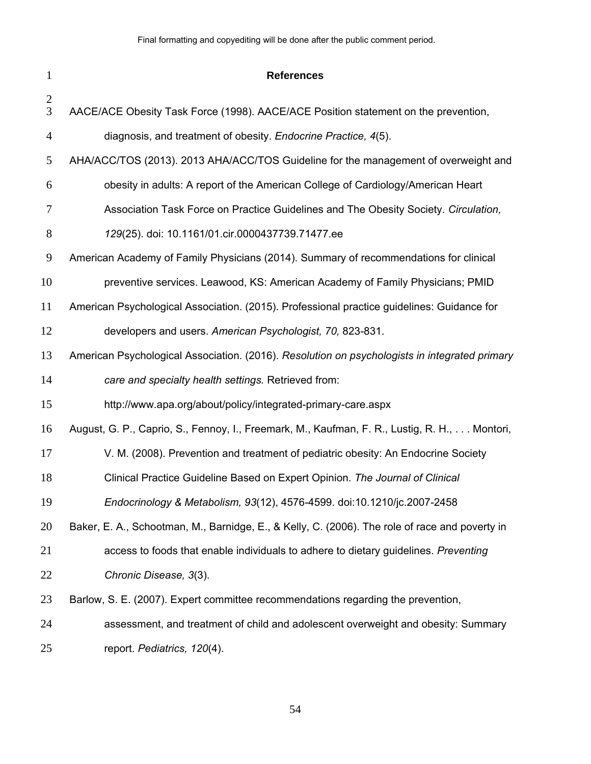| $\mathbf{1}$   | <b>References</b>                                                                              |
|----------------|------------------------------------------------------------------------------------------------|
| 2<br>3         | AACE/ACE Obesity Task Force (1998). AACE/ACE Position statement on the prevention,             |
| $\overline{4}$ | diagnosis, and treatment of obesity. Endocrine Practice, 4(5).                                 |
| 5              | AHA/ACC/TOS (2013). 2013 AHA/ACC/TOS Guideline for the management of overweight and            |
| 6              | obesity in adults: A report of the American College of Cardiology/American Heart               |
| 7              | Association Task Force on Practice Guidelines and The Obesity Society. Circulation,            |
| $8\,$          | 129(25). doi: 10.1161/01.cir.0000437739.71477.ee                                               |
| 9              | American Academy of Family Physicians (2014). Summary of recommendations for clinical          |
| 10             | preventive services. Leawood, KS: American Academy of Family Physicians; PMID                  |
| 11             | American Psychological Association. (2015). Professional practice guidelines: Guidance for     |
| 12             | developers and users. American Psychologist, 70, 823-831.                                      |
| 13             | American Psychological Association. (2016). Resolution on psychologists in integrated primary  |
| 14             | care and specialty health settings. Retrieved from:                                            |
| 15             | http://www.apa.org/about/policy/integrated-primary-care.aspx                                   |
| 16             | August, G. P., Caprio, S., Fennoy, I., Freemark, M., Kaufman, F. R., Lustig, R. H.,  Montori,  |
| 17             | V. M. (2008). Prevention and treatment of pediatric obesity: An Endocrine Society              |
| 18             | Clinical Practice Guideline Based on Expert Opinion. The Journal of Clinical                   |
| 19             | Endocrinology & Metabolism, 93(12), 4576-4599. doi:10.1210/jc.2007-2458                        |
| 20             | Baker, E. A., Schootman, M., Barnidge, E., & Kelly, C. (2006). The role of race and poverty in |
| 21             | access to foods that enable individuals to adhere to dietary guidelines. Preventing            |
| 22             | Chronic Disease, 3(3).                                                                         |
| 23             | Barlow, S. E. (2007). Expert committee recommendations regarding the prevention,               |
| 24             | assessment, and treatment of child and adolescent overweight and obesity: Summary              |
| 25             | report. Pediatrics, 120(4).                                                                    |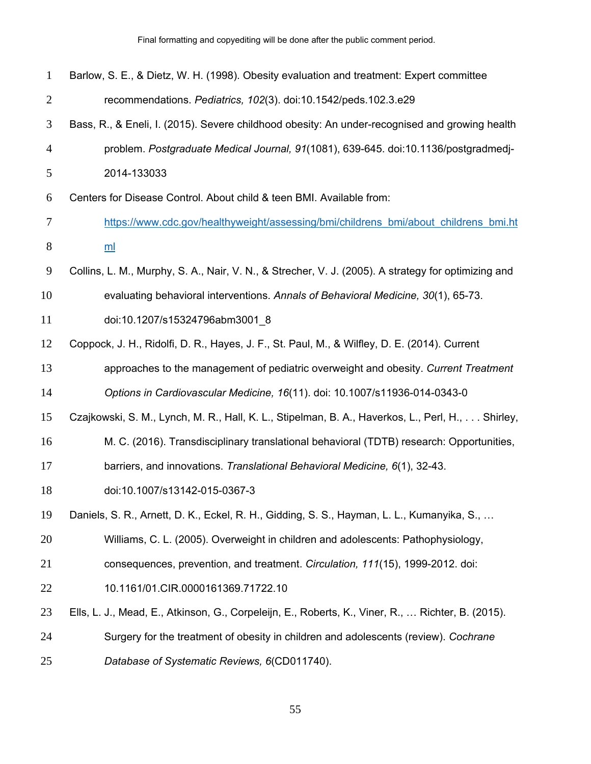Final formatting and copyediting will be done after the public comment period.

| $\mathbf{1}$   | Barlow, S. E., & Dietz, W. H. (1998). Obesity evaluation and treatment: Expert committee            |
|----------------|-----------------------------------------------------------------------------------------------------|
| $\overline{c}$ | recommendations. Pediatrics, 102(3). doi:10.1542/peds.102.3.e29                                     |
| 3              | Bass, R., & Eneli, I. (2015). Severe childhood obesity: An under-recognised and growing health      |
| 4              | problem. Postgraduate Medical Journal, 91(1081), 639-645. doi:10.1136/postgradmedi-                 |
| 5              | 2014-133033                                                                                         |
| 6              | Centers for Disease Control. About child & teen BMI. Available from:                                |
| 7              | https://www.cdc.gov/healthyweight/assessing/bmi/childrens bmi/about childrens bmi.ht                |
| 8              | m <sub>l</sub>                                                                                      |
| 9              | Collins, L. M., Murphy, S. A., Nair, V. N., & Strecher, V. J. (2005). A strategy for optimizing and |
| 10             | evaluating behavioral interventions. Annals of Behavioral Medicine, 30(1), 65-73.                   |
| 11             | doi:10.1207/s15324796abm3001 8                                                                      |
| 12             | Coppock, J. H., Ridolfi, D. R., Hayes, J. F., St. Paul, M., & Wilfley, D. E. (2014). Current        |
| 13             | approaches to the management of pediatric overweight and obesity. Current Treatment                 |
| 14             | Options in Cardiovascular Medicine, 16(11). doi: 10.1007/s11936-014-0343-0                          |
| 15             | Czajkowski, S. M., Lynch, M. R., Hall, K. L., Stipelman, B. A., Haverkos, L., Perl, H.,  Shirley,   |
| 16             | M. C. (2016). Transdisciplinary translational behavioral (TDTB) research: Opportunities,            |
| 17             | barriers, and innovations. Translational Behavioral Medicine, 6(1), 32-43.                          |
| 18             | doi:10.1007/s13142-015-0367-3                                                                       |
| 19             | Daniels, S. R., Arnett, D. K., Eckel, R. H., Gidding, S. S., Hayman, L. L., Kumanyika, S.,          |
| 20             | Williams, C. L. (2005). Overweight in children and adolescents: Pathophysiology,                    |
| 21             | consequences, prevention, and treatment. Circulation, 111(15), 1999-2012. doi:                      |
| 22             | 10.1161/01.CIR.0000161369.71722.10                                                                  |
| 23             | Ells, L. J., Mead, E., Atkinson, G., Corpeleijn, E., Roberts, K., Viner, R.,  Richter, B. (2015).   |
| 24             | Surgery for the treatment of obesity in children and adolescents (review). Cochrane                 |
| 25             | Database of Systematic Reviews, 6(CD011740).                                                        |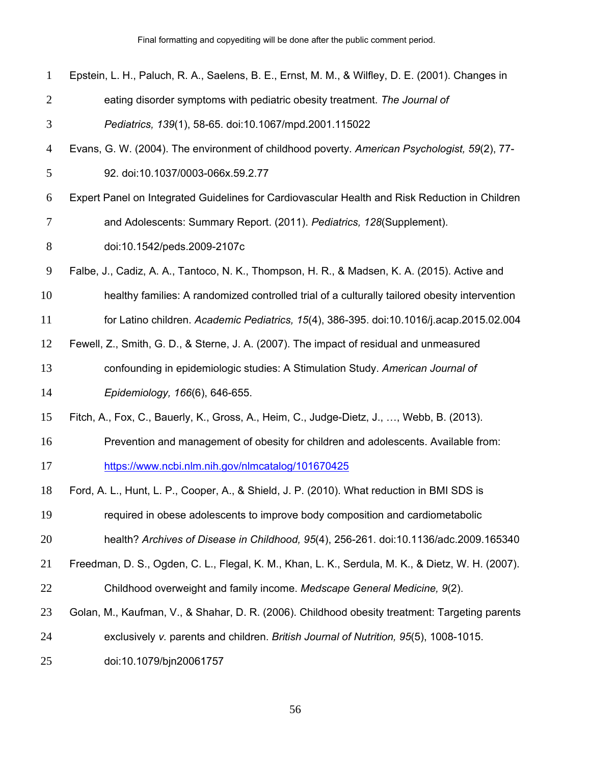Final formatting and copyediting will be done after the public comment period.

| $\mathbf{1}$   | Epstein, L. H., Paluch, R. A., Saelens, B. E., Ernst, M. M., & Wilfley, D. E. (2001). Changes in  |
|----------------|---------------------------------------------------------------------------------------------------|
| $\overline{2}$ | eating disorder symptoms with pediatric obesity treatment. The Journal of                         |
| 3              | Pediatrics, 139(1), 58-65. doi:10.1067/mpd.2001.115022                                            |
| $\overline{4}$ | Evans, G. W. (2004). The environment of childhood poverty. American Psychologist, 59(2), 77-      |
| 5              | 92. doi:10.1037/0003-066x.59.2.77                                                                 |
| 6              | Expert Panel on Integrated Guidelines for Cardiovascular Health and Risk Reduction in Children    |
| 7              | and Adolescents: Summary Report. (2011). Pediatrics, 128(Supplement).                             |
| $8\,$          | doi:10.1542/peds.2009-2107c                                                                       |
| 9              | Falbe, J., Cadiz, A. A., Tantoco, N. K., Thompson, H. R., & Madsen, K. A. (2015). Active and      |
| 10             | healthy families: A randomized controlled trial of a culturally tailored obesity intervention     |
| 11             | for Latino children. Academic Pediatrics, 15(4), 386-395. doi:10.1016/j.acap.2015.02.004          |
| 12             | Fewell, Z., Smith, G. D., & Sterne, J. A. (2007). The impact of residual and unmeasured           |
| 13             | confounding in epidemiologic studies: A Stimulation Study. American Journal of                    |
| 14             | Epidemiology, 166(6), 646-655.                                                                    |
| 15             | Fitch, A., Fox, C., Bauerly, K., Gross, A., Heim, C., Judge-Dietz, J., , Webb, B. (2013).         |
| 16             | Prevention and management of obesity for children and adolescents. Available from:                |
| 17             | https://www.ncbi.nlm.nih.gov/nlmcatalog/101670425                                                 |
| 18             | Ford, A. L., Hunt, L. P., Cooper, A., & Shield, J. P. (2010). What reduction in BMI SDS is        |
| 19             | required in obese adolescents to improve body composition and cardiometabolic                     |
| 20             | health? Archives of Disease in Childhood, 95(4), 256-261. doi:10.1136/adc.2009.165340             |
| 21             | Freedman, D. S., Ogden, C. L., Flegal, K. M., Khan, L. K., Serdula, M. K., & Dietz, W. H. (2007). |
| 22             | Childhood overweight and family income. Medscape General Medicine, 9(2).                          |
| 23             | Golan, M., Kaufman, V., & Shahar, D. R. (2006). Childhood obesity treatment: Targeting parents    |
| 24             | exclusively v. parents and children. British Journal of Nutrition, 95(5), 1008-1015.              |
| 25             | doi:10.1079/bjn20061757                                                                           |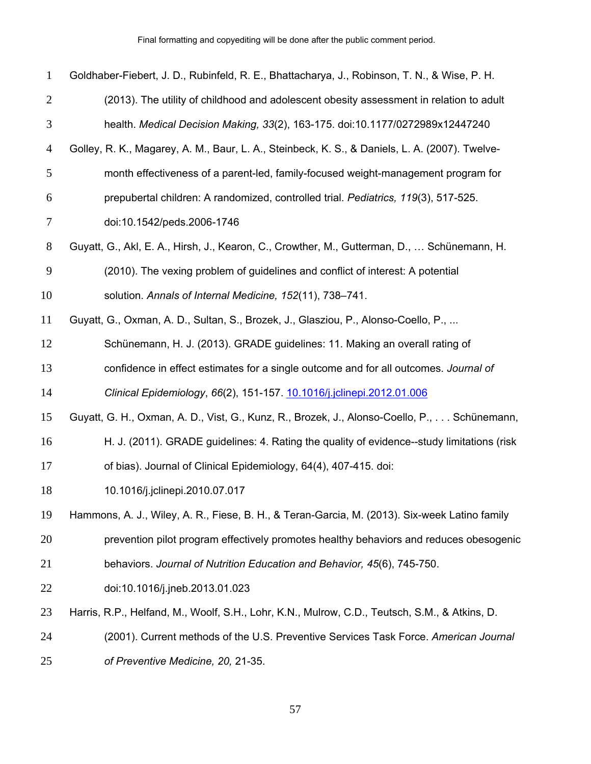| $\mathbf{1}$   | Goldhaber-Fiebert, J. D., Rubinfeld, R. E., Bhattacharya, J., Robinson, T. N., & Wise, P. H.   |
|----------------|------------------------------------------------------------------------------------------------|
| $\overline{2}$ | (2013). The utility of childhood and adolescent obesity assessment in relation to adult        |
| 3              | health. Medical Decision Making, 33(2), 163-175. doi:10.1177/0272989x12447240                  |
| $\overline{4}$ | Golley, R. K., Magarey, A. M., Baur, L. A., Steinbeck, K. S., & Daniels, L. A. (2007). Twelve- |
| 5              | month effectiveness of a parent-led, family-focused weight-management program for              |
| 6              | prepubertal children: A randomized, controlled trial. Pediatrics, 119(3), 517-525.             |
| $\overline{7}$ | doi:10.1542/peds.2006-1746                                                                     |
| 8              | Guyatt, G., Akl, E. A., Hirsh, J., Kearon, C., Crowther, M., Gutterman, D.,  Schünemann, H.    |
| 9              | (2010). The vexing problem of guidelines and conflict of interest: A potential                 |
| 10             | solution. Annals of Internal Medicine, 152(11), 738-741.                                       |
| 11             | Guyatt, G., Oxman, A. D., Sultan, S., Brozek, J., Glasziou, P., Alonso-Coello, P.,             |
| 12             | Schünemann, H. J. (2013). GRADE guidelines: 11. Making an overall rating of                    |
| 13             | confidence in effect estimates for a single outcome and for all outcomes. Journal of           |
| 14             | Clinical Epidemiology, 66(2), 151-157. 10.1016/j.jclinepi.2012.01.006                          |
| 15             | Guyatt, G. H., Oxman, A. D., Vist, G., Kunz, R., Brozek, J., Alonso-Coello, P.,  Schünemann,   |
| 16             | H. J. (2011). GRADE guidelines: 4. Rating the quality of evidence--study limitations (risk     |
| 17             | of bias). Journal of Clinical Epidemiology, 64(4), 407-415. doi:                               |
| 18             | 10.1016/j.jclinepi.2010.07.017                                                                 |
| 19             | Hammons, A. J., Wiley, A. R., Fiese, B. H., & Teran-Garcia, M. (2013). Six-week Latino family  |
| 20             | prevention pilot program effectively promotes healthy behaviors and reduces obesogenic         |
| 21             | behaviors. Journal of Nutrition Education and Behavior, 45(6), 745-750.                        |
| 22             | doi:10.1016/j.jneb.2013.01.023                                                                 |
| 23             | Harris, R.P., Helfand, M., Woolf, S.H., Lohr, K.N., Mulrow, C.D., Teutsch, S.M., & Atkins, D.  |
| 24             | (2001). Current methods of the U.S. Preventive Services Task Force. American Journal           |
| 25             | of Preventive Medicine, 20, 21-35.                                                             |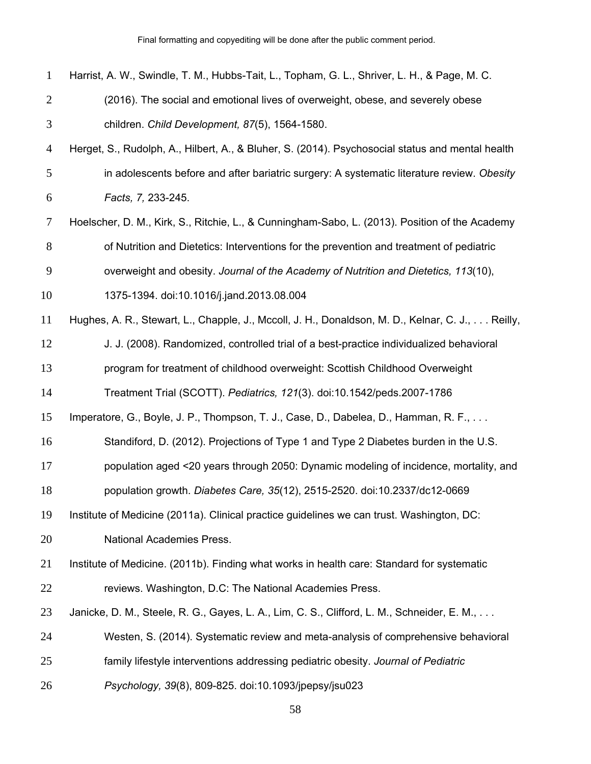| $\mathbf{1}$   | Harrist, A. W., Swindle, T. M., Hubbs-Tait, L., Topham, G. L., Shriver, L. H., & Page, M. C.      |
|----------------|---------------------------------------------------------------------------------------------------|
| $\overline{2}$ | (2016). The social and emotional lives of overweight, obese, and severely obese                   |
| 3              | children. Child Development, 87(5), 1564-1580.                                                    |
| $\overline{4}$ | Herget, S., Rudolph, A., Hilbert, A., & Bluher, S. (2014). Psychosocial status and mental health  |
| 5              | in adolescents before and after bariatric surgery: A systematic literature review. Obesity        |
| 6              | Facts, 7, 233-245.                                                                                |
| $\tau$         | Hoelscher, D. M., Kirk, S., Ritchie, L., & Cunningham-Sabo, L. (2013). Position of the Academy    |
| 8              | of Nutrition and Dietetics: Interventions for the prevention and treatment of pediatric           |
| 9              | overweight and obesity. Journal of the Academy of Nutrition and Dietetics, 113(10),               |
| 10             | 1375-1394. doi:10.1016/j.jand.2013.08.004                                                         |
| 11             | Hughes, A. R., Stewart, L., Chapple, J., Mccoll, J. H., Donaldson, M. D., Kelnar, C. J.,  Reilly, |
| 12             | J. J. (2008). Randomized, controlled trial of a best-practice individualized behavioral           |
| 13             | program for treatment of childhood overweight: Scottish Childhood Overweight                      |
| 14             | Treatment Trial (SCOTT). Pediatrics, 121(3). doi:10.1542/peds.2007-1786                           |
| 15             | Imperatore, G., Boyle, J. P., Thompson, T. J., Case, D., Dabelea, D., Hamman, R. F.,              |
| 16             | Standiford, D. (2012). Projections of Type 1 and Type 2 Diabetes burden in the U.S.               |
| 17             | population aged <20 years through 2050: Dynamic modeling of incidence, mortality, and             |
| 18             | population growth. Diabetes Care, 35(12), 2515-2520. doi:10.2337/dc12-0669                        |
| 19             | Institute of Medicine (2011a). Clinical practice guidelines we can trust. Washington, DC:         |
| 20             | <b>National Academies Press.</b>                                                                  |
| 21             | Institute of Medicine. (2011b). Finding what works in health care: Standard for systematic        |
| 22             | reviews. Washington, D.C: The National Academies Press.                                           |
| 23             | Janicke, D. M., Steele, R. G., Gayes, L. A., Lim, C. S., Clifford, L. M., Schneider, E. M.,       |
| 24             | Westen, S. (2014). Systematic review and meta-analysis of comprehensive behavioral                |
| 25             | family lifestyle interventions addressing pediatric obesity. Journal of Pediatric                 |
| 26             | Psychology, 39(8), 809-825. doi:10.1093/jpepsy/jsu023                                             |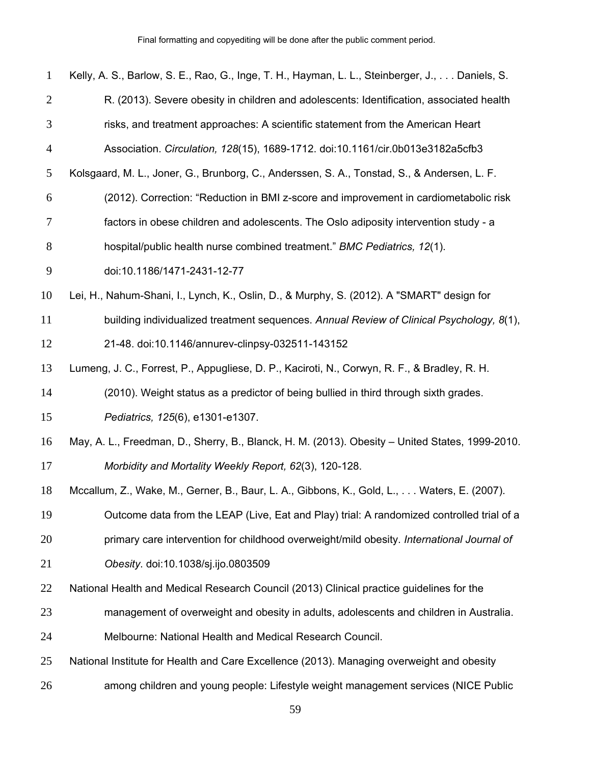| $\mathbf{1}$   | Kelly, A. S., Barlow, S. E., Rao, G., Inge, T. H., Hayman, L. L., Steinberger, J.,  Daniels, S. |
|----------------|-------------------------------------------------------------------------------------------------|
| $\overline{2}$ | R. (2013). Severe obesity in children and adolescents: Identification, associated health        |
| $\mathfrak{Z}$ | risks, and treatment approaches: A scientific statement from the American Heart                 |
| $\overline{4}$ | Association. Circulation, 128(15), 1689-1712. doi:10.1161/cir.0b013e3182a5cfb3                  |
| 5              | Kolsgaard, M. L., Joner, G., Brunborg, C., Anderssen, S. A., Tonstad, S., & Andersen, L. F.     |
| 6              | (2012). Correction: "Reduction in BMI z-score and improvement in cardiometabolic risk           |
| $\tau$         | factors in obese children and adolescents. The Oslo adiposity intervention study - a            |
| $8\,$          | hospital/public health nurse combined treatment." BMC Pediatrics, 12(1).                        |
| $\mathbf{9}$   | doi:10.1186/1471-2431-12-77                                                                     |
| 10             | Lei, H., Nahum-Shani, I., Lynch, K., Oslin, D., & Murphy, S. (2012). A "SMART" design for       |
| 11             | building individualized treatment sequences. Annual Review of Clinical Psychology, 8(1),        |
| 12             | 21-48. doi:10.1146/annurev-clinpsy-032511-143152                                                |
| 13             | Lumeng, J. C., Forrest, P., Appugliese, D. P., Kaciroti, N., Corwyn, R. F., & Bradley, R. H.    |
| 14             | (2010). Weight status as a predictor of being bullied in third through sixth grades.            |
| 15             | Pediatrics, 125(6), e1301-e1307.                                                                |
| 16             | May, A. L., Freedman, D., Sherry, B., Blanck, H. M. (2013). Obesity – United States, 1999-2010. |
| 17             | Morbidity and Mortality Weekly Report, 62(3), 120-128.                                          |
| 18             | Mccallum, Z., Wake, M., Gerner, B., Baur, L. A., Gibbons, K., Gold, L.,  Waters, E. (2007).     |
| 19             | Outcome data from the LEAP (Live, Eat and Play) trial: A randomized controlled trial of a       |
| 20             | primary care intervention for childhood overweight/mild obesity. International Journal of       |
| 21             | Obesity. doi:10.1038/sj.ijo.0803509                                                             |
| 22             | National Health and Medical Research Council (2013) Clinical practice guidelines for the        |
| 23             | management of overweight and obesity in adults, adolescents and children in Australia.          |
| 24             | Melbourne: National Health and Medical Research Council.                                        |
| 25             | National Institute for Health and Care Excellence (2013). Managing overweight and obesity       |
| 26             | among children and young people: Lifestyle weight management services (NICE Public              |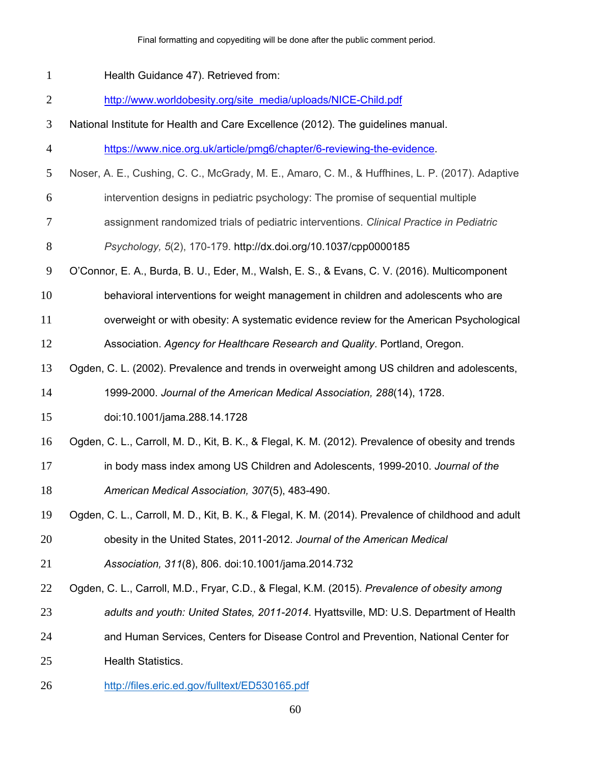#### Final formatting and copyediting will be done after the public comment period.

Health Guidance 47). Retrieved from:

http://www.worldobesity.org/site\_media/uploads/NICE-Child.pdf

National Institute for Health and Care Excellence (2012). The guidelines manual.

https://www.nice.org.uk/article/pmg6/chapter/6-reviewing-the-evidence.

- Noser, A. E., Cushing, C. C., McGrady, M. E., Amaro, C. M., & Huffhines, L. P. (2017). Adaptive
- intervention designs in pediatric psychology: The promise of sequential multiple
- assignment randomized trials of pediatric interventions. *Clinical Practice in Pediatric*
- *Psychology, 5*(2), 170-179. http://dx.doi.org/10.1037/cpp0000185
- O'Connor, E. A., Burda, B. U., Eder, M., Walsh, E. S., & Evans, C. V. (2016). Multicomponent
- behavioral interventions for weight management in children and adolescents who are

overweight or with obesity: A systematic evidence review for the American Psychological

- Association. *Agency for Healthcare Research and Quality*. Portland, Oregon.
- Ogden, C. L. (2002). Prevalence and trends in overweight among US children and adolescents,

1999-2000. *Journal of the American Medical Association, 288*(14), 1728.

- doi:10.1001/jama.288.14.1728
- Ogden, C. L., Carroll, M. D., Kit, B. K., & Flegal, K. M. (2012). Prevalence of obesity and trends
- in body mass index among US Children and Adolescents, 1999-2010. *Journal of the American Medical Association, 307*(5), 483-490.
- Ogden, C. L., Carroll, M. D., Kit, B. K., & Flegal, K. M. (2014). Prevalence of childhood and adult obesity in the United States, 2011-2012. *Journal of the American Medical*
- *Association, 311*(8), 806. doi:10.1001/jama.2014.732
- Ogden, C. L., Carroll, M.D., Fryar, C.D., & Flegal, K.M. (2015). *Prevalence of obesity among*
- *adults and youth: United States, 2011-2014*. Hyattsville, MD: U.S. Department of Health
- and Human Services, Centers for Disease Control and Prevention, National Center for
- Health Statistics.
- http://files.eric.ed.gov/fulltext/ED530165.pdf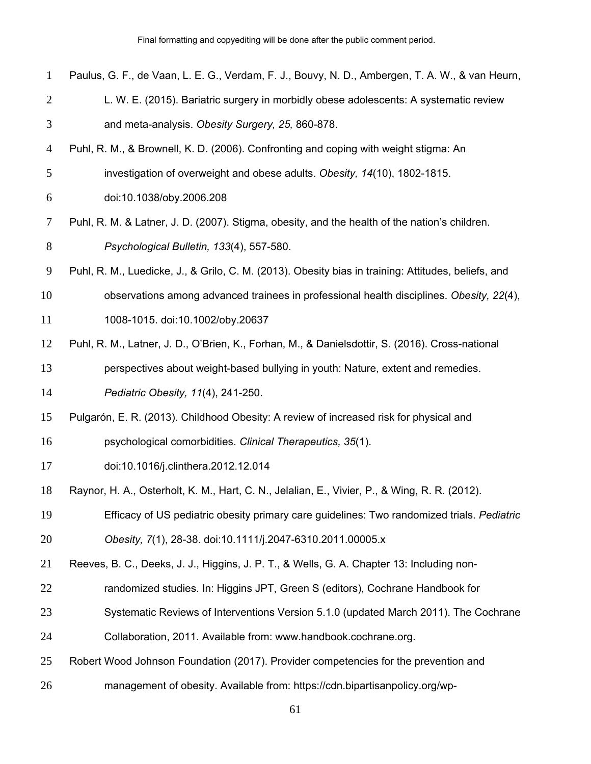| $\mathbf{1}$   | Paulus, G. F., de Vaan, L. E. G., Verdam, F. J., Bouvy, N. D., Ambergen, T. A. W., & van Heurn,     |
|----------------|-----------------------------------------------------------------------------------------------------|
| $\overline{2}$ | L. W. E. (2015). Bariatric surgery in morbidly obese adolescents: A systematic review               |
| 3              | and meta-analysis. Obesity Surgery, 25, 860-878.                                                    |
| $\overline{4}$ | Puhl, R. M., & Brownell, K. D. (2006). Confronting and coping with weight stigma: An                |
| 5              | investigation of overweight and obese adults. Obesity, 14(10), 1802-1815.                           |
| 6              | doi:10.1038/oby.2006.208                                                                            |
| $\overline{7}$ | Puhl, R. M. & Latner, J. D. (2007). Stigma, obesity, and the health of the nation's children.       |
| 8              | Psychological Bulletin, 133(4), 557-580.                                                            |
| 9              | Puhl, R. M., Luedicke, J., & Grilo, C. M. (2013). Obesity bias in training: Attitudes, beliefs, and |
| 10             | observations among advanced trainees in professional health disciplines. Obesity, 22(4),            |
| 11             | 1008-1015. doi:10.1002/oby.20637                                                                    |
| 12             | Puhl, R. M., Latner, J. D., O'Brien, K., Forhan, M., & Danielsdottir, S. (2016). Cross-national     |
| 13             | perspectives about weight-based bullying in youth: Nature, extent and remedies.                     |
| 14             | Pediatric Obesity, 11(4), 241-250.                                                                  |
| 15             | Pulgarón, E. R. (2013). Childhood Obesity: A review of increased risk for physical and              |
| 16             | psychological comorbidities. Clinical Therapeutics, 35(1).                                          |
| 17             | doi:10.1016/j.clinthera.2012.12.014                                                                 |
| 18             | Raynor, H. A., Osterholt, K. M., Hart, C. N., Jelalian, E., Vivier, P., & Wing, R. R. (2012).       |
| 19             | Efficacy of US pediatric obesity primary care guidelines: Two randomized trials. Pediatric          |
| 20             | Obesity, 7(1), 28-38. doi:10.1111/j.2047-6310.2011.00005.x                                          |
| 21             | Reeves, B. C., Deeks, J. J., Higgins, J. P. T., & Wells, G. A. Chapter 13: Including non-           |
| 22             | randomized studies. In: Higgins JPT, Green S (editors), Cochrane Handbook for                       |
| 23             | Systematic Reviews of Interventions Version 5.1.0 (updated March 2011). The Cochrane                |
| 24             | Collaboration, 2011. Available from: www.handbook.cochrane.org.                                     |
| 25             | Robert Wood Johnson Foundation (2017). Provider competencies for the prevention and                 |
| 26             | management of obesity. Available from: https://cdn.bipartisanpolicy.org/wp-                         |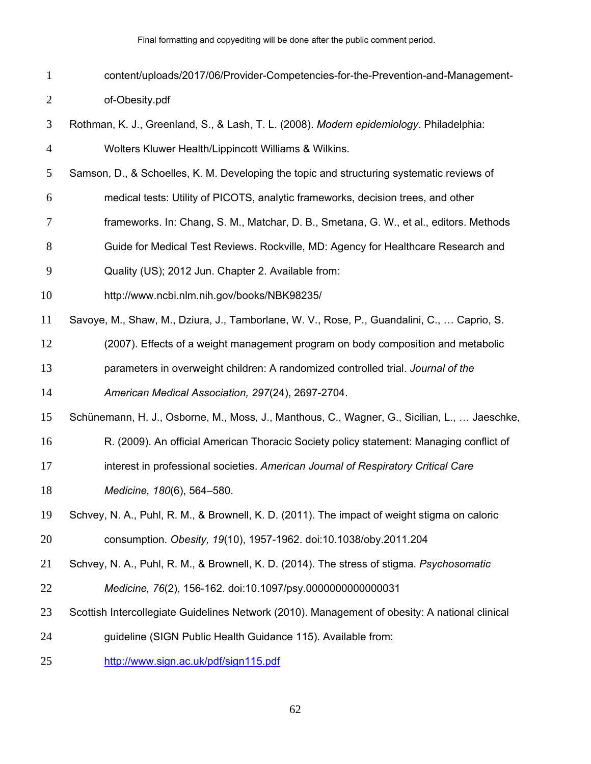- content/uploads/2017/06/Provider-Competencies-for-the-Prevention-and-Management-of-Obesity.pdf
- Rothman, K. J., Greenland, S., & Lash, T. L. (2008). *Modern epidemiology*. Philadelphia: Wolters Kluwer Health/Lippincott Williams & Wilkins.
- Samson, D., & Schoelles, K. M. Developing the topic and structuring systematic reviews of
- medical tests: Utility of PICOTS, analytic frameworks, decision trees, and other
- frameworks. In: Chang, S. M., Matchar, D. B., Smetana, G. W., et al., editors. Methods
- Guide for Medical Test Reviews. Rockville, MD: Agency for Healthcare Research and
- Quality (US); 2012 Jun. Chapter 2. Available from:
- http://www.ncbi.nlm.nih.gov/books/NBK98235/
- Savoye, M., Shaw, M., Dziura, J., Tamborlane, W. V., Rose, P., Guandalini, C., … Caprio, S.
- (2007). Effects of a weight management program on body composition and metabolic
- parameters in overweight children: A randomized controlled trial. *Journal of the*
- *American Medical Association, 297*(24), 2697-2704.
- Schünemann, H. J., Osborne, M., Moss, J., Manthous, C., Wagner, G., Sicilian, L., … Jaeschke,
- R. (2009). An official American Thoracic Society policy statement: Managing conflict of
- interest in professional societies. *American Journal of Respiratory Critical Care*
- *Medicine, 180*(6), 564–580.
- Schvey, N. A., Puhl, R. M., & Brownell, K. D. (2011). The impact of weight stigma on caloric consumption. *Obesity, 19*(10), 1957-1962. doi:10.1038/oby.2011.204
- Schvey, N. A., Puhl, R. M., & Brownell, K. D. (2014). The stress of stigma. *Psychosomatic*
- *Medicine, 76*(2), 156-162. doi:10.1097/psy.0000000000000031
- Scottish Intercollegiate Guidelines Network (2010). Management of obesity: A national clinical
- guideline (SIGN Public Health Guidance 115). Available from:
- http://www.sign.ac.uk/pdf/sign115.pdf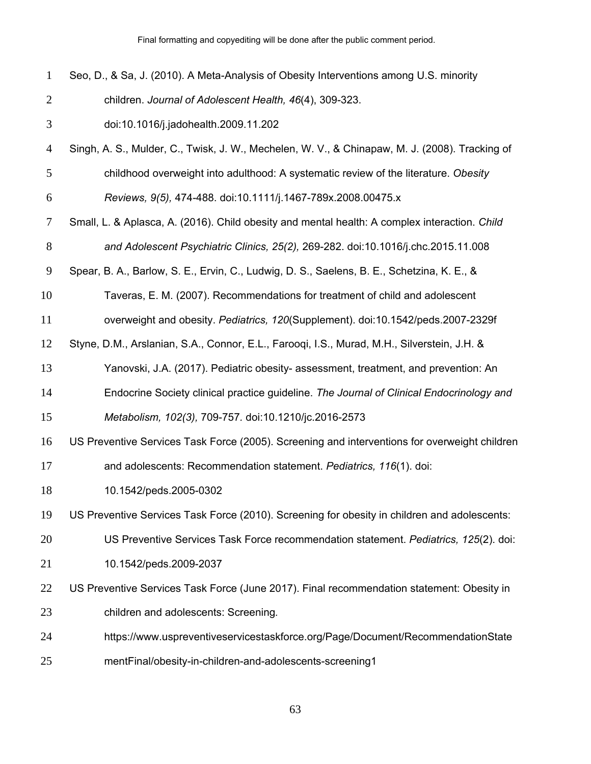| $\mathbf{1}$   | Seo, D., & Sa, J. (2010). A Meta-Analysis of Obesity Interventions among U.S. minority         |
|----------------|------------------------------------------------------------------------------------------------|
| $\overline{2}$ | children. Journal of Adolescent Health, 46(4), 309-323.                                        |
| $\mathfrak{Z}$ | doi:10.1016/j.jadohealth.2009.11.202                                                           |
| $\overline{4}$ | Singh, A. S., Mulder, C., Twisk, J. W., Mechelen, W. V., & Chinapaw, M. J. (2008). Tracking of |
| 5              | childhood overweight into adulthood: A systematic review of the literature. Obesity            |
| 6              | Reviews, 9(5), 474-488. doi:10.1111/j.1467-789x.2008.00475.x                                   |
| $\tau$         | Small, L. & Aplasca, A. (2016). Child obesity and mental health: A complex interaction. Child  |
| 8              | and Adolescent Psychiatric Clinics, 25(2), 269-282. doi:10.1016/j.chc.2015.11.008              |
| 9              | Spear, B. A., Barlow, S. E., Ervin, C., Ludwig, D. S., Saelens, B. E., Schetzina, K. E., &     |
| 10             | Taveras, E. M. (2007). Recommendations for treatment of child and adolescent                   |
| 11             | overweight and obesity. Pediatrics, 120(Supplement). doi:10.1542/peds.2007-2329f               |
| 12             | Styne, D.M., Arslanian, S.A., Connor, E.L., Farooqi, I.S., Murad, M.H., Silverstein, J.H. &    |
| 13             | Yanovski, J.A. (2017). Pediatric obesity- assessment, treatment, and prevention: An            |
| 14             | Endocrine Society clinical practice guideline. The Journal of Clinical Endocrinology and       |
| 15             | Metabolism, 102(3), 709-757. doi:10.1210/jc.2016-2573                                          |
| 16             | US Preventive Services Task Force (2005). Screening and interventions for overweight children  |
| 17             | and adolescents: Recommendation statement. Pediatrics, 116(1). doi:                            |
| 18             | 10.1542/peds.2005-0302                                                                         |
| 19             | US Preventive Services Task Force (2010). Screening for obesity in children and adolescents:   |
| 20             | US Preventive Services Task Force recommendation statement. Pediatrics, 125(2). doi:           |
| 21             | 10.1542/peds.2009-2037                                                                         |
| 22             | US Preventive Services Task Force (June 2017). Final recommendation statement: Obesity in      |
| 23             | children and adolescents: Screening.                                                           |
| 24             | https://www.uspreventiveservicestaskforce.org/Page/Document/RecommendationState                |
| 25             | mentFinal/obesity-in-children-and-adolescents-screening1                                       |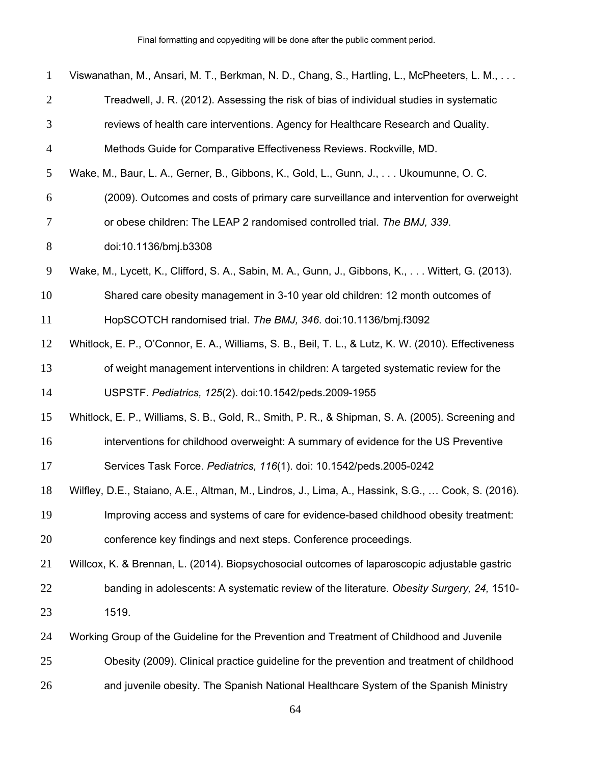| $\mathbf{1}$   | Viswanathan, M., Ansari, M. T., Berkman, N. D., Chang, S., Hartling, L., McPheeters, L. M.,         |
|----------------|-----------------------------------------------------------------------------------------------------|
| $\overline{2}$ | Treadwell, J. R. (2012). Assessing the risk of bias of individual studies in systematic             |
| 3              | reviews of health care interventions. Agency for Healthcare Research and Quality.                   |
| $\overline{4}$ | Methods Guide for Comparative Effectiveness Reviews. Rockville, MD.                                 |
| 5              | Wake, M., Baur, L. A., Gerner, B., Gibbons, K., Gold, L., Gunn, J.,  Ukoumunne, O. C.               |
| 6              | (2009). Outcomes and costs of primary care surveillance and intervention for overweight             |
| 7              | or obese children: The LEAP 2 randomised controlled trial. The BMJ, 339.                            |
| $8\,$          | doi:10.1136/bmj.b3308                                                                               |
| 9              | Wake, M., Lycett, K., Clifford, S. A., Sabin, M. A., Gunn, J., Gibbons, K.,  Wittert, G. (2013).    |
| 10             | Shared care obesity management in 3-10 year old children: 12 month outcomes of                      |
| 11             | HopSCOTCH randomised trial. The BMJ, 346. doi:10.1136/bmj.f3092                                     |
| 12             | Whitlock, E. P., O'Connor, E. A., Williams, S. B., Beil, T. L., & Lutz, K. W. (2010). Effectiveness |
| 13             | of weight management interventions in children: A targeted systematic review for the                |
| 14             | USPSTF. Pediatrics, 125(2). doi:10.1542/peds.2009-1955                                              |
| 15             | Whitlock, E. P., Williams, S. B., Gold, R., Smith, P. R., & Shipman, S. A. (2005). Screening and    |
| 16             | interventions for childhood overweight: A summary of evidence for the US Preventive                 |
| 17             | Services Task Force. Pediatrics, 116(1). doi: 10.1542/peds.2005-0242                                |
| 18             | Wilfley, D.E., Staiano, A.E., Altman, M., Lindros, J., Lima, A., Hassink, S.G.,  Cook, S. (2016).   |
| 19             | Improving access and systems of care for evidence-based childhood obesity treatment:                |
| 20             | conference key findings and next steps. Conference proceedings.                                     |
| 21             | Willcox, K. & Brennan, L. (2014). Biopsychosocial outcomes of laparoscopic adjustable gastric       |
| 22             | banding in adolescents: A systematic review of the literature. Obesity Surgery, 24, 1510-           |
| 23             | 1519.                                                                                               |
| 24             | Working Group of the Guideline for the Prevention and Treatment of Childhood and Juvenile           |
| 25             | Obesity (2009). Clinical practice guideline for the prevention and treatment of childhood           |

and juvenile obesity. The Spanish National Healthcare System of the Spanish Ministry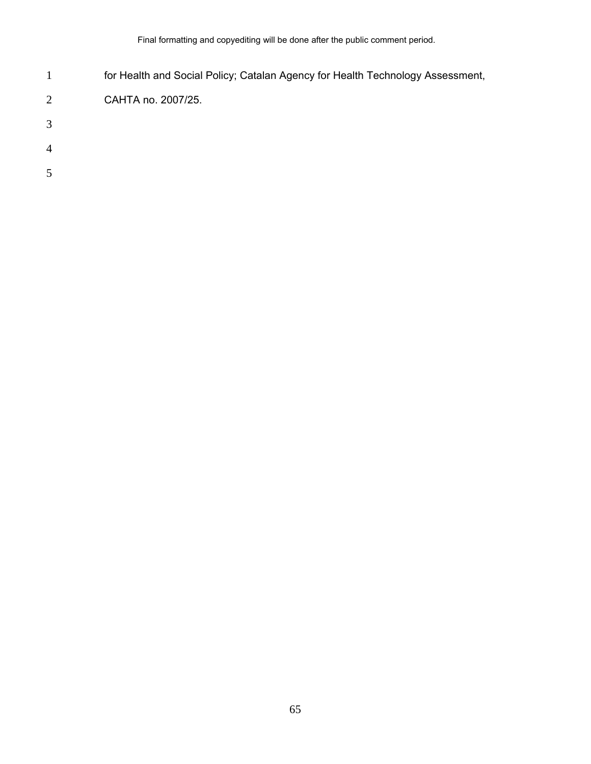- for Health and Social Policy; Catalan Agency for Health Technology Assessment,
- CAHTA no. 2007/25.
- 
- 
- 
-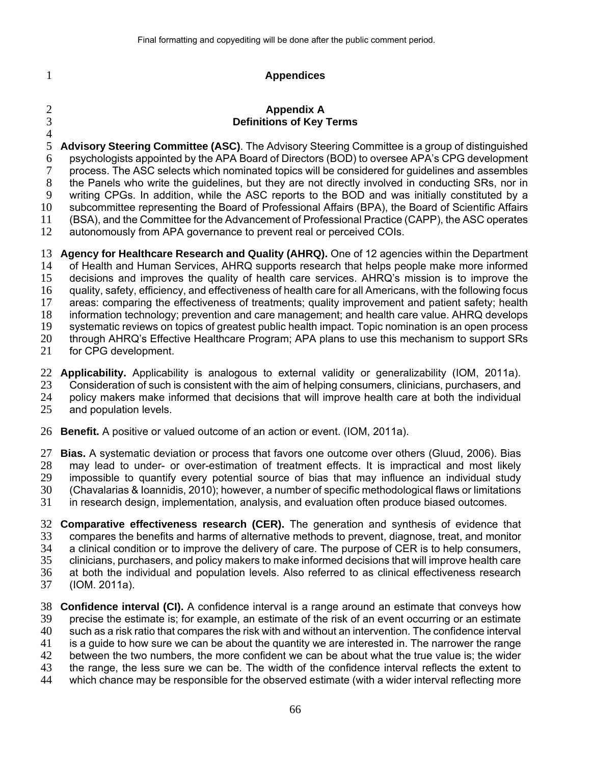## **Appendices**

## **Appendix A Definitions of Key Terms**

 $\frac{4}{5}$ **Advisory Steering Committee (ASC)**. The Advisory Steering Committee is a group of distinguished psychologists appointed by the APA Board of Directors (BOD) to oversee APA's CPG development process. The ASC selects which nominated topics will be considered for guidelines and assembles the Panels who write the guidelines, but they are not directly involved in conducting SRs, nor in writing CPGs. In addition, while the ASC reports to the BOD and was initially constituted by a subcommittee representing the Board of Professional Affairs (BPA), the Board of Scientific Affairs (BSA), and the Committee for the Advancement of Professional Practice (CAPP), the ASC operates autonomously from APA governance to prevent real or perceived COIs.

**Agency for Healthcare Research and Quality (AHRQ).** One of 12 agencies within the Department of Health and Human Services, AHRQ supports research that helps people make more informed decisions and improves the quality of health care services. AHRQ's mission is to improve the quality, safety, efficiency, and effectiveness of health care for all Americans, with the following focus areas: comparing the effectiveness of treatments; quality improvement and patient safety; health information technology; prevention and care management; and health care value. AHRQ develops systematic reviews on topics of greatest public health impact. Topic nomination is an open process through AHRQ's Effective Healthcare Program; APA plans to use this mechanism to support SRs for CPG development.

**Applicability.** Applicability is analogous to external validity or generalizability (IOM, 2011a). Consideration of such is consistent with the aim of helping consumers, clinicians, purchasers, and policy makers make informed that decisions that will improve health care at both the individual

and population levels.

**Benefit.** A positive or valued outcome of an action or event. (IOM, 2011a).

**Bias.** A systematic deviation or process that favors one outcome over others (Gluud, 2006). Bias may lead to under- or over-estimation of treatment effects. It is impractical and most likely impossible to quantify every potential source of bias that may influence an individual study (Chavalarias & Ioannidis, 2010); however, a number of specific methodological flaws or limitations

in research design, implementation, analysis, and evaluation often produce biased outcomes.

**Comparative effectiveness research (CER).** The generation and synthesis of evidence that compares the benefits and harms of alternative methods to prevent, diagnose, treat, and monitor a clinical condition or to improve the delivery of care. The purpose of CER is to help consumers, clinicians, purchasers, and policy makers to make informed decisions that will improve health care at both the individual and population levels. Also referred to as clinical effectiveness research (IOM. 2011a).

- **Confidence interval (CI).** A confidence interval is a range around an estimate that conveys how precise the estimate is; for example, an estimate of the risk of an event occurring or an estimate such as a risk ratio that compares the risk with and without an intervention. The confidence interval is a guide to how sure we can be about the quantity we are interested in. The narrower the range between the two numbers, the more confident we can be about what the true value is; the wider the range, the less sure we can be. The width of the confidence interval reflects the extent to
- which chance may be responsible for the observed estimate (with a wider interval reflecting more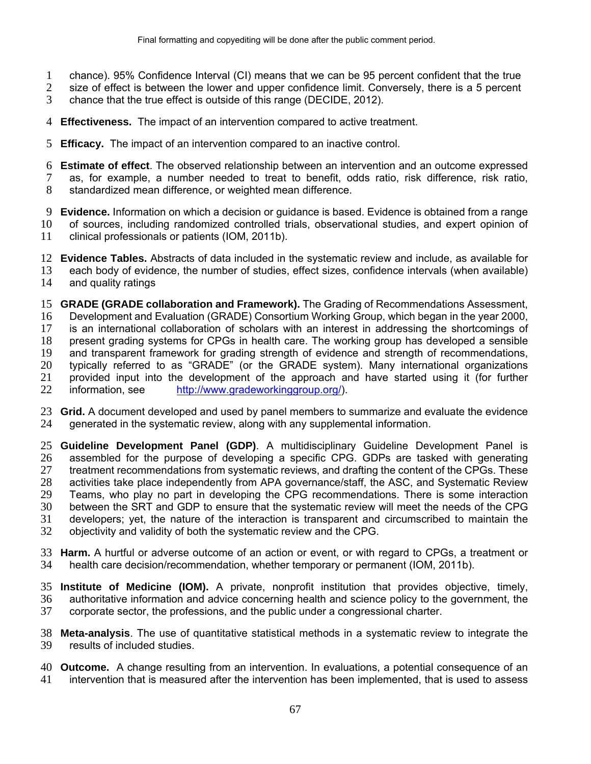- chance). 95% Confidence Interval (CI) means that we can be 95 percent confident that the true
- 2 size of effect is between the lower and upper confidence limit. Conversely, there is a 5 percent
- chance that the true effect is outside of this range (DECIDE, 2012).
- **Effectiveness.** The impact of an intervention compared to active treatment.
- **Efficacy.** The impact of an intervention compared to an inactive control.
- **Estimate of effect**. The observed relationship between an intervention and an outcome expressed
- as, for example, a number needed to treat to benefit, odds ratio, risk difference, risk ratio,
- standardized mean difference, or weighted mean difference.
- **Evidence.** Information on which a decision or guidance is based. Evidence is obtained from a range
- of sources, including randomized controlled trials, observational studies, and expert opinion of
- clinical professionals or patients (IOM, 2011b).
- **Evidence Tables.** Abstracts of data included in the systematic review and include, as available for
- each body of evidence, the number of studies, effect sizes, confidence intervals (when available) and quality ratings
- **GRADE (GRADE collaboration and Framework).** The Grading of Recommendations Assessment, Development and Evaluation (GRADE) Consortium Working Group, which began in the year 2000, is an international collaboration of scholars with an interest in addressing the shortcomings of present grading systems for CPGs in health care. The working group has developed a sensible and transparent framework for grading strength of evidence and strength of recommendations,
- typically referred to as "GRADE" (or the GRADE system). Many international organizations
- provided input into the development of the approach and have started using it (for further
- information, see http://www.gradeworkinggroup.org/).
- **Grid.** A document developed and used by panel members to summarize and evaluate the evidence generated in the systematic review, along with any supplemental information.
- **Guideline Development Panel (GDP)**. A multidisciplinary Guideline Development Panel is assembled for the purpose of developing a specific CPG. GDPs are tasked with generating treatment recommendations from systematic reviews, and drafting the content of the CPGs. These activities take place independently from APA governance/staff, the ASC, and Systematic Review Teams, who play no part in developing the CPG recommendations. There is some interaction between the SRT and GDP to ensure that the systematic review will meet the needs of the CPG developers; yet, the nature of the interaction is transparent and circumscribed to maintain the objectivity and validity of both the systematic review and the CPG.
- **Harm.** A hurtful or adverse outcome of an action or event, or with regard to CPGs, a treatment or health care decision/recommendation, whether temporary or permanent (IOM, 2011b).
- **Institute of Medicine (IOM).** A private, nonprofit institution that provides objective, timely, authoritative information and advice concerning health and science policy to the government, the corporate sector, the professions, and the public under a congressional charter.
- **Meta-analysis**. The use of quantitative statistical methods in a systematic review to integrate the results of included studies.
- **Outcome.** A change resulting from an intervention. In evaluations, a potential consequence of an intervention that is measured after the intervention has been implemented, that is used to assess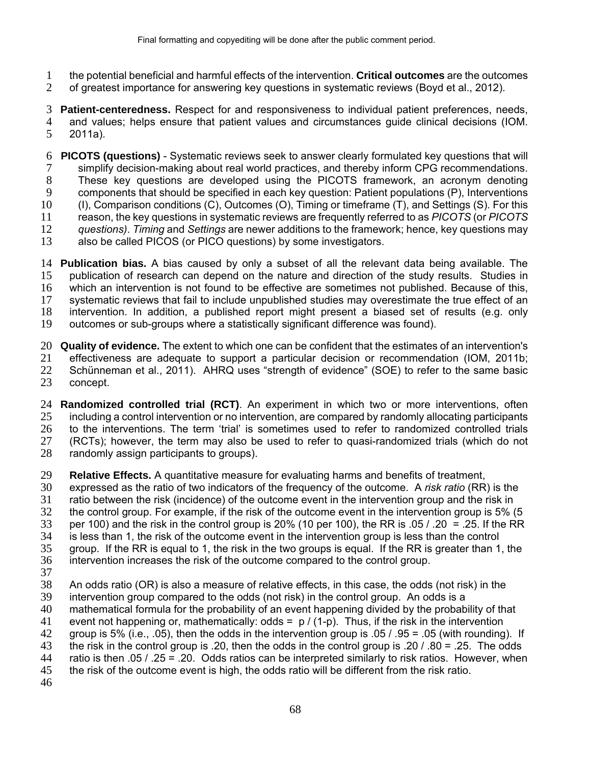- the potential beneficial and harmful effects of the intervention. **Critical outcomes** are the outcomes
- of greatest importance for answering key questions in systematic reviews (Boyd et al., 2012).

**Patient-centeredness.** Respect for and responsiveness to individual patient preferences, needs, and values; helps ensure that patient values and circumstances guide clinical decisions (IOM. 2011a).

- **PICOTS (questions)** Systematic reviews seek to answer clearly formulated key questions that will simplify decision-making about real world practices, and thereby inform CPG recommendations. These key questions are developed using the PICOTS framework, an acronym denoting components that should be specified in each key question: Patient populations (P), Interventions (I), Comparison conditions (C), Outcomes (O), Timing or timeframe (T), and Settings (S). For this reason, the key questions in systematic reviews are frequently referred to as *PICOTS* (or *PICOTS questions)*. *Timing* and *Settings* are newer additions to the framework; hence, key questions may
- also be called PICOS (or PICO questions) by some investigators.
- **Publication bias.** A bias caused by only a subset of all the relevant data being available. The publication of research can depend on the nature and direction of the study results. Studies in which an intervention is not found to be effective are sometimes not published. Because of this, systematic reviews that fail to include unpublished studies may overestimate the true effect of an intervention. In addition, a published report might present a biased set of results (e.g. only outcomes or sub-groups where a statistically significant difference was found).

**Quality of evidence.** The extent to which one can be confident that the estimates of an intervention's effectiveness are adequate to support a particular decision or recommendation (IOM, 2011b; 22 Schünneman et al., 2011). AHRQ uses "strength of evidence" (SOE) to refer to the same basic concept.

- **Randomized controlled trial (RCT)**. An experiment in which two or more interventions, often including a control intervention or no intervention, are compared by randomly allocating participants to the interventions. The term 'trial' is sometimes used to refer to randomized controlled trials (RCTs); however, the term may also be used to refer to quasi-randomized trials (which do not randomly assign participants to groups).
- **Relative Effects.** A quantitative measure for evaluating harms and benefits of treatment,
- expressed as the ratio of two indicators of the frequency of the outcome. A *risk ratio* (RR) is the
- ratio between the risk (incidence) of the outcome event in the intervention group and the risk in
- the control group. For example, if the risk of the outcome event in the intervention group is 5% (5
- 33 per 100) and the risk in the control group is 20% (10 per 100), the RR is  $.05 / .20 = .25$ . If the RR
- is less than 1, the risk of the outcome event in the intervention group is less than the control
- group. If the RR is equal to 1, the risk in the two groups is equal. If the RR is greater than 1, the intervention increases the risk of the outcome compared to the control group.
- 
- An odds ratio (OR) is also a measure of relative effects, in this case, the odds (not risk) in the
- intervention group compared to the odds (not risk) in the control group. An odds is a
- mathematical formula for the probability of an event happening divided by the probability of that
- 41 event not happening or, mathematically: odds =  $p / (1-p)$ . Thus, if the risk in the intervention group is 5% (i.e., .05), then the odds in the intervention group is .05 / .95 = .05 (with rounding). If
- 
- 43 the risk in the control group is .20, then the odds in the control group is .20 / .80 = .25. The odds 44 ratio is then .05 / .25 = .20. Odds ratios can be interpreted similarly to risk ratios. However, wher ratio is then .05 / .25 = .20. Odds ratios can be interpreted similarly to risk ratios. However, when
- the risk of the outcome event is high, the odds ratio will be different from the risk ratio.
-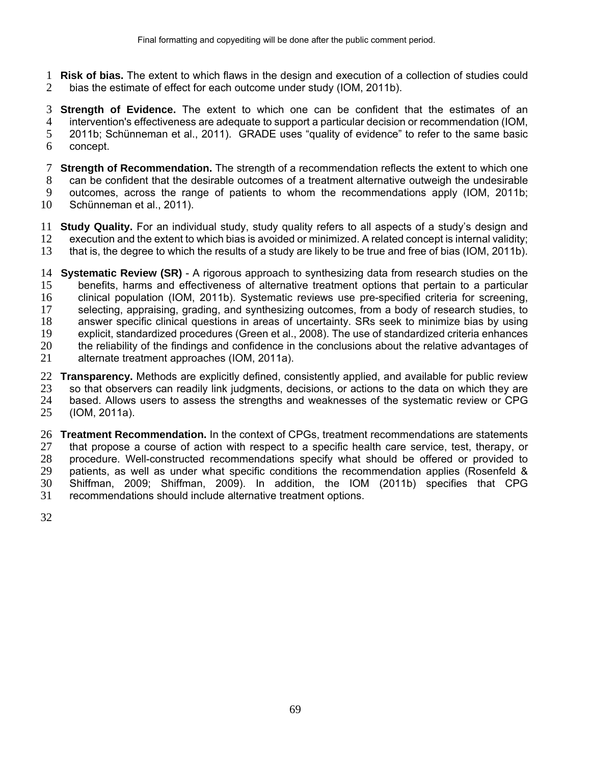**Risk of bias.** The extent to which flaws in the design and execution of a collection of studies could bias the estimate of effect for each outcome under study (IOM, 2011b).

**Strength of Evidence.** The extent to which one can be confident that the estimates of an intervention's effectiveness are adequate to support a particular decision or recommendation (IOM, 2011b; Schünneman et al., 2011). GRADE uses "quality of evidence" to refer to the same basic concept.

- **Strength of Recommendation.** The strength of a recommendation reflects the extent to which one can be confident that the desirable outcomes of a treatment alternative outweigh the undesirable outcomes, across the range of patients to whom the recommendations apply (IOM, 2011b;
- Schünneman et al., 2011).
- **Study Quality.** For an individual study, study quality refers to all aspects of a study's design and execution and the extent to which bias is avoided or minimized. A related concept is internal validity;
- that is, the degree to which the results of a study are likely to be true and free of bias (IOM, 2011b).
- **Systematic Review (SR)** A rigorous approach to synthesizing data from research studies on the benefits, harms and effectiveness of alternative treatment options that pertain to a particular clinical population (IOM, 2011b). Systematic reviews use pre-specified criteria for screening, selecting, appraising, grading, and synthesizing outcomes, from a body of research studies, to answer specific clinical questions in areas of uncertainty. SRs seek to minimize bias by using explicit, standardized procedures (Green et al., 2008). The use of standardized criteria enhances the reliability of the findings and confidence in the conclusions about the relative advantages of alternate treatment approaches (IOM, 2011a).
- **Transparency.** Methods are explicitly defined, consistently applied, and available for public review so that observers can readily link judgments, decisions, or actions to the data on which they are based. Allows users to assess the strengths and weaknesses of the systematic review or CPG (IOM, 2011a).
- **Treatment Recommendation.** In the context of CPGs, treatment recommendations are statements that propose a course of action with respect to a specific health care service, test, therapy, or procedure. Well-constructed recommendations specify what should be offered or provided to patients, as well as under what specific conditions the recommendation applies (Rosenfeld & Shiffman, 2009; Shiffman, 2009). In addition, the IOM (2011b) specifies that CPG recommendations should include alternative treatment options.
-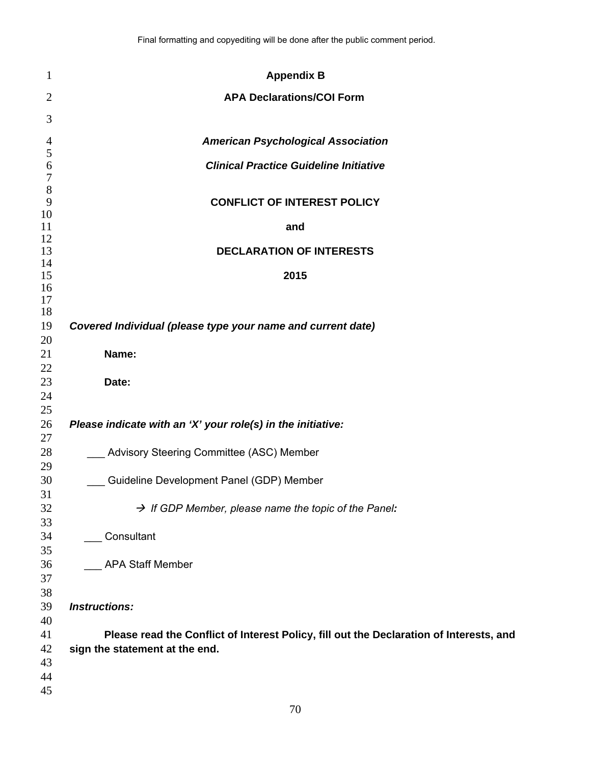| $\mathbf{1}$                | <b>Appendix B</b>                                                                       |
|-----------------------------|-----------------------------------------------------------------------------------------|
| $\overline{2}$              | <b>APA Declarations/COI Form</b>                                                        |
| 3                           |                                                                                         |
|                             |                                                                                         |
| $\overline{4}$<br>5         | <b>American Psychological Association</b>                                               |
| 6                           | <b>Clinical Practice Guideline Initiative</b>                                           |
| $\boldsymbol{7}$<br>$\,8\,$ |                                                                                         |
| 9                           | <b>CONFLICT OF INTEREST POLICY</b>                                                      |
| 10                          |                                                                                         |
| 11<br>12                    | and                                                                                     |
| 13                          | <b>DECLARATION OF INTERESTS</b>                                                         |
| 14<br>15                    | 2015                                                                                    |
| 16                          |                                                                                         |
| 17                          |                                                                                         |
| 18                          |                                                                                         |
| 19<br>20                    | Covered Individual (please type your name and current date)                             |
| 21                          | Name:                                                                                   |
| 22                          |                                                                                         |
| 23                          | Date:                                                                                   |
| 24                          |                                                                                         |
| 25<br>26                    | Please indicate with an 'X' your role(s) in the initiative:                             |
| 27                          |                                                                                         |
| 28                          | Advisory Steering Committee (ASC) Member                                                |
| 29                          |                                                                                         |
| 30                          | Guideline Development Panel (GDP) Member                                                |
| 31<br>32                    | $\rightarrow$ If GDP Member, please name the topic of the Panel:                        |
| 33                          |                                                                                         |
| 34                          | Consultant                                                                              |
| 35                          |                                                                                         |
| 36                          | <b>APA Staff Member</b>                                                                 |
| 37<br>38                    |                                                                                         |
| 39                          | <b>Instructions:</b>                                                                    |
| 40                          |                                                                                         |
| 41                          | Please read the Conflict of Interest Policy, fill out the Declaration of Interests, and |
| 42                          | sign the statement at the end.                                                          |
| 43                          |                                                                                         |
| 44<br>45                    |                                                                                         |
|                             |                                                                                         |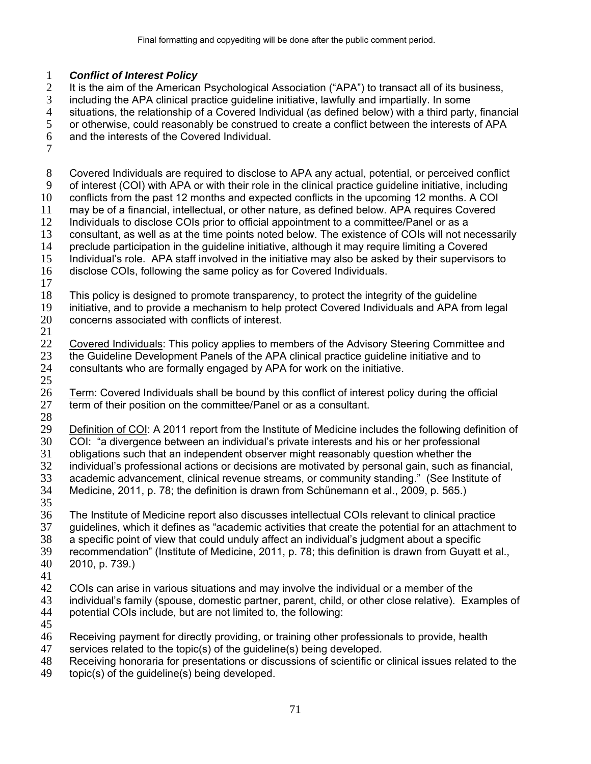# *Conflict of Interest Policy*

It is the aim of the American Psychological Association ("APA") to transact all of its business, including the APA clinical practice guideline initiative, lawfully and impartially. In some

- 
- 4 situations, the relationship of a Covered Individual (as defined below) with a third party, financial<br>5 or otherwise, could reasonably be construed to create a conflict between the interests of APA or otherwise, could reasonably be construed to create a conflict between the interests of APA
- and the interests of the Covered Individual.
- 

Covered Individuals are required to disclose to APA any actual, potential, or perceived conflict of interest (COI) with APA or with their role in the clinical practice guideline initiative, including conflicts from the past 12 months and expected conflicts in the upcoming 12 months. A COI may be of a financial, intellectual, or other nature, as defined below. APA requires Covered 12 Individuals to disclose COIs prior to official appointment to a committee/Panel or as a consultant, as well as at the time points noted below. The existence of COIs will not necessarily preclude participation in the guideline initiative, although it may require limiting a Covered Individual's role. APA staff involved in the initiative may also be asked by their supervisors to disclose COIs, following the same policy as for Covered Individuals. This policy is designed to promote transparency, to protect the integrity of the guideline initiative, and to provide a mechanism to help protect Covered Individuals and APA from legal concerns associated with conflicts of interest. Covered Individuals: This policy applies to members of the Advisory Steering Committee and the Guideline Development Panels of the APA clinical practice guideline initiative and to consultants who are formally engaged by APA for work on the initiative. Term: Covered Individuals shall be bound by this conflict of interest policy during the official 27 term of their position on the committee/Panel or as a consultant. Definition of COI: A 2011 report from the Institute of Medicine includes the following definition of COI: "a divergence between an individual's private interests and his or her professional obligations such that an independent observer might reasonably question whether the 32 individual's professional actions or decisions are motivated by personal gain, such as financial,<br>33 academic advancement, clinical revenue streams, or community standing." (See Institute of academic advancement, clinical revenue streams, or community standing." (See Institute of Medicine, 2011, p. 78; the definition is drawn from Schünemann et al., 2009, p. 565.) The Institute of Medicine report also discusses intellectual COIs relevant to clinical practice guidelines, which it defines as "academic activities that create the potential for an attachment to a specific point of view that could unduly affect an individual's judgment about a specific recommendation" (Institute of Medicine, 2011, p. 78; this definition is drawn from Guyatt et al., 2010, p. 739.) 42 COIs can arise in various situations and may involve the individual or a member of the<br>43 individual's family (spouse, domestic partner, parent, child, or other close relative). Exa individual's family (spouse, domestic partner, parent, child, or other close relative). Examples of potential COIs include, but are not limited to, the following: Receiving payment for directly providing, or training other professionals to provide, health

- services related to the topic(s) of the guideline(s) being developed.
- Receiving honoraria for presentations or discussions of scientific or clinical issues related to the
- topic(s) of the guideline(s) being developed.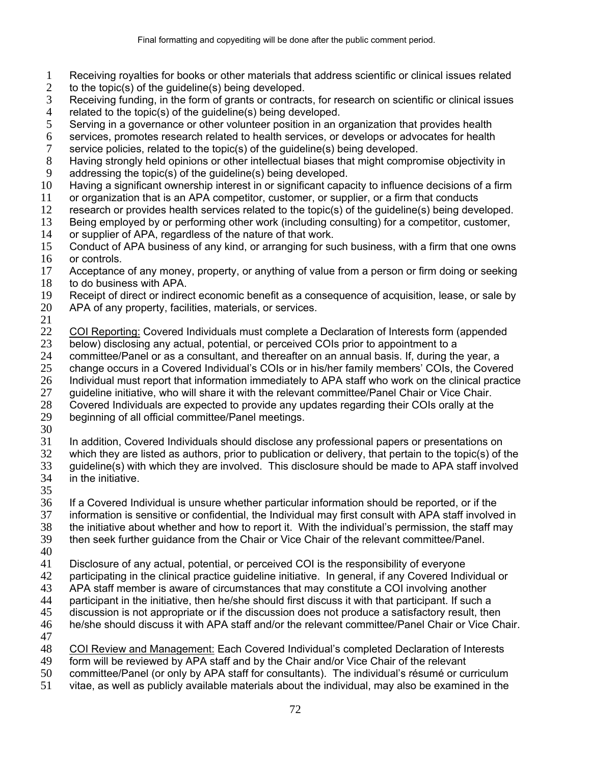- Receiving royalties for books or other materials that address scientific or clinical issues related
- 2 to the topic(s) of the guideline(s) being developed.
- Receiving funding, in the form of grants or contracts, for research on scientific or clinical issues
- 4 related to the topic(s) of the guideline(s) being developed.<br>5 Serving in a governance or other volunteer position in an d Serving in a governance or other volunteer position in an organization that provides health
- 6 services, promotes research related to health services, or develops or advocates for health service policies, related to the topic(s) of the quideline(s) being developed.
- service policies, related to the topic(s) of the guideline(s) being developed.
- Having strongly held opinions or other intellectual biases that might compromise objectivity in
- addressing the topic(s) of the guideline(s) being developed.
- Having a significant ownership interest in or significant capacity to influence decisions of a firm
- or organization that is an APA competitor, customer, or supplier, or a firm that conducts
- research or provides health services related to the topic(s) of the guideline(s) being developed.
- Being employed by or performing other work (including consulting) for a competitor, customer,
- or supplier of APA, regardless of the nature of that work.
- Conduct of APA business of any kind, or arranging for such business, with a firm that one owns or controls.
- Acceptance of any money, property, or anything of value from a person or firm doing or seeking to do business with APA.
- Receipt of direct or indirect economic benefit as a consequence of acquisition, lease, or sale by
- APA of any property, facilities, materials, or services.
- 
- COI Reporting: Covered Individuals must complete a Declaration of Interests form (appended
- below) disclosing any actual, potential, or perceived COIs prior to appointment to a
- committee/Panel or as a consultant, and thereafter on an annual basis. If, during the year, a
- change occurs in a Covered Individual's COIs or in his/her family members' COIs, the Covered
- Individual must report that information immediately to APA staff who work on the clinical practice
- guideline initiative, who will share it with the relevant committee/Panel Chair or Vice Chair.
- Covered Individuals are expected to provide any updates regarding their COIs orally at the
- beginning of all official committee/Panel meetings.
- 
- In addition, Covered Individuals should disclose any professional papers or presentations on
- which they are listed as authors, prior to publication or delivery, that pertain to the topic(s) of the guideline(s) with which they are involved. This disclosure should be made to APA staff involved
- in the initiative.
- 

If a Covered Individual is unsure whether particular information should be reported, or if the

- information is sensitive or confidential, the Individual may first consult with APA staff involved in
- the initiative about whether and how to report it. With the individual's permission, the staff may
- then seek further guidance from the Chair or Vice Chair of the relevant committee/Panel.
- 
- Disclosure of any actual, potential, or perceived COI is the responsibility of everyone
- participating in the clinical practice guideline initiative. In general, if any Covered Individual or
- APA staff member is aware of circumstances that may constitute a COI involving another
- participant in the initiative, then he/she should first discuss it with that participant. If such a
- discussion is not appropriate or if the discussion does not produce a satisfactory result, then
- he/she should discuss it with APA staff and/or the relevant committee/Panel Chair or Vice Chair.
- 
- COI Review and Management: Each Covered Individual's completed Declaration of Interests
- form will be reviewed by APA staff and by the Chair and/or Vice Chair of the relevant
- committee/Panel (or only by APA staff for consultants). The individual's résumé or curriculum
- vitae, as well as publicly available materials about the individual, may also be examined in the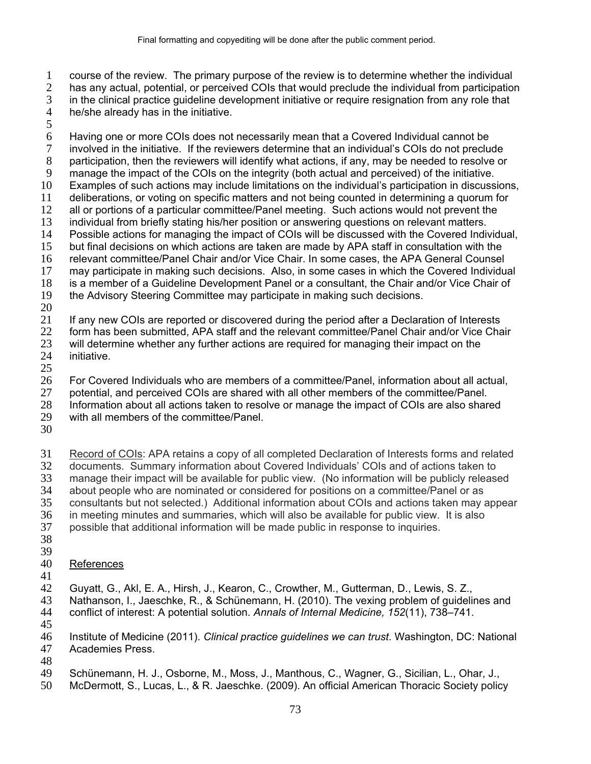course of the review. The primary purpose of the review is to determine whether the individual

has any actual, potential, or perceived COIs that would preclude the individual from participation in the clinical practice guideline development initiative or require resignation from any role that

he/she already has in the initiative.

Having one or more COIs does not necessarily mean that a Covered Individual cannot be involved in the initiative. If the reviewers determine that an individual's COIs do not preclude participation, then the reviewers will identify what actions, if any, may be needed to resolve or manage the impact of the COIs on the integrity (both actual and perceived) of the initiative. Examples of such actions may include limitations on the individual's participation in discussions, deliberations, or voting on specific matters and not being counted in determining a quorum for all or portions of a particular committee/Panel meeting. Such actions would not prevent the individual from briefly stating his/her position or answering questions on relevant matters. Possible actions for managing the impact of COIs will be discussed with the Covered Individual, but final decisions on which actions are taken are made by APA staff in consultation with the relevant committee/Panel Chair and/or Vice Chair. In some cases, the APA General Counsel may participate in making such decisions. Also, in some cases in which the Covered Individual is a member of a Guideline Development Panel or a consultant, the Chair and/or Vice Chair of the Advisory Steering Committee may participate in making such decisions.

If any new COIs are reported or discovered during the period after a Declaration of Interests

form has been submitted, APA staff and the relevant committee/Panel Chair and/or Vice Chair

will determine whether any further actions are required for managing their impact on the initiative.

For Covered Individuals who are members of a committee/Panel, information about all actual,

potential, and perceived COIs are shared with all other members of the committee/Panel.

Information about all actions taken to resolve or manage the impact of COIs are also shared

- with all members of the committee/Panel.
- 

Record of COIs: APA retains a copy of all completed Declaration of Interests forms and related documents. Summary information about Covered Individuals' COIs and of actions taken to manage their impact will be available for public view. (No information will be publicly released about people who are nominated or considered for positions on a committee/Panel or as consultants but not selected.) Additional information about COIs and actions taken may appear in meeting minutes and summaries, which will also be available for public view. It is also possible that additional information will be made public in response to inquiries. 

- 
- References
- 

Guyatt, G., Akl, E. A., Hirsh, J., Kearon, C., Crowther, M., Gutterman, D., Lewis, S. Z.,

Nathanson, I., Jaeschke, R., & Schünemann, H. (2010). The vexing problem of guidelines and conflict of interest: A potential solution. *Annals of Internal Medicine, 152*(11), 738–741.

Institute of Medicine (2011). *Clinical practice guidelines we can trust*. Washington, DC: National Academies Press.

Schünemann, H. J., Osborne, M., Moss, J., Manthous, C., Wagner, G., Sicilian, L., Ohar, J.,

McDermott, S., Lucas, L., & R. Jaeschke. (2009). An official American Thoracic Society policy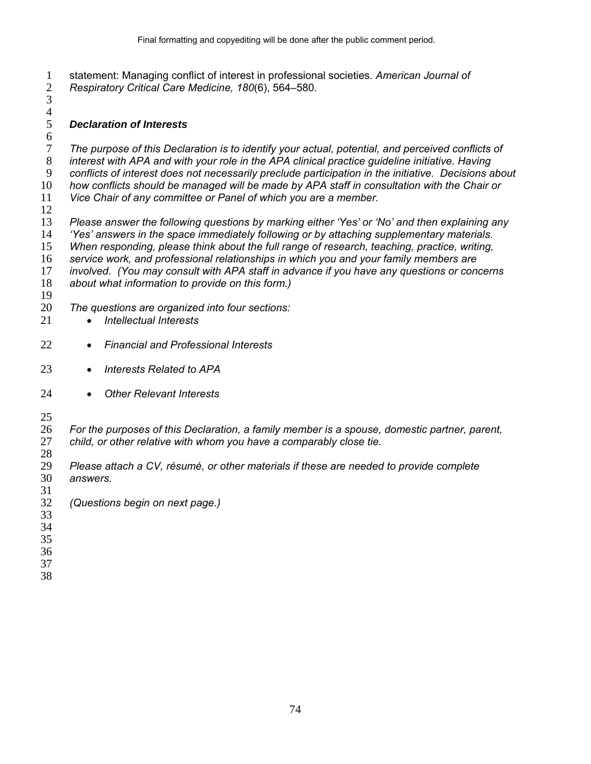statement: Managing conflict of interest in professional societies. *American Journal of Respiratory Critical Care Medicine, 180*(6), 564–580.  $\overline{3}$ 

## $\frac{4}{5}$ *Declaration of Interests*

*The purpose of this Declaration is to identify your actual, potential, and perceived conflicts of interest with APA and with your role in the APA clinical practice guideline initiative. Having conflicts of interest does not necessarily preclude participation in the initiative. Decisions about how conflicts should be managed will be made by APA staff in consultation with the Chair or* 

*Vice Chair of any committee or Panel of which you are a member.* 

*Please answer the following questions by marking either 'Yes' or 'No' and then explaining any 'Yes' answers in the space immediately following or by attaching supplementary materials. When responding, please think about the full range of research, teaching, practice, writing, service work, and professional relationships in which you and your family members are* 

*involved. (You may consult with APA staff in advance if you have any questions or concerns* 

- *about what information to provide on this form.)*
- 
- *The questions are organized into four sections:*
- *Intellectual Interests*
- *Financial and Professional Interests*
- *Interests Related to APA*
- *Other Relevant Interests*
- 

*For the purposes of this Declaration, a family member is a spouse, domestic partner, parent, child, or other relative with whom you have a comparably close tie.*  

- *Please attach a CV, résumé, or other materials if these are needed to provide complete answers.*
- *(Questions begin on next page.)*
- 

- 
- 
-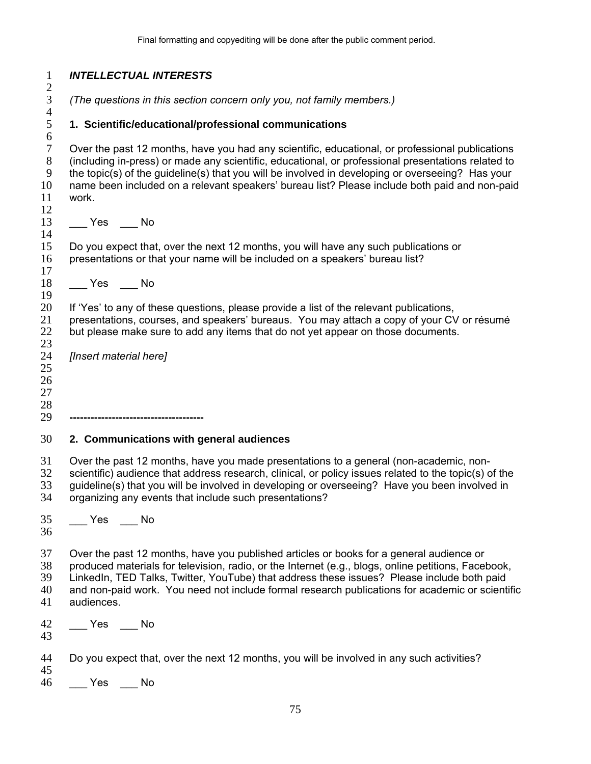| $\mathbf{1}$<br>$\overline{\mathbf{c}}$ | <b>INTELLECTUAL INTERESTS</b>                                                                                                                                                                                                                                                                                                                                                                                       |
|-----------------------------------------|---------------------------------------------------------------------------------------------------------------------------------------------------------------------------------------------------------------------------------------------------------------------------------------------------------------------------------------------------------------------------------------------------------------------|
| $\overline{3}$<br>$\overline{4}$        | (The questions in this section concern only you, not family members.)                                                                                                                                                                                                                                                                                                                                               |
| 5<br>6                                  | 1. Scientific/educational/professional communications                                                                                                                                                                                                                                                                                                                                                               |
| $\tau$<br>$8\,$<br>9<br>10<br>11<br>12  | Over the past 12 months, have you had any scientific, educational, or professional publications<br>(including in-press) or made any scientific, educational, or professional presentations related to<br>the topic(s) of the guideline(s) that you will be involved in developing or overseeing? Has your<br>name been included on a relevant speakers' bureau list? Please include both paid and non-paid<br>work. |
| 13<br>14                                | $\rule{1em}{0.15mm}$ Yes $\rule{1em}{0.15mm}$ No                                                                                                                                                                                                                                                                                                                                                                    |
| 15<br>16<br>17                          | Do you expect that, over the next 12 months, you will have any such publications or<br>presentations or that your name will be included on a speakers' bureau list?                                                                                                                                                                                                                                                 |
| 18<br>19                                | $Yes$ Mo                                                                                                                                                                                                                                                                                                                                                                                                            |
| 20<br>21<br>22<br>23                    | If 'Yes' to any of these questions, please provide a list of the relevant publications,<br>presentations, courses, and speakers' bureaus. You may attach a copy of your CV or résumé<br>but please make sure to add any items that do not yet appear on those documents.                                                                                                                                            |
| 24<br>25<br>26<br>27<br>28<br>29        | [Insert material here]                                                                                                                                                                                                                                                                                                                                                                                              |
| 30                                      | 2. Communications with general audiences                                                                                                                                                                                                                                                                                                                                                                            |
| 31<br>32<br>33<br>34                    | Over the past 12 months, have you made presentations to a general (non-academic, non-<br>scientific) audience that address research, clinical, or policy issues related to the topic(s) of the<br>guideline(s) that you will be involved in developing or overseeing? Have you been involved in<br>organizing any events that include such presentations?                                                           |
| 35<br>36                                | $Yes$ No                                                                                                                                                                                                                                                                                                                                                                                                            |
| 37<br>38<br>39<br>40<br>41              | Over the past 12 months, have you published articles or books for a general audience or<br>produced materials for television, radio, or the Internet (e.g., blogs, online petitions, Facebook,<br>LinkedIn, TED Talks, Twitter, YouTube) that address these issues? Please include both paid<br>and non-paid work. You need not include formal research publications for academic or scientific<br>audiences.       |
| 42<br>43                                | $\xi$ Yes $\xi$ No                                                                                                                                                                                                                                                                                                                                                                                                  |
| 44<br>45                                | Do you expect that, over the next 12 months, you will be involved in any such activities?                                                                                                                                                                                                                                                                                                                           |
| 46                                      | No Nes No                                                                                                                                                                                                                                                                                                                                                                                                           |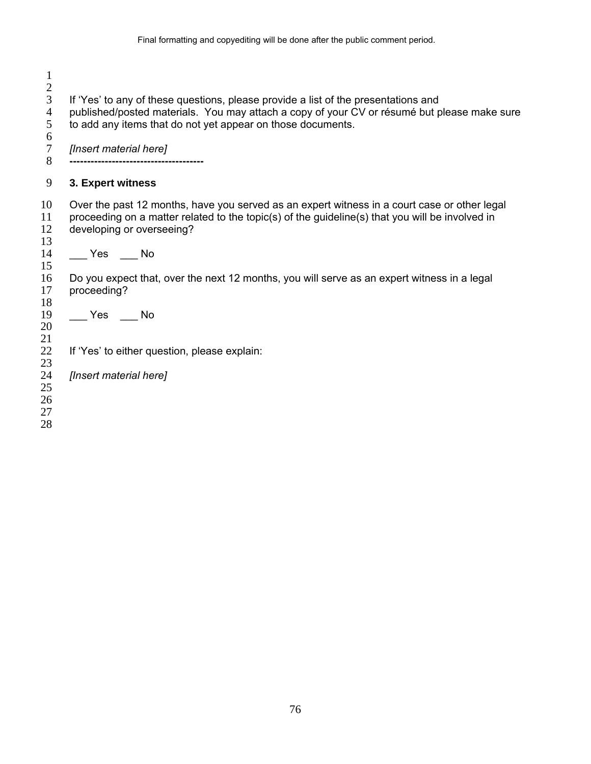| $\overline{2}$<br>3<br>4<br>5<br>6<br>7<br>8 | If 'Yes' to any of these questions, please provide a list of the presentations and<br>published/posted materials. You may attach a copy of your CV or résumé but please make sure<br>to add any items that do not yet appear on those documents.<br>[Insert material here] |
|----------------------------------------------|----------------------------------------------------------------------------------------------------------------------------------------------------------------------------------------------------------------------------------------------------------------------------|
| 9                                            | 3. Expert witness                                                                                                                                                                                                                                                          |
| 10<br>11<br>12<br>13                         | Over the past 12 months, have you served as an expert witness in a court case or other legal<br>proceeding on a matter related to the topic(s) of the guideline(s) that you will be involved in<br>developing or overseeing?                                               |
| 14<br>15                                     | $Yes$ No                                                                                                                                                                                                                                                                   |
| 16<br>17<br>18                               | Do you expect that, over the next 12 months, you will serve as an expert witness in a legal<br>proceeding?                                                                                                                                                                 |
| 19<br>20<br>21                               | Yes No                                                                                                                                                                                                                                                                     |
| 22<br>23                                     | If 'Yes' to either question, please explain:                                                                                                                                                                                                                               |
| 24<br>25<br>26<br>27<br>28                   | [Insert material here]                                                                                                                                                                                                                                                     |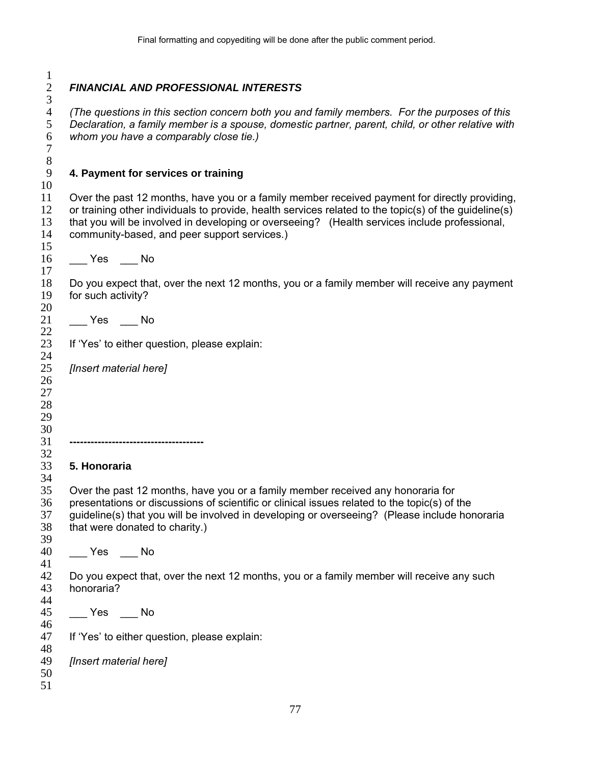*FINANCIAL AND PROFESSIONAL INTERESTS*   $\begin{array}{c} 2 \\ 3 \\ 4 \end{array}$ *(The questions in this section concern both you and family members. For the purposes of this Declaration, a family member is a spouse, domestic partner, parent, child, or other relative with whom you have a comparably close tie.)*  **4. Payment for services or training**  Over the past 12 months, have you or a family member received payment for directly providing, or training other individuals to provide, health services related to the topic(s) of the guideline(s) that you will be involved in developing or overseeing? (Health services include professional, community-based, and peer support services.) 16 \_\_\_\_ Yes \_\_\_\_ No Do you expect that, over the next 12 months, you or a family member will receive any payment for such activity? \_\_\_ Yes \_\_\_ No If 'Yes' to either question, please explain: *[Insert material here]*  **-------------------------------------- 5. Honoraria**  Over the past 12 months, have you or a family member received any honoraria for presentations or discussions of scientific or clinical issues related to the topic(s) of the guideline(s) that you will be involved in developing or overseeing? (Please include honoraria that were donated to charity.) \_\_\_ Yes \_\_\_ No Do you expect that, over the next 12 months, you or a family member will receive any such honoraria? \_\_\_ Yes \_\_\_ No If 'Yes' to either question, please explain: *[Insert material here]*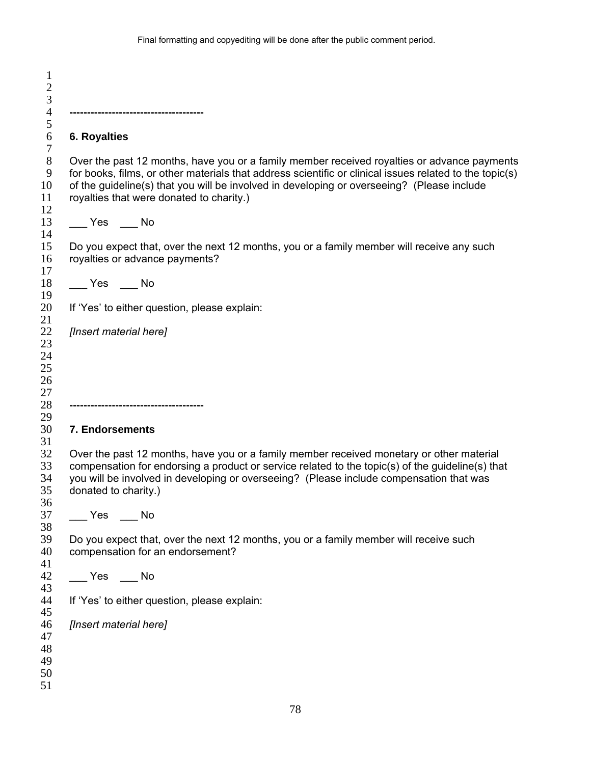| <b>6. Royalties</b>                              |                                                                                                                                                                                                                                                                                                                                                  |
|--------------------------------------------------|--------------------------------------------------------------------------------------------------------------------------------------------------------------------------------------------------------------------------------------------------------------------------------------------------------------------------------------------------|
|                                                  | Over the past 12 months, have you or a family member received royalties or advance payments<br>for books, films, or other materials that address scientific or clinical issues related to the topic(s)<br>of the guideline(s) that you will be involved in developing or overseeing? (Please include<br>royalties that were donated to charity.) |
| $\rule{1em}{0.15mm}$ Yes $\rule{1em}{0.15mm}$ No |                                                                                                                                                                                                                                                                                                                                                  |
|                                                  | Do you expect that, over the next 12 months, you or a family member will receive any such<br>royalties or advance payments?                                                                                                                                                                                                                      |
| $\rule{1em}{0.15mm}$ Yes $\rule{1em}{0.15mm}$ No |                                                                                                                                                                                                                                                                                                                                                  |
|                                                  | If 'Yes' to either question, please explain:                                                                                                                                                                                                                                                                                                     |
| [Insert material here]                           |                                                                                                                                                                                                                                                                                                                                                  |
|                                                  |                                                                                                                                                                                                                                                                                                                                                  |
| 7. Endorsements                                  |                                                                                                                                                                                                                                                                                                                                                  |
| donated to charity.)                             | Over the past 12 months, have you or a family member received monetary or other material<br>compensation for endorsing a product or service related to the topic(s) of the guideline(s) that<br>you will be involved in developing or overseeing? (Please include compensation that was                                                          |
| in No<br>Yes                                     |                                                                                                                                                                                                                                                                                                                                                  |
|                                                  |                                                                                                                                                                                                                                                                                                                                                  |
|                                                  | Do you expect that, over the next 12 months, you or a family member will receive such<br>compensation for an endorsement?                                                                                                                                                                                                                        |
| $\rule{1em}{0.15mm}$ Yes $\rule{1em}{0.15mm}$ No |                                                                                                                                                                                                                                                                                                                                                  |
|                                                  | If 'Yes' to either question, please explain:                                                                                                                                                                                                                                                                                                     |
| [Insert material here]                           |                                                                                                                                                                                                                                                                                                                                                  |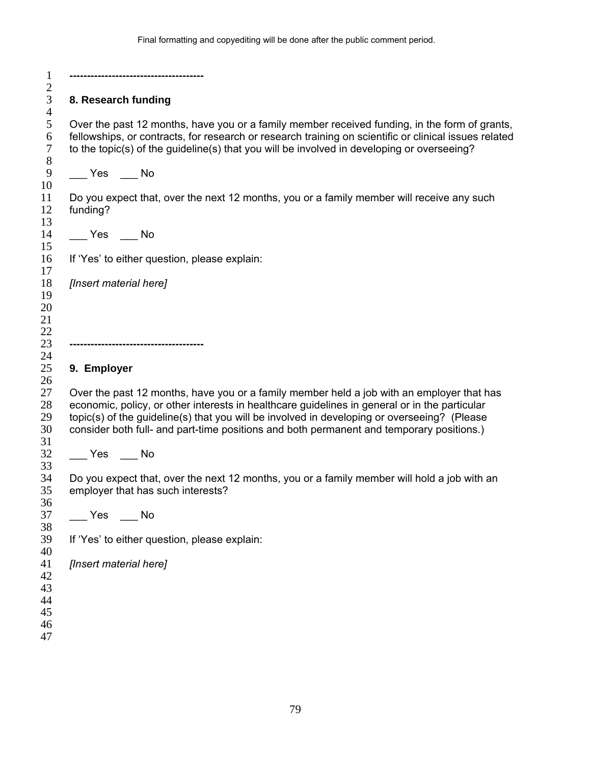|                                                                                | 8. Research funding                                                                                                                                                                                                                                                                                  |
|--------------------------------------------------------------------------------|------------------------------------------------------------------------------------------------------------------------------------------------------------------------------------------------------------------------------------------------------------------------------------------------------|
|                                                                                | Over the past 12 months, have you or a family member received funding, in the form of grants,<br>fellowships, or contracts, for research or research training on scientific or clinical issues related<br>to the topic(s) of the guideline(s) that you will be involved in developing or overseeing? |
|                                                                                |                                                                                                                                                                                                                                                                                                      |
| funding?                                                                       | Do you expect that, over the next 12 months, you or a family member will receive any such                                                                                                                                                                                                            |
| $\xrightarrow{\text{Yes}} \_ \text{No}$                                        |                                                                                                                                                                                                                                                                                                      |
|                                                                                | If 'Yes' to either question, please explain:                                                                                                                                                                                                                                                         |
| [Insert material here]                                                         |                                                                                                                                                                                                                                                                                                      |
|                                                                                |                                                                                                                                                                                                                                                                                                      |
|                                                                                |                                                                                                                                                                                                                                                                                                      |
|                                                                                |                                                                                                                                                                                                                                                                                                      |
| 9. Employer                                                                    |                                                                                                                                                                                                                                                                                                      |
|                                                                                | Over the past 12 months, have you or a family member held a job with an employer that has<br>economic, policy, or other interests in healthcare guidelines in general or in the particular                                                                                                           |
|                                                                                | topic(s) of the guideline(s) that you will be involved in developing or overseeing? (Please                                                                                                                                                                                                          |
|                                                                                | consider both full- and part-time positions and both permanent and temporary positions.)                                                                                                                                                                                                             |
|                                                                                |                                                                                                                                                                                                                                                                                                      |
|                                                                                | employer that has such interests?                                                                                                                                                                                                                                                                    |
|                                                                                |                                                                                                                                                                                                                                                                                                      |
|                                                                                | If 'Yes' to either question, please explain:                                                                                                                                                                                                                                                         |
|                                                                                |                                                                                                                                                                                                                                                                                                      |
| $\xrightarrow{\text{Yes}}$ $\xrightarrow{\text{No}}$<br>[Insert material here] |                                                                                                                                                                                                                                                                                                      |
|                                                                                | Do you expect that, over the next 12 months, you or a family member will hold a job with an                                                                                                                                                                                                          |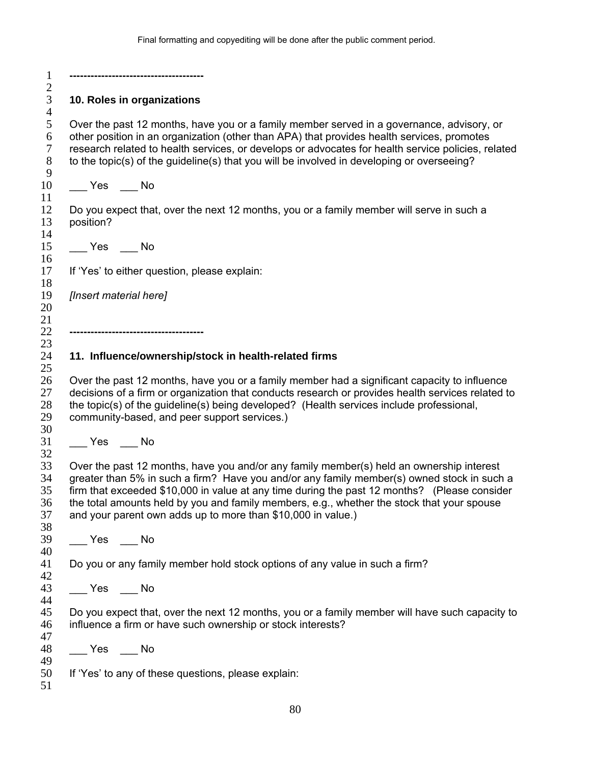**-------------------------------------**   $rac{2}{3}$ **10. Roles in organizations**   $\frac{4}{5}$ Over the past 12 months, have you or a family member served in a governance, advisory, or 6 other position in an organization (other than APA) that provides health services, promotes<br>
7 research related to health services, or develops or advocates for health service policies, re research related to health services, or develops or advocates for health service policies, related to the topic(s) of the guideline(s) that you will be involved in developing or overseeing? 10 \_\_\_\_ Yes \_\_\_\_ No Do you expect that, over the next 12 months, you or a family member will serve in such a position? \_\_\_ Yes \_\_\_ No If 'Yes' to either question, please explain: *[Insert material here]*  **-------------------------------------- 11. Influence/ownership/stock in health-related firms**  Over the past 12 months, have you or a family member had a significant capacity to influence decisions of a firm or organization that conducts research or provides health services related to the topic(s) of the guideline(s) being developed? (Health services include professional, community-based, and peer support services.) 31 \_\_\_\_ Yes \_\_\_\_ No Over the past 12 months, have you and/or any family member(s) held an ownership interest greater than 5% in such a firm? Have you and/or any family member(s) owned stock in such a firm that exceeded \$10,000 in value at any time during the past 12 months? (Please consider the total amounts held by you and family members, e.g., whether the stock that your spouse and your parent own adds up to more than \$10,000 in value.) \_\_\_ Yes \_\_\_ No Do you or any family member hold stock options of any value in such a firm? \_\_\_ Yes \_\_\_ No Do you expect that, over the next 12 months, you or a family member will have such capacity to influence a firm or have such ownership or stock interests? \_\_\_ Yes \_\_\_ No If 'Yes' to any of these questions, please explain: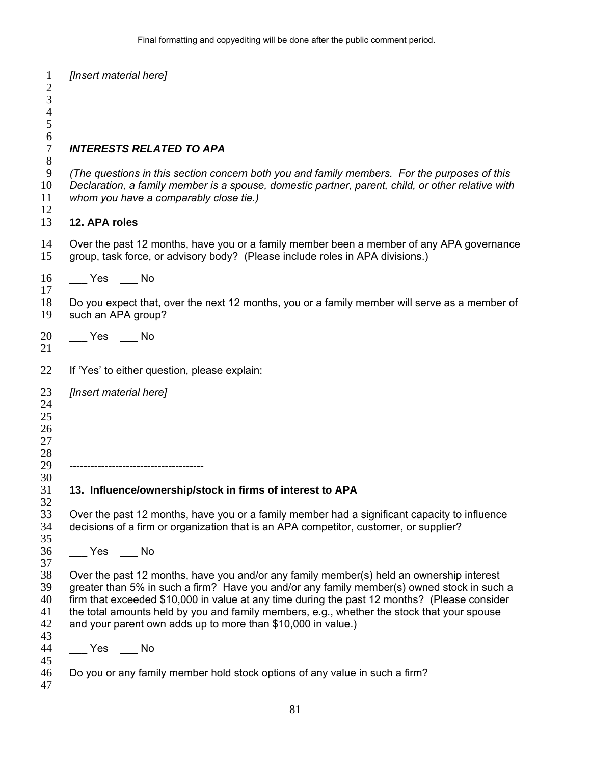| $\mathbf{1}$<br>$\overline{c}$<br>$\overline{3}$<br>$\overline{4}$<br>5 | [Insert material here]                                                                                                                                                                                                                                                                                                                                                                                                                               |
|-------------------------------------------------------------------------|------------------------------------------------------------------------------------------------------------------------------------------------------------------------------------------------------------------------------------------------------------------------------------------------------------------------------------------------------------------------------------------------------------------------------------------------------|
| 6<br>$\boldsymbol{7}$<br>8                                              | <b>INTERESTS RELATED TO APA</b>                                                                                                                                                                                                                                                                                                                                                                                                                      |
| 9<br>10<br>11<br>12                                                     | (The questions in this section concern both you and family members. For the purposes of this<br>Declaration, a family member is a spouse, domestic partner, parent, child, or other relative with<br>whom you have a comparably close tie.)                                                                                                                                                                                                          |
| 13                                                                      | 12. APA roles                                                                                                                                                                                                                                                                                                                                                                                                                                        |
| 14<br>15                                                                | Over the past 12 months, have you or a family member been a member of any APA governance<br>group, task force, or advisory body? (Please include roles in APA divisions.)                                                                                                                                                                                                                                                                            |
| 16                                                                      |                                                                                                                                                                                                                                                                                                                                                                                                                                                      |
| 17<br>18<br>19                                                          | Do you expect that, over the next 12 months, you or a family member will serve as a member of<br>such an APA group?                                                                                                                                                                                                                                                                                                                                  |
| 20<br>21                                                                | Yes No                                                                                                                                                                                                                                                                                                                                                                                                                                               |
| 22                                                                      | If 'Yes' to either question, please explain:                                                                                                                                                                                                                                                                                                                                                                                                         |
| 23<br>24<br>25<br>26<br>27<br>28<br>29<br>30                            | [Insert material here]<br>-----------------------------------                                                                                                                                                                                                                                                                                                                                                                                        |
| 31                                                                      | 13. Influence/ownership/stock in firms of interest to APA                                                                                                                                                                                                                                                                                                                                                                                            |
| 32<br>33<br>34<br>35                                                    | Over the past 12 months, have you or a family member had a significant capacity to influence<br>decisions of a firm or organization that is an APA competitor, customer, or supplier?                                                                                                                                                                                                                                                                |
| 36                                                                      | $\rule{1em}{0.15mm}$ Yes $\rule{1em}{0.15mm}$ No                                                                                                                                                                                                                                                                                                                                                                                                     |
| 37<br>38<br>39<br>40<br>41<br>42<br>43                                  | Over the past 12 months, have you and/or any family member(s) held an ownership interest<br>greater than 5% in such a firm? Have you and/or any family member(s) owned stock in such a<br>firm that exceeded \$10,000 in value at any time during the past 12 months? (Please consider<br>the total amounts held by you and family members, e.g., whether the stock that your spouse<br>and your parent own adds up to more than \$10,000 in value.) |
| 44                                                                      | $\xrightarrow{\text{Yes}}$ $\xrightarrow{\text{No}}$                                                                                                                                                                                                                                                                                                                                                                                                 |
| 45<br>46<br>47                                                          | Do you or any family member hold stock options of any value in such a firm?                                                                                                                                                                                                                                                                                                                                                                          |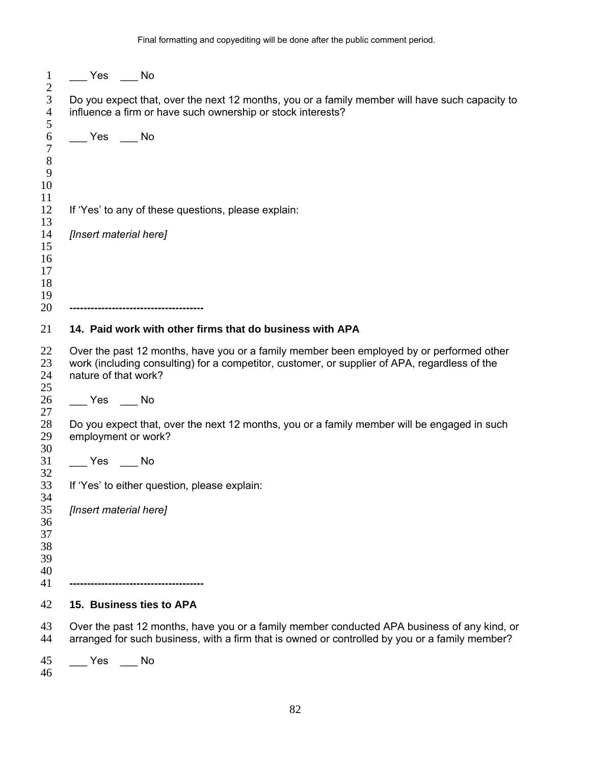| $\mathbf{1}$<br>$\sqrt{2}$                       |                                                                                                                                                                                                                   |
|--------------------------------------------------|-------------------------------------------------------------------------------------------------------------------------------------------------------------------------------------------------------------------|
| $\mathfrak{Z}$<br>$\overline{4}$<br>5            | Do you expect that, over the next 12 months, you or a family member will have such capacity to<br>influence a firm or have such ownership or stock interests?                                                     |
| $\boldsymbol{6}$<br>$\overline{7}$<br>$8\,$<br>9 | $\xrightarrow{\text{Yes}} \underline{\hspace{1cm}}$ No                                                                                                                                                            |
| 10<br>11<br>12<br>13                             | If 'Yes' to any of these questions, please explain:                                                                                                                                                               |
| 14<br>15<br>16<br>17<br>18<br>19<br>20           | [Insert material here]<br>------------------------------------                                                                                                                                                    |
| 21                                               | 14. Paid work with other firms that do business with APA                                                                                                                                                          |
| 22<br>23<br>24<br>25                             | Over the past 12 months, have you or a family member been employed by or performed other<br>work (including consulting) for a competitor, customer, or supplier of APA, regardless of the<br>nature of that work? |
| 26<br>27                                         | $\xrightarrow{\text{Yes}}$ No                                                                                                                                                                                     |
| 28<br>29<br>30                                   | Do you expect that, over the next 12 months, you or a family member will be engaged in such<br>employment or work?                                                                                                |
| 31<br>32                                         | $\xrightarrow{\ }$ Yes $\xrightarrow{\ }$ No                                                                                                                                                                      |
| 33<br>34                                         | If 'Yes' to either question, please explain:                                                                                                                                                                      |
| 35<br>36<br>37<br>38<br>39<br>40                 | [Insert material here]                                                                                                                                                                                            |
| 41<br>42                                         | 15. Business ties to APA                                                                                                                                                                                          |
|                                                  |                                                                                                                                                                                                                   |
| 43<br>44                                         | Over the past 12 months, have you or a family member conducted APA business of any kind, or<br>arranged for such business, with a firm that is owned or controlled by you or a family member?                     |
| 45                                               | Yes<br>No                                                                                                                                                                                                         |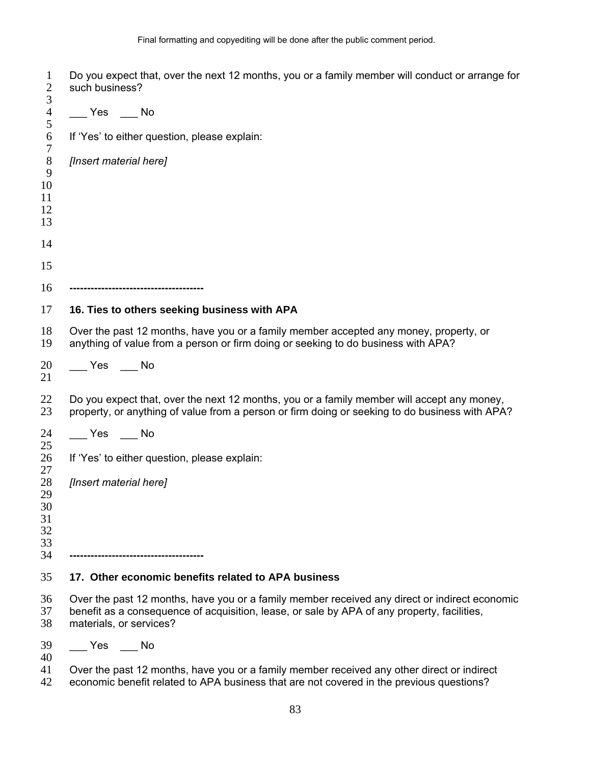| 1<br>$\overline{2}$<br>3   | Do you expect that, over the next 12 months, you or a family member will conduct or arrange for<br>such business?                                                                                                       |
|----------------------------|-------------------------------------------------------------------------------------------------------------------------------------------------------------------------------------------------------------------------|
| $\overline{4}$             |                                                                                                                                                                                                                         |
| 5<br>6                     | If 'Yes' to either question, please explain:                                                                                                                                                                            |
| $\tau$<br>$8\,$<br>9<br>10 | [Insert material here]                                                                                                                                                                                                  |
| 11<br>12                   |                                                                                                                                                                                                                         |
| 13                         |                                                                                                                                                                                                                         |
| 14                         |                                                                                                                                                                                                                         |
| 15                         |                                                                                                                                                                                                                         |
| 16                         | ----------------------------------                                                                                                                                                                                      |
| 17                         | 16. Ties to others seeking business with APA                                                                                                                                                                            |
| 18<br>19                   | Over the past 12 months, have you or a family member accepted any money, property, or<br>anything of value from a person or firm doing or seeking to do business with APA?                                              |
| 20<br>21                   | $\rule{1em}{0.15mm}$ Yes $\rule{1em}{0.15mm}$ No                                                                                                                                                                        |
| 22<br>23                   | Do you expect that, over the next 12 months, you or a family member will accept any money,<br>property, or anything of value from a person or firm doing or seeking to do business with APA?                            |
| 24                         | $\xrightarrow{\text{Yes}}$ $\xrightarrow{\text{No}}$                                                                                                                                                                    |
| 25<br>26                   | If 'Yes' to either question, please explain:                                                                                                                                                                            |
| 27<br>28                   | [Insert material here]                                                                                                                                                                                                  |
| 29<br>30                   |                                                                                                                                                                                                                         |
| 31<br>32                   |                                                                                                                                                                                                                         |
| 33<br>34                   | ----------------------------------                                                                                                                                                                                      |
| 35                         | 17. Other economic benefits related to APA business                                                                                                                                                                     |
| 36<br>37<br>38             | Over the past 12 months, have you or a family member received any direct or indirect economic<br>benefit as a consequence of acquisition, lease, or sale by APA of any property, facilities,<br>materials, or services? |
| 39                         | Yes No                                                                                                                                                                                                                  |
| 40<br>41                   | Over the past 12 months, have you or a family member received any other direct or indirect                                                                                                                              |

42 economic benefit related to APA business that are not covered in the previous questions?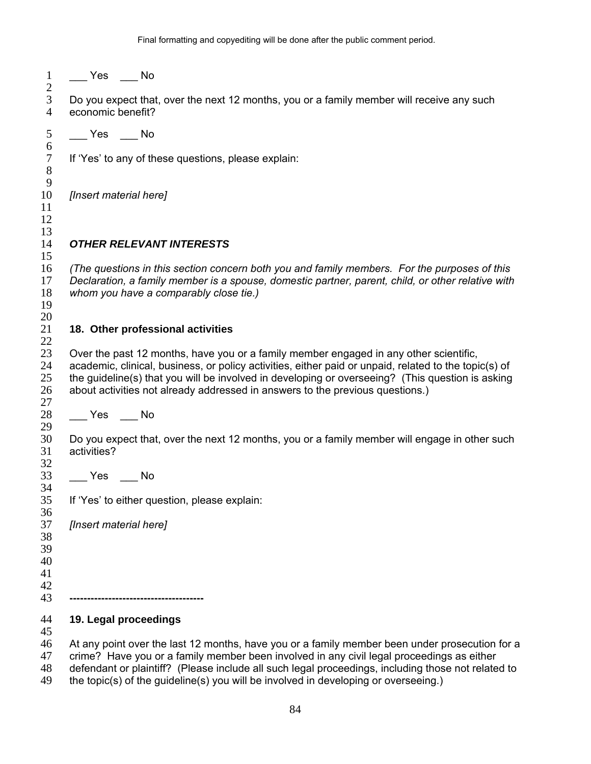\_\_\_ Yes \_\_\_ No

 $\frac{2}{3}$ Do you expect that, over the next 12 months, you or a family member will receive any such economic benefit?

\_\_\_ Yes \_\_\_ No

 $\frac{6}{7}$ 

 

 

If 'Yes' to any of these questions, please explain:

*[Insert material here]* 

# *OTHER RELEVANT INTERESTS*

*(The questions in this section concern both you and family members. For the purposes of this Declaration, a family member is a spouse, domestic partner, parent, child, or other relative with whom you have a comparably close tie.)*  

#### **18. Other professional activities**

23 Over the past 12 months, have you or a family member engaged in any other scientific,<br>24 academic, clinical, business, or policy activities, either paid or unpaid, related to the topi academic, clinical, business, or policy activities, either paid or unpaid, related to the topic(s) of the guideline(s) that you will be involved in developing or overseeing? (This question is asking about activities not already addressed in answers to the previous questions.) 

28 Yes No

Do you expect that, over the next 12 months, you or a family member will engage in other such activities?

\_\_\_ Yes \_\_\_ No

If 'Yes' to either question, please explain:

*[Insert material here]* 

- 
- 
- 
- **--------------------------------------**

#### **19. Legal proceedings**

At any point over the last 12 months, have you or a family member been under prosecution for a

- crime? Have you or a family member been involved in any civil legal proceedings as either
- defendant or plaintiff? (Please include all such legal proceedings, including those not related to
- the topic(s) of the guideline(s) you will be involved in developing or overseeing.)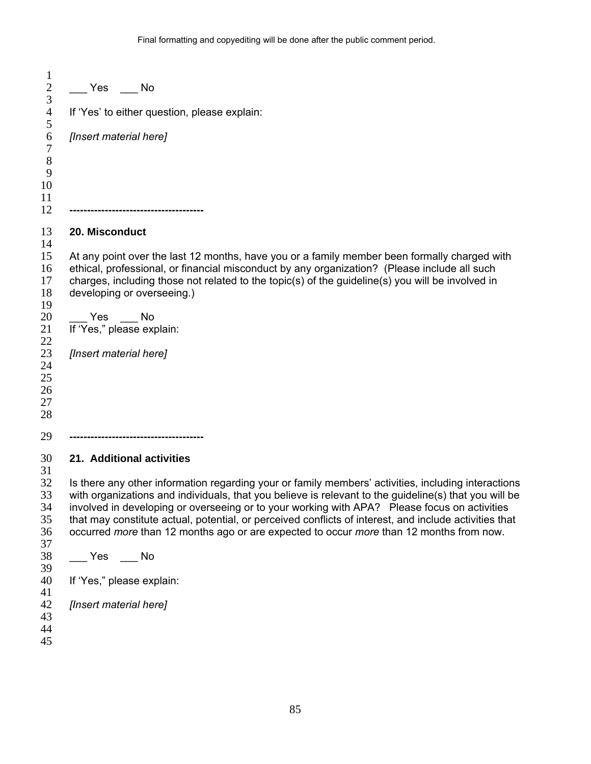| 1<br>$\sqrt{2}$                        | Yes No                                                                                                                                                                                                                                                                                                                                                                                                                                                                                                                                         |
|----------------------------------------|------------------------------------------------------------------------------------------------------------------------------------------------------------------------------------------------------------------------------------------------------------------------------------------------------------------------------------------------------------------------------------------------------------------------------------------------------------------------------------------------------------------------------------------------|
| 3<br>$\overline{4}$                    | If 'Yes' to either question, please explain:                                                                                                                                                                                                                                                                                                                                                                                                                                                                                                   |
| 5<br>6<br>$\tau$                       | [Insert material here]                                                                                                                                                                                                                                                                                                                                                                                                                                                                                                                         |
| $8\,$<br>9<br>10<br>11<br>12           |                                                                                                                                                                                                                                                                                                                                                                                                                                                                                                                                                |
| 13                                     | 20. Misconduct                                                                                                                                                                                                                                                                                                                                                                                                                                                                                                                                 |
| 14<br>15<br>16<br>17<br>18<br>19       | At any point over the last 12 months, have you or a family member been formally charged with<br>ethical, professional, or financial misconduct by any organization? (Please include all such<br>charges, including those not related to the topic(s) of the guideline(s) you will be involved in<br>developing or overseeing.)                                                                                                                                                                                                                 |
| 20<br>21<br>22                         | Yes No<br>If 'Yes," please explain:                                                                                                                                                                                                                                                                                                                                                                                                                                                                                                            |
| 23<br>24<br>25<br>26<br>27<br>28       | [Insert material here]                                                                                                                                                                                                                                                                                                                                                                                                                                                                                                                         |
| 29                                     |                                                                                                                                                                                                                                                                                                                                                                                                                                                                                                                                                |
| 30<br>31<br>32<br>33<br>34<br>35<br>36 | 21. Additional activities<br>Is there any other information regarding your or family members' activities, including interactions<br>with organizations and individuals, that you believe is relevant to the guideline(s) that you will be<br>involved in developing or overseeing or to your working with APA? Please focus on activities<br>that may constitute actual, potential, or perceived conflicts of interest, and include activities that<br>occurred more than 12 months ago or are expected to occur more than 12 months from now. |
| 37<br>38<br>39                         |                                                                                                                                                                                                                                                                                                                                                                                                                                                                                                                                                |
| 40<br>41                               | If 'Yes," please explain:                                                                                                                                                                                                                                                                                                                                                                                                                                                                                                                      |
| 42<br>43<br>44<br>45                   | [Insert material here]                                                                                                                                                                                                                                                                                                                                                                                                                                                                                                                         |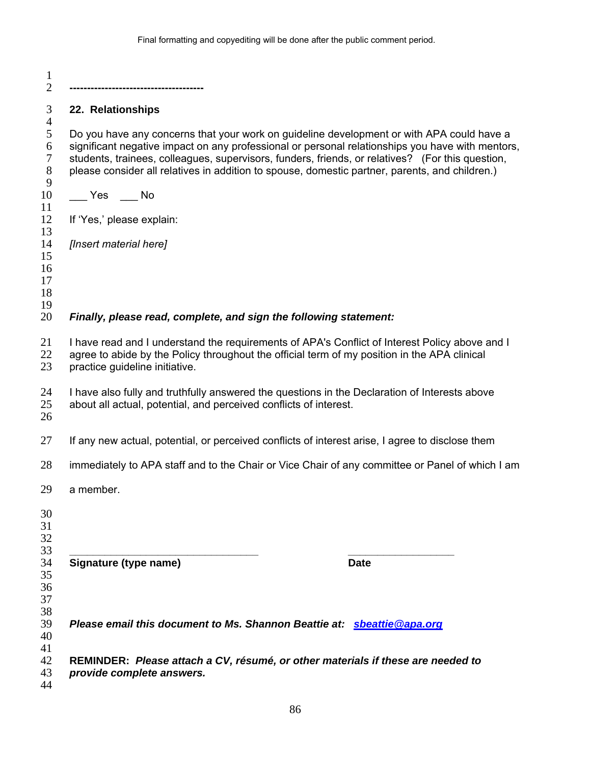| $\mathbf 1$<br>$\overline{2}$                    |                                                                                                                                                                                                                                                                                                                                                                                                     |
|--------------------------------------------------|-----------------------------------------------------------------------------------------------------------------------------------------------------------------------------------------------------------------------------------------------------------------------------------------------------------------------------------------------------------------------------------------------------|
| 3                                                | 22. Relationships                                                                                                                                                                                                                                                                                                                                                                                   |
| $\overline{4}$<br>5<br>6<br>$\tau$<br>$8\,$<br>9 | Do you have any concerns that your work on guideline development or with APA could have a<br>significant negative impact on any professional or personal relationships you have with mentors,<br>students, trainees, colleagues, supervisors, funders, friends, or relatives? (For this question,<br>please consider all relatives in addition to spouse, domestic partner, parents, and children.) |
| 10                                               | $Yes$ No                                                                                                                                                                                                                                                                                                                                                                                            |
| 11<br>12                                         | If 'Yes,' please explain:                                                                                                                                                                                                                                                                                                                                                                           |
| 13<br>14<br>15<br>16<br>17<br>18                 | [Insert material here]                                                                                                                                                                                                                                                                                                                                                                              |
| 19<br>20                                         | Finally, please read, complete, and sign the following statement:                                                                                                                                                                                                                                                                                                                                   |
| 21<br>22<br>23                                   | I have read and I understand the requirements of APA's Conflict of Interest Policy above and I<br>agree to abide by the Policy throughout the official term of my position in the APA clinical<br>practice guideline initiative.                                                                                                                                                                    |
| 24<br>25<br>26                                   | I have also fully and truthfully answered the questions in the Declaration of Interests above<br>about all actual, potential, and perceived conflicts of interest.                                                                                                                                                                                                                                  |
| 27                                               | If any new actual, potential, or perceived conflicts of interest arise, I agree to disclose them                                                                                                                                                                                                                                                                                                    |
| 28                                               | immediately to APA staff and to the Chair or Vice Chair of any committee or Panel of which I am                                                                                                                                                                                                                                                                                                     |
| 29                                               | a member.                                                                                                                                                                                                                                                                                                                                                                                           |
| 30<br>31<br>32                                   |                                                                                                                                                                                                                                                                                                                                                                                                     |
| 33<br>34                                         | Signature (type name)<br><b>Date</b>                                                                                                                                                                                                                                                                                                                                                                |
| 35<br>36<br>37<br>38                             |                                                                                                                                                                                                                                                                                                                                                                                                     |
| 39<br>40<br>41                                   | Please email this document to Ms. Shannon Beattie at: sbeattie@apa.org                                                                                                                                                                                                                                                                                                                              |
| 42<br>43<br>44                                   | REMINDER: Please attach a CV, résumé, or other materials if these are needed to<br>provide complete answers.                                                                                                                                                                                                                                                                                        |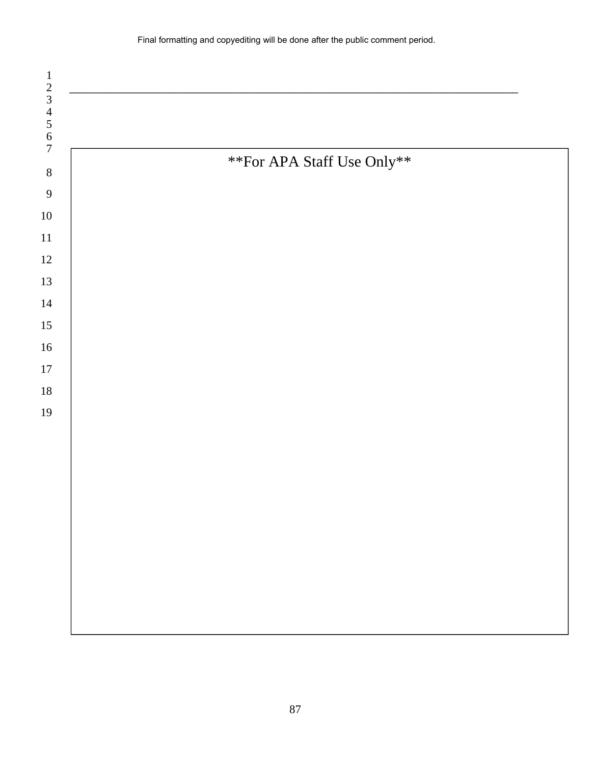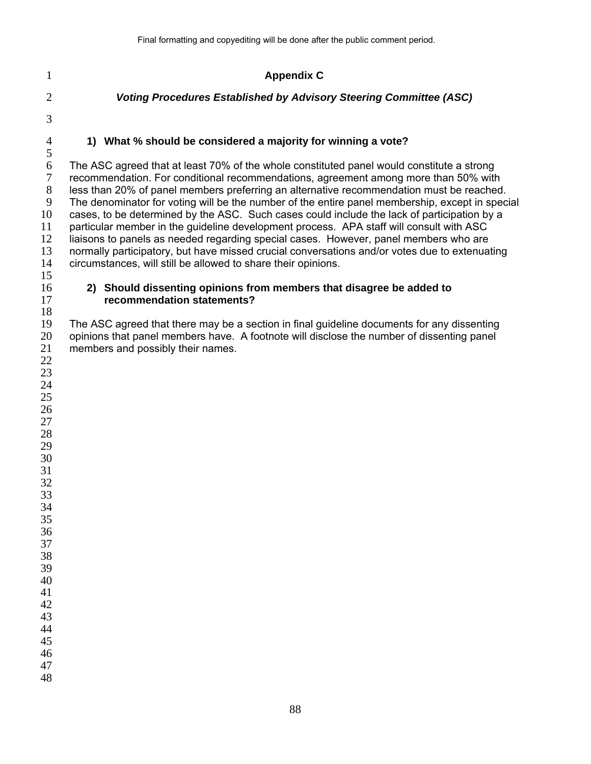## **Appendix C**

# *Voting Procedures Established by Advisory Steering Committee (ASC)*

# **1) What % should be considered a majority for winning a vote?**

6 The ASC agreed that at least 70% of the whole constituted panel would constitute a strong<br>7 recommendation. For conditional recommendations, agreement among more than 50% with recommendation. For conditional recommendations, agreement among more than 50% with less than 20% of panel members preferring an alternative recommendation must be reached. The denominator for voting will be the number of the entire panel membership, except in special cases, to be determined by the ASC. Such cases could include the lack of participation by a 11 particular member in the guideline development process. APA staff will consult with ASC<br>12 liaisons to panels as needed regarding special cases. However, panel members who are liaisons to panels as needed regarding special cases. However, panel members who are normally participatory, but have missed crucial conversations and/or votes due to extenuating circumstances, will still be allowed to share their opinions.

## **2) Should dissenting opinions from members that disagree be added to recommendation statements?**

The ASC agreed that there may be a section in final guideline documents for any dissenting opinions that panel members have. A footnote will disclose the number of dissenting panel members and possibly their names. 

 

- 
- 
- 
- 
- 
- 
- 
- 
- 
- 
- 
- 
- 

 

- 
- 
- 
-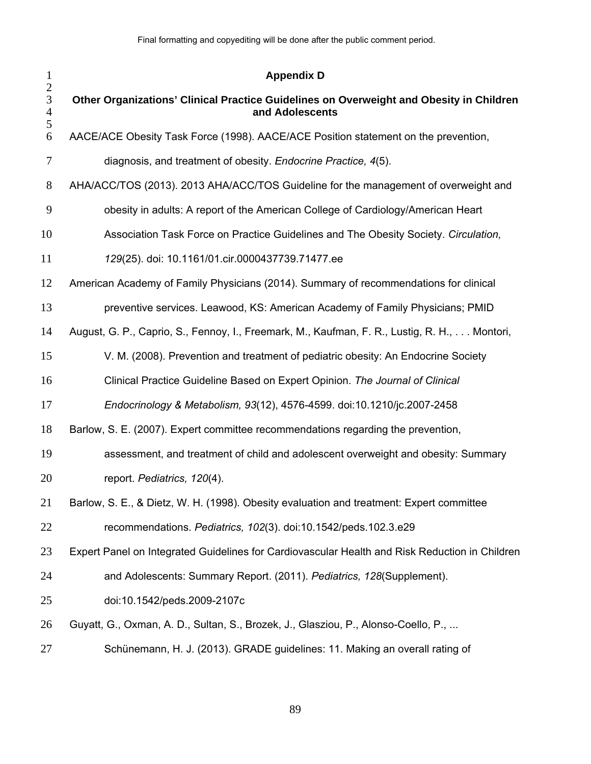| $\mathbf{1}$<br>$\mathbf{2}$<br>3<br>$\overline{4}$<br>5 | <b>Appendix D</b>                                                                                          |
|----------------------------------------------------------|------------------------------------------------------------------------------------------------------------|
|                                                          | Other Organizations' Clinical Practice Guidelines on Overweight and Obesity in Children<br>and Adolescents |
| 6                                                        | AACE/ACE Obesity Task Force (1998). AACE/ACE Position statement on the prevention,                         |
| 7                                                        | diagnosis, and treatment of obesity. Endocrine Practice, 4(5).                                             |
| 8                                                        | AHA/ACC/TOS (2013). 2013 AHA/ACC/TOS Guideline for the management of overweight and                        |
| 9                                                        | obesity in adults: A report of the American College of Cardiology/American Heart                           |
| 10                                                       | Association Task Force on Practice Guidelines and The Obesity Society. Circulation,                        |
| 11                                                       | 129(25). doi: 10.1161/01.cir.0000437739.71477.ee                                                           |
| 12                                                       | American Academy of Family Physicians (2014). Summary of recommendations for clinical                      |
| 13                                                       | preventive services. Leawood, KS: American Academy of Family Physicians; PMID                              |
| 14                                                       | August, G. P., Caprio, S., Fennoy, I., Freemark, M., Kaufman, F. R., Lustig, R. H.,  Montori,              |
| 15                                                       | V. M. (2008). Prevention and treatment of pediatric obesity: An Endocrine Society                          |
| 16                                                       | Clinical Practice Guideline Based on Expert Opinion. The Journal of Clinical                               |
| 17                                                       | Endocrinology & Metabolism, 93(12), 4576-4599. doi:10.1210/jc.2007-2458                                    |
| 18                                                       | Barlow, S. E. (2007). Expert committee recommendations regarding the prevention,                           |
| 19                                                       | assessment, and treatment of child and adolescent overweight and obesity: Summary                          |
| 20                                                       | report. Pediatrics, 120(4).                                                                                |
| 21                                                       | Barlow, S. E., & Dietz, W. H. (1998). Obesity evaluation and treatment: Expert committee                   |
| 22                                                       | recommendations. Pediatrics, 102(3). doi:10.1542/peds.102.3.e29                                            |
| 23                                                       | Expert Panel on Integrated Guidelines for Cardiovascular Health and Risk Reduction in Children             |
| 24                                                       | and Adolescents: Summary Report. (2011). Pediatrics, 128(Supplement).                                      |
| 25                                                       | doi:10.1542/peds.2009-2107c                                                                                |
| 26                                                       | Guyatt, G., Oxman, A. D., Sultan, S., Brozek, J., Glasziou, P., Alonso-Coello, P.,                         |
| 27                                                       | Schünemann, H. J. (2013). GRADE guidelines: 11. Making an overall rating of                                |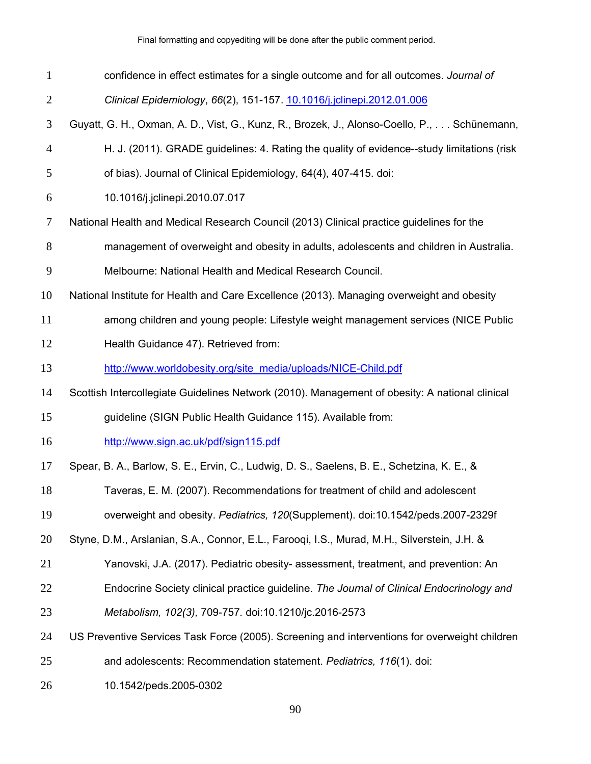| $\mathbf{1}$   | confidence in effect estimates for a single outcome and for all outcomes. Journal of           |
|----------------|------------------------------------------------------------------------------------------------|
| $\overline{2}$ | Clinical Epidemiology, 66(2), 151-157. 10.1016/j.jclinepi.2012.01.006                          |
| 3              | Guyatt, G. H., Oxman, A. D., Vist, G., Kunz, R., Brozek, J., Alonso-Coello, P., Schünemann,    |
| $\overline{4}$ | H. J. (2011). GRADE guidelines: 4. Rating the quality of evidence--study limitations (risk     |
| 5              | of bias). Journal of Clinical Epidemiology, 64(4), 407-415. doi:                               |
| 6              | 10.1016/j.jclinepi.2010.07.017                                                                 |
| 7              | National Health and Medical Research Council (2013) Clinical practice guidelines for the       |
| 8              | management of overweight and obesity in adults, adolescents and children in Australia.         |
| 9              | Melbourne: National Health and Medical Research Council.                                       |
| 10             | National Institute for Health and Care Excellence (2013). Managing overweight and obesity      |
| 11             | among children and young people: Lifestyle weight management services (NICE Public             |
| 12             | Health Guidance 47). Retrieved from:                                                           |
| 13             | http://www.worldobesity.org/site_media/uploads/NICE-Child.pdf                                  |
| 14             | Scottish Intercollegiate Guidelines Network (2010). Management of obesity: A national clinical |
| 15             | guideline (SIGN Public Health Guidance 115). Available from:                                   |
| 16             | http://www.sign.ac.uk/pdf/sign115.pdf                                                          |
| 17             | Spear, B. A., Barlow, S. E., Ervin, C., Ludwig, D. S., Saelens, B. E., Schetzina, K. E., &     |
| 18             | Taveras, E. M. (2007). Recommendations for treatment of child and adolescent                   |
| 19             | overweight and obesity. Pediatrics, 120(Supplement). doi:10.1542/peds.2007-2329f               |
| 20             | Styne, D.M., Arslanian, S.A., Connor, E.L., Farooqi, I.S., Murad, M.H., Silverstein, J.H. &    |
| 21             | Yanovski, J.A. (2017). Pediatric obesity- assessment, treatment, and prevention: An            |
| 22             | Endocrine Society clinical practice guideline. The Journal of Clinical Endocrinology and       |
| 23             | Metabolism, 102(3), 709-757. doi:10.1210/jc.2016-2573                                          |
| 24             | US Preventive Services Task Force (2005). Screening and interventions for overweight children  |
| 25             | and adolescents: Recommendation statement. Pediatrics, 116(1). doi:                            |
| 26             | 10.1542/peds.2005-0302                                                                         |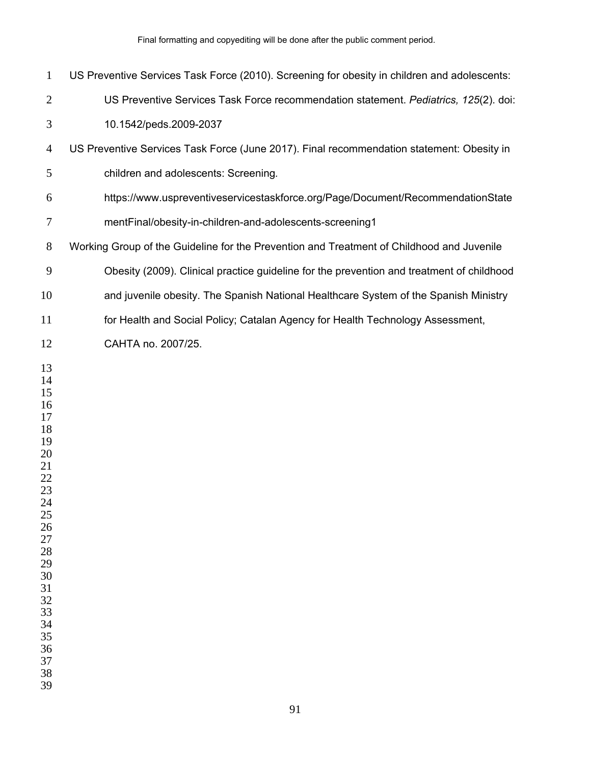| $\mathbf{1}$                                                                                                                                                   | US Preventive Services Task Force (2010). Screening for obesity in children and adolescents: |
|----------------------------------------------------------------------------------------------------------------------------------------------------------------|----------------------------------------------------------------------------------------------|
| $\overline{2}$                                                                                                                                                 | US Preventive Services Task Force recommendation statement. Pediatrics, 125(2). doi:         |
| 3                                                                                                                                                              | 10.1542/peds.2009-2037                                                                       |
| $\overline{4}$                                                                                                                                                 | US Preventive Services Task Force (June 2017). Final recommendation statement: Obesity in    |
| 5                                                                                                                                                              | children and adolescents: Screening.                                                         |
| 6                                                                                                                                                              | https://www.uspreventiveservicestaskforce.org/Page/Document/RecommendationState              |
| 7                                                                                                                                                              | mentFinal/obesity-in-children-and-adolescents-screening1                                     |
| 8                                                                                                                                                              | Working Group of the Guideline for the Prevention and Treatment of Childhood and Juvenile    |
| $\mathbf{9}$                                                                                                                                                   | Obesity (2009). Clinical practice guideline for the prevention and treatment of childhood    |
| 10                                                                                                                                                             | and juvenile obesity. The Spanish National Healthcare System of the Spanish Ministry         |
| 11                                                                                                                                                             | for Health and Social Policy; Catalan Agency for Health Technology Assessment,               |
| 12                                                                                                                                                             | CAHTA no. 2007/25.                                                                           |
| 13<br>14<br>15<br>16<br>17<br>18<br>19<br>20<br>21<br>22<br>23<br>24<br>25<br>26<br>27<br>28<br>29<br>30<br>31<br>32<br>33<br>34<br>35<br>36<br>37<br>38<br>39 |                                                                                              |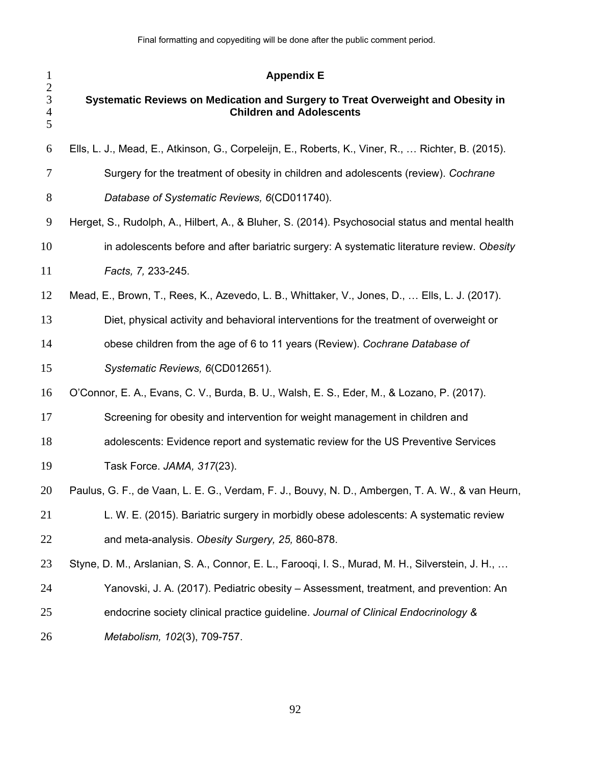| $\mathbf{1}$                                                      | <b>Appendix E</b>                                                                                                  |
|-------------------------------------------------------------------|--------------------------------------------------------------------------------------------------------------------|
| $\overline{c}$<br>$\overline{3}$<br>$\overline{\mathcal{L}}$<br>5 | Systematic Reviews on Medication and Surgery to Treat Overweight and Obesity in<br><b>Children and Adolescents</b> |
| 6                                                                 | Ells, L. J., Mead, E., Atkinson, G., Corpeleijn, E., Roberts, K., Viner, R.,  Richter, B. (2015).                  |
| 7                                                                 | Surgery for the treatment of obesity in children and adolescents (review). Cochrane                                |
| 8                                                                 | Database of Systematic Reviews, 6(CD011740).                                                                       |
| 9                                                                 | Herget, S., Rudolph, A., Hilbert, A., & Bluher, S. (2014). Psychosocial status and mental health                   |
| 10                                                                | in adolescents before and after bariatric surgery: A systematic literature review. Obesity                         |
| 11                                                                | Facts, 7, 233-245.                                                                                                 |
| 12                                                                | Mead, E., Brown, T., Rees, K., Azevedo, L. B., Whittaker, V., Jones, D.,  Ells, L. J. (2017).                      |
| 13                                                                | Diet, physical activity and behavioral interventions for the treatment of overweight or                            |
| 14                                                                | obese children from the age of 6 to 11 years (Review). Cochrane Database of                                        |
| 15                                                                | Systematic Reviews, 6(CD012651).                                                                                   |
| 16                                                                | O'Connor, E. A., Evans, C. V., Burda, B. U., Walsh, E. S., Eder, M., & Lozano, P. (2017).                          |
| 17                                                                | Screening for obesity and intervention for weight management in children and                                       |
| 18                                                                | adolescents: Evidence report and systematic review for the US Preventive Services                                  |
| 19                                                                | Task Force. JAMA, 317(23).                                                                                         |
| 20                                                                | Paulus, G. F., de Vaan, L. E. G., Verdam, F. J., Bouvy, N. D., Ambergen, T. A. W., & van Heurn,                    |
| 21                                                                | L. W. E. (2015). Bariatric surgery in morbidly obese adolescents: A systematic review                              |
| 22                                                                | and meta-analysis. Obesity Surgery, 25, 860-878.                                                                   |
| 23                                                                | Styne, D. M., Arslanian, S. A., Connor, E. L., Faroogi, I. S., Murad, M. H., Silverstein, J. H.,                   |
| 24                                                                | Yanovski, J. A. (2017). Pediatric obesity – Assessment, treatment, and prevention: An                              |
| 25                                                                | endocrine society clinical practice guideline. Journal of Clinical Endocrinology &                                 |
| 26                                                                | Metabolism, 102(3), 709-757.                                                                                       |